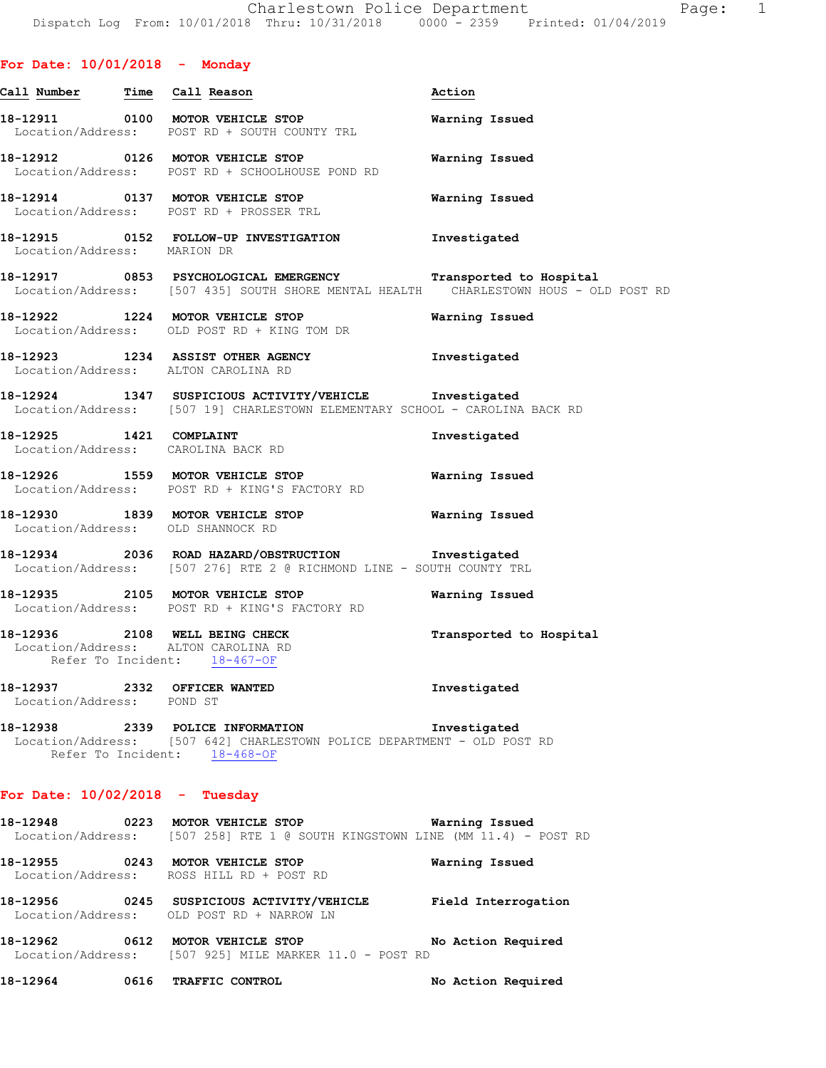# **For Date: 10/01/2018 - Monday**

| Call Number Time Call Reason                              |                                                                                                                                                       | Action                  |
|-----------------------------------------------------------|-------------------------------------------------------------------------------------------------------------------------------------------------------|-------------------------|
|                                                           | 18-12911 0100 MOTOR VEHICLE STOP<br>Location/Address: POST RD + SOUTH COUNTY TRL                                                                      | Warning Issued          |
|                                                           | 18-12912 0126 MOTOR VEHICLE STOP<br>Location/Address: POST RD + SCHOOLHOUSE POND RD                                                                   | Warning Issued          |
|                                                           | 18-12914 0137 MOTOR VEHICLE STOP<br>Location/Address: POST RD + PROSSER TRL                                                                           | Warning Issued          |
| Location/Address: MARION DR                               | 18-12915 0152 FOLLOW-UP INVESTIGATION                                                                                                                 | Investigated            |
|                                                           | 18-12917 0853 PSYCHOLOGICAL EMERGENCY Transported to Hospital<br>Location/Address: [507 435] SOUTH SHORE MENTAL HEALTH CHARLESTOWN HOUS - OLD POST RD |                         |
|                                                           | 18-12922 1224 MOTOR VEHICLE STOP<br>Location/Address: OLD POST RD + KING TOM DR                                                                       | Warning Issued          |
|                                                           | 18-12923 1234 ASSIST OTHER AGENCY<br>Location/Address: ALTON CAROLINA RD                                                                              | Investigated            |
|                                                           | 18-12924 1347 SUSPICIOUS ACTIVITY/VEHICLE Investigated<br>Location/Address: [507 19] CHARLESTOWN ELEMENTARY SCHOOL - CAROLINA BACK RD                 |                         |
|                                                           | 18-12925 1421 COMPLAINT<br>Location/Address: CAROLINA BACK RD                                                                                         | Investigated            |
|                                                           | 18-12926 1559 MOTOR VEHICLE STOP<br>Location/Address: POST RD + KING'S FACTORY RD                                                                     | Warning Issued          |
|                                                           | 18-12930 1839 MOTOR VEHICLE STOP<br>Location/Address: OLD SHANNOCK RD                                                                                 | Warning Issued          |
|                                                           | 18-12934 2036 ROAD HAZARD/OBSTRUCTION Investigated<br>Location/Address: [507 276] RTE 2 @ RICHMOND LINE - SOUTH COUNTY TRL                            |                         |
|                                                           | 18-12935 2105 MOTOR VEHICLE STOP<br>Location/Address: POST RD + KING'S FACTORY RD                                                                     | Warning Issued          |
|                                                           | 18-12936 2108 WELL BEING CHECK<br>Location/Address: ALTON CAROLINA RD<br>Refer To Incident: 18-467-OF                                                 | Transported to Hospital |
| 18-12937 2332 OFFICER WANTED<br>Location/Address: POND ST |                                                                                                                                                       | Investigated            |
|                                                           | 18-12938 2339 POLICE INFORMATION<br>Location/Address: [507 642] CHARLESTOWN POLICE DEPARTMENT - OLD POST RD<br>Refer To Incident: 18-468-OF           | Investigated            |
| For Date: $10/02/2018$ - Tuesday                          |                                                                                                                                                       |                         |
|                                                           | 18-12948 0223 MOTOR VEHICLE STOP<br>Location/Address: [507 258] RTE 1 @ SOUTH KINGSTOWN LINE (MM 11.4) - POST RD                                      | Warning Issued          |
|                                                           | 18-12955 0243 MOTOR VEHICLE STOP<br>Location/Address: ROSS HILL RD + POST RD                                                                          | Warning Issued          |
|                                                           | 18-12956 0245 SUSPICIOUS ACTIVITY/VEHICLE<br>Location/Address: OLD POST RD + NARROW LN                                                                | Field Interrogation     |
|                                                           | 18-12962 0612 MOTOR VEHICLE STOP No Action Required<br>Location/Address: [507 925] MILE MARKER 11.0 - POST RD                                         |                         |
|                                                           | 18-12964 0616 TRAFFIC CONTROL                                                                                                                         | No Action Required      |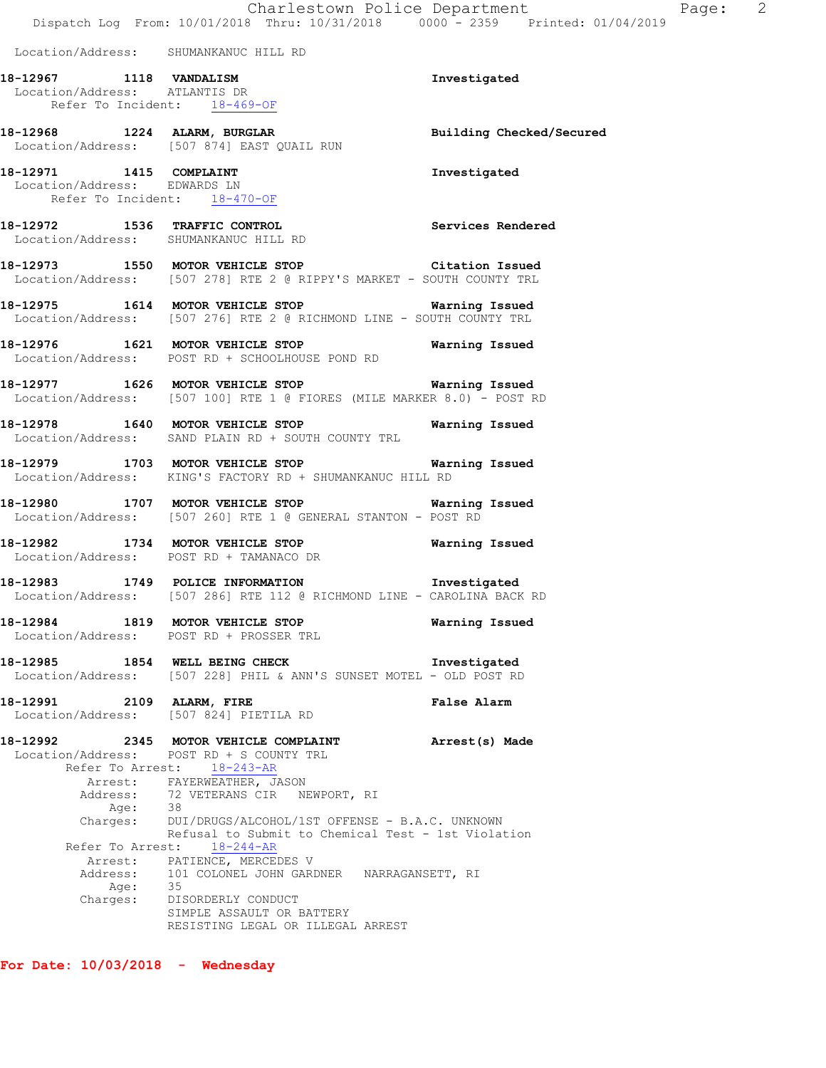|                                                                                          | Dispatch Log From: 10/01/2018 Thru: 10/31/2018 0000 - 2359 Printed: 01/04/2019                                                                                                                                                                                                                                                                                                                                                                                                                        | Charlestown Police Department | Page: 2 |
|------------------------------------------------------------------------------------------|-------------------------------------------------------------------------------------------------------------------------------------------------------------------------------------------------------------------------------------------------------------------------------------------------------------------------------------------------------------------------------------------------------------------------------------------------------------------------------------------------------|-------------------------------|---------|
| Location/Address: SHUMANKANUC HILL RD                                                    |                                                                                                                                                                                                                                                                                                                                                                                                                                                                                                       |                               |         |
| 18-12967 1118 VANDALISM<br>Location/Address: ATLANTIS DR<br>Refer To Incident: 18-469-OF |                                                                                                                                                                                                                                                                                                                                                                                                                                                                                                       | Investigated                  |         |
|                                                                                          | 18-12968 1224 ALARM, BURGLAR 18 Building Checked/Secured<br>Location/Address: [507 874] EAST QUAIL RUN                                                                                                                                                                                                                                                                                                                                                                                                |                               |         |
| 18-12971 1415 COMPLAINT<br>Location/Address: EDWARDS LN<br>Refer To Incident: 18-470-OF  |                                                                                                                                                                                                                                                                                                                                                                                                                                                                                                       | Investigated                  |         |
|                                                                                          | 18-12972 1536 TRAFFIC CONTROL<br>Location/Address: SHUMANKANUC HILL RD                                                                                                                                                                                                                                                                                                                                                                                                                                | Services Rendered             |         |
|                                                                                          | 18-12973 1550 MOTOR VEHICLE STOP Citation Issued<br>Location/Address: [507 278] RTE 2 @ RIPPY'S MARKET - SOUTH COUNTY TRL                                                                                                                                                                                                                                                                                                                                                                             |                               |         |
|                                                                                          | 18-12975 1614 MOTOR VEHICLE STOP 18 Warning Issued<br>Location/Address: [507 276] RTE 2 @ RICHMOND LINE - SOUTH COUNTY TRL                                                                                                                                                                                                                                                                                                                                                                            |                               |         |
|                                                                                          | 18-12976 1621 MOTOR VEHICLE STOP 6 Warning Issued<br>Location/Address: POST RD + SCHOOLHOUSE POND RD                                                                                                                                                                                                                                                                                                                                                                                                  |                               |         |
|                                                                                          | 18-12977 1626 MOTOR VEHICLE STOP <b>Warning Issued</b><br>Location/Address: [507 100] RTE 1 @ FIORES (MILE MARKER 8.0) - POST RD                                                                                                                                                                                                                                                                                                                                                                      |                               |         |
|                                                                                          | 18-12978 1640 MOTOR VEHICLE STOP 18 Warning Issued<br>Location/Address: SAND PLAIN RD + SOUTH COUNTY TRL                                                                                                                                                                                                                                                                                                                                                                                              |                               |         |
|                                                                                          | -<br>18-12979 1703 MOTOR VEHICLE STOP 1991 Warning Issued<br>Location/Address: KING'S FACTORY RD + SHUMANKANUC HILL RD                                                                                                                                                                                                                                                                                                                                                                                |                               |         |
|                                                                                          | 18-12980 1707 MOTOR VEHICLE STOP Warning Issued<br>Location/Address: [507 260] RTE 1 @ GENERAL STANTON - POST RD                                                                                                                                                                                                                                                                                                                                                                                      |                               |         |
|                                                                                          | 18-12982 1734 MOTOR VEHICLE STOP<br>Location/Address: POST RD + TAMANACO DR                                                                                                                                                                                                                                                                                                                                                                                                                           | Warning Issued                |         |
|                                                                                          | 18-12983 1749 POLICE INFORMATION 1nvestigated<br>Location/Address: [507 286] RTE 112 @ RICHMOND LINE - CAROLINA BACK RD                                                                                                                                                                                                                                                                                                                                                                               |                               |         |
|                                                                                          | 18-12984 1819 MOTOR VEHICLE STOP<br>Location/Address: POST RD + PROSSER TRL                                                                                                                                                                                                                                                                                                                                                                                                                           | Warning Issued                |         |
|                                                                                          | 18-12985 1854 WELL BEING CHECK<br>Location/Address: [507 228] PHIL & ANN'S SUNSET MOTEL - OLD POST RD                                                                                                                                                                                                                                                                                                                                                                                                 | Investigated                  |         |
| 18-12991 2109 ALARM, FIRE                                                                | Location/Address: [507 824] PIETILA RD                                                                                                                                                                                                                                                                                                                                                                                                                                                                | False Alarm                   |         |
| Age:<br>Age: 35<br>Charges:                                                              | 18-12992 2345 MOTOR VEHICLE COMPLAINT Arrest(s) Made<br>Location/Address: POST RD + S COUNTY TRL<br>Refer To Arrest: 18-243-AR<br>Arrest: FAYERWEATHER, JASON<br>Address: 72 VETERANS CIR NEWPORT, RI<br>- 38<br>Charges: DUI/DRUGS/ALCOHOL/1ST OFFENSE - B.A.C. UNKNOWN<br>Refusal to Submit to Chemical Test - 1st Violation<br>Refer To Arrest: 18-244-AR<br>Arrest: PATIENCE, MERCEDES V<br>Address: 101 COLONEL JOHN GARDNER NARRAGANSETT, RI<br>DISORDERLY CONDUCT<br>SIMPLE ASSAULT OR BATTERY |                               |         |

**For Date: 10/03/2018 - Wednesday**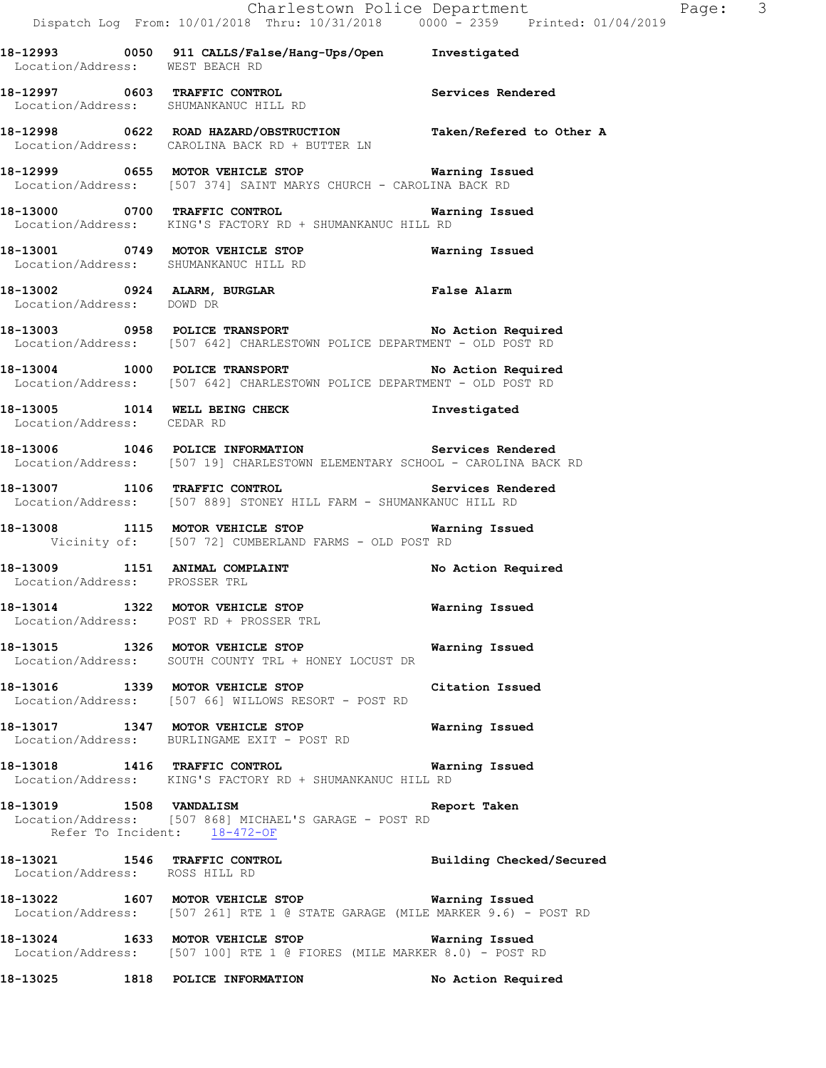**18-12998 0622 ROAD HAZARD/OBSTRUCTION Taken/Refered to Other A**  Location/Address: CAROLINA BACK RD + BUTTER LN

Location/Address: SHUMANKANUC HILL RD

**18-12999 0655 MOTOR VEHICLE STOP Warning Issued**  Location/Address: [507 374] SAINT MARYS CHURCH - CAROLINA BACK RD

**18-13000 0700 TRAFFIC CONTROL Warning Issued**  Location/Address: KING'S FACTORY RD + SHUMANKANUC HILL RD

**18-13001 0749 MOTOR VEHICLE STOP Warning Issued**  Location/Address: SHUMANKANUC HILL RD

- **18-13002 0924 ALARM, BURGLAR False Alarm**  Location/Address: DOWD DR
- **18-13003 0958 POLICE TRANSPORT No Action Required**  Location/Address: [507 642] CHARLESTOWN POLICE DEPARTMENT - OLD POST RD
- 18-13004 1000 POLICE TRANSPORT No Action Required Location/Address: [507 642] CHARLESTOWN POLICE DEPARTMENT - OLD POST RD

**18-13005 1014 WELL BEING CHECK Investigated**  Location/Address: CEDAR RD

**18-13006 1046 POLICE INFORMATION Services Rendered**  Location/Address: [507 19] CHARLESTOWN ELEMENTARY SCHOOL - CAROLINA BACK RD

**18-13007 1106 TRAFFIC CONTROL Services Rendered**  Location/Address: [507 889] STONEY HILL FARM - SHUMANKANUC HILL RD

**18-13008 1115 MOTOR VEHICLE STOP Warning Issued**  Vicinity of: [507 72] CUMBERLAND FARMS - OLD POST RD

**18-13009 1151 ANIMAL COMPLAINT No Action Required**  Location/Address: PROSSER TRL

**18-13014 1322 MOTOR VEHICLE STOP Warning Issued**  Location/Address: POST RD + PROSSER TRL

**18-13015 1326 MOTOR VEHICLE STOP Warning Issued**  Location/Address: SOUTH COUNTY TRL + HONEY LOCUST DR

**18-13016 1339 MOTOR VEHICLE STOP Citation Issued**  Location/Address: [507 66] WILLOWS RESORT - POST RD

**18-13017 1347 MOTOR VEHICLE STOP Warning Issued**  Location/Address: BURLINGAME EXIT - POST RD

**18-13018 1416 TRAFFIC CONTROL Warning Issued**  Location/Address: KING'S FACTORY RD + SHUMANKANUC HILL RD

**18-13019 1508 VANDALISM Report Taken**  Location/Address: [507 868] MICHAEL'S GARAGE - POST RD Refer To Incident: 18-472-OF

**18-13021 1546 TRAFFIC CONTROL Building Checked/Secured**  Location/Address: ROSS HILL RD

**18-13022 1607 MOTOR VEHICLE STOP Warning Issued**  Location/Address: [507 261] RTE 1 @ STATE GARAGE (MILE MARKER 9.6) - POST RD

**18-13024 1633 MOTOR VEHICLE STOP Warning Issued**  Location/Address: [507 100] RTE 1 @ FIORES (MILE MARKER 8.0) - POST RD

**18-13025 1818 POLICE INFORMATION No Action Required**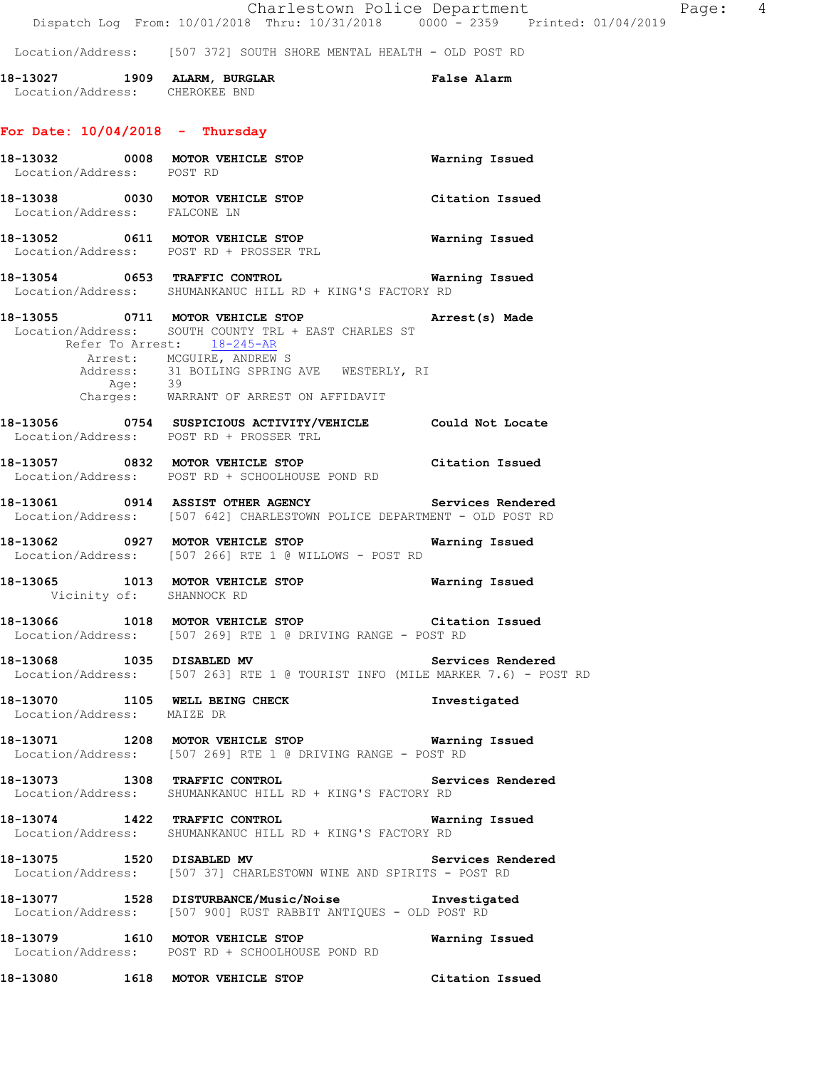Location/Address: [507 372] SOUTH SHORE MENTAL HEALTH - OLD POST RD

**18-13027 1909 ALARM, BURGLAR False Alarm**  Location/Address: CHEROKEE BND

## **For Date: 10/04/2018 - Thursday**

|                            | Location/Address: POST RD | 18-13032 0008 MOTOR VEHICLE STOP 6 Warning Issued                                                                                                                                                                                                                       |                       |
|----------------------------|---------------------------|-------------------------------------------------------------------------------------------------------------------------------------------------------------------------------------------------------------------------------------------------------------------------|-----------------------|
|                            |                           | 18-13038 0030 MOTOR VEHICLE STOP<br>Location/Address: FALCONE LN                                                                                                                                                                                                        | Citation Issued       |
|                            |                           | 18-13052 0611 MOTOR VEHICLE STOP <b>Warning Issued</b><br>Location/Address: POST RD + PROSSER TRL                                                                                                                                                                       |                       |
|                            |                           | Location/Address: SHUMANKANUC HILL RD + KING'S FACTORY RD                                                                                                                                                                                                               |                       |
|                            |                           | 18-13055 0711 MOTOR VEHICLE STOP Arrest(s) Made<br>Location/Address: SOUTH COUNTY TRL + EAST CHARLES ST<br>Refer To Arrest: 18-245-AR<br>Arrest: MCGUIRE, ANDREW S<br>Address: 31 BOILING SPRING AVE WESTERLY, RI<br>Age: 39<br>Charges: WARRANT OF ARREST ON AFFIDAVIT |                       |
|                            |                           | 18-13056 0754 SUSPICIOUS ACTIVITY/VEHICLE Could Not Locate<br>Location/Address: POST RD + PROSSER TRL                                                                                                                                                                   |                       |
|                            |                           | 18-13057 0832 MOTOR VEHICLE STOP Citation Issued<br>Location/Address: POST RD + SCHOOLHOUSE POND RD                                                                                                                                                                     |                       |
|                            |                           | 18-13061 0914 ASSIST OTHER AGENCY Services Rendered<br>Location/Address: [507 642] CHARLESTOWN POLICE DEPARTMENT - OLD POST RD                                                                                                                                          |                       |
|                            |                           | 18-13062 0927 MOTOR VEHICLE STOP 6 Warning Issued<br>Location/Address: [507 266] RTE 1 @ WILLOWS - POST RD                                                                                                                                                              |                       |
|                            |                           | 18-13065 1013 MOTOR VEHICLE STOP<br>Vicinity of: SHANNOCK RD                                                                                                                                                                                                            | <b>Warning Issued</b> |
|                            |                           | 18-13066 1018 MOTOR VEHICLE STOP Citation Issued<br>Location/Address: [507 269] RTE 1 @ DRIVING RANGE - POST RD                                                                                                                                                         |                       |
|                            |                           | 18-13068 1035 DISABLED MV<br>Location/Address: [507 263] RTE 1 @ TOURIST INFO (MILE MARKER 7.6) - POST RD                                                                                                                                                               | Services Rendered     |
| Location/Address: MAIZE DR |                           | 18-13070 1105 WELL BEING CHECK 1nvestigated                                                                                                                                                                                                                             |                       |
|                            |                           | 18-13071 1208 MOTOR VEHICLE STOP<br>Location/Address: [507 269] RTE 1 @ DRIVING RANGE - POST RD                                                                                                                                                                         | Warning Issued        |
|                            |                           | 18-13073 1308 TRAFFIC CONTROL<br>Location/Address: SHUMANKANUC HILL RD + KING'S FACTORY RD                                                                                                                                                                              | Services Rendered     |
|                            |                           | 18-13074 1422 TRAFFIC CONTROL<br>Location/Address: SHUMANKANUC HILL RD + KING'S FACTORY RD                                                                                                                                                                              | <b>Warning Issued</b> |
|                            |                           | 18-13075 1520 DISABLED MV<br>Location/Address: [507 37] CHARLESTOWN WINE AND SPIRITS - POST RD                                                                                                                                                                          | Services Rendered     |
|                            |                           | 18-13077 1528 DISTURBANCE/Music/Noise Investigated<br>Location/Address: [507 900] RUST RABBIT ANTIQUES - OLD POST RD                                                                                                                                                    |                       |
|                            |                           | 18-13079 1610 MOTOR VEHICLE STOP<br>Location/Address: POST RD + SCHOOLHOUSE POND RD                                                                                                                                                                                     | Warning Issued        |
|                            |                           | 18-13080 1618 MOTOR VEHICLE STOP                                                                                                                                                                                                                                        | Citation Issued       |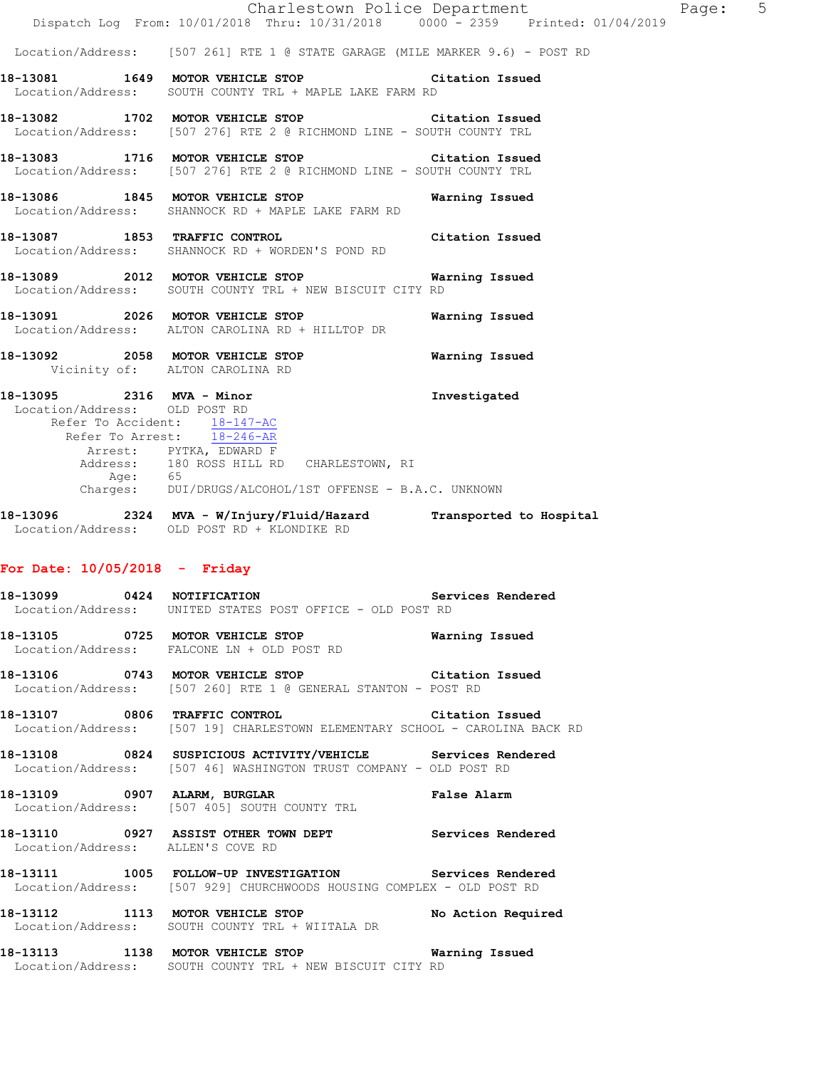Location/Address: [507 261] RTE 1 @ STATE GARAGE (MILE MARKER 9.6) - POST RD

- **18-13081 1649 MOTOR VEHICLE STOP Citation Issued**  Location/Address: SOUTH COUNTY TRL + MAPLE LAKE FARM RD
- **18-13082 1702 MOTOR VEHICLE STOP Citation Issued**  Location/Address: [507 276] RTE 2 @ RICHMOND LINE - SOUTH COUNTY TRL
- **18-13083 1716 MOTOR VEHICLE STOP Citation Issued**  Location/Address: [507 276] RTE 2 @ RICHMOND LINE - SOUTH COUNTY TRL
- **18-13086 1845 MOTOR VEHICLE STOP Warning Issued**  Location/Address: SHANNOCK RD + MAPLE LAKE FARM RD
- **18-13087 1853 TRAFFIC CONTROL Citation Issued**  Location/Address: SHANNOCK RD + WORDEN'S POND RD
- **18-13089 2012 MOTOR VEHICLE STOP Warning Issued**  Location/Address: SOUTH COUNTY TRL + NEW BISCUIT CITY RD
- **18-13091 2026 MOTOR VEHICLE STOP Warning Issued**  Location/Address: ALTON CAROLINA RD + HILLTOP DR
- **18-13092 2058 MOTOR VEHICLE STOP Warning Issued**  Vicinity of: ALTON CAROLINA RD
- **18-13095 2316 MVA Minor Investigated**  Location/Address: OLD POST RD Refer To Accident: 18-147-AC Refer To Arrest: 18-246-AR Arrest: PYTKA, EDWARD F Address: 180 ROSS HILL RD CHARLESTOWN, RI Age: 65 Charges: DUI/DRUGS/ALCOHOL/1ST OFFENSE - B.A.C. UNKNOWN
- **18-13096 2324 MVA W/Injury/Fluid/Hazard Transported to Hospital**  Location/Address: OLD POST RD + KLONDIKE RD

## **For Date: 10/05/2018 - Friday**

- **18-13099 0424 NOTIFICATION Services Rendered**  Location/Address: UNITED STATES POST OFFICE - OLD POST RD
- **18-13105 0725 MOTOR VEHICLE STOP Warning Issued**  Location/Address: FALCONE LN + OLD POST RD
- **18-13106 0743 MOTOR VEHICLE STOP Citation Issued**  Location/Address: [507 260] RTE 1 @ GENERAL STANTON - POST RD
- **18-13107 0806 TRAFFIC CONTROL Citation Issued**  Location/Address: [507 19] CHARLESTOWN ELEMENTARY SCHOOL - CAROLINA BACK RD
- **18-13108 0824 SUSPICIOUS ACTIVITY/VEHICLE Services Rendered**  Location/Address: [507 46] WASHINGTON TRUST COMPANY - OLD POST RD
- **18-13109 0907 ALARM, BURGLAR False Alarm**  Location/Address: [507 405] SOUTH COUNTY TRL
- **18-13110 0927 ASSIST OTHER TOWN DEPT Services Rendered**  Location/Address: ALLEN'S COVE RD
- **18-13111 1005 FOLLOW-UP INVESTIGATION Services Rendered**  Location/Address: [507 929] CHURCHWOODS HOUSING COMPLEX - OLD POST RD
- **18-13112 1113 MOTOR VEHICLE STOP No Action Required**  Location/Address: SOUTH COUNTY TRL + WIITALA DR
- **18-13113 1138 MOTOR VEHICLE STOP Warning Issued**  Location/Address: SOUTH COUNTY TRL + NEW BISCUIT CITY RD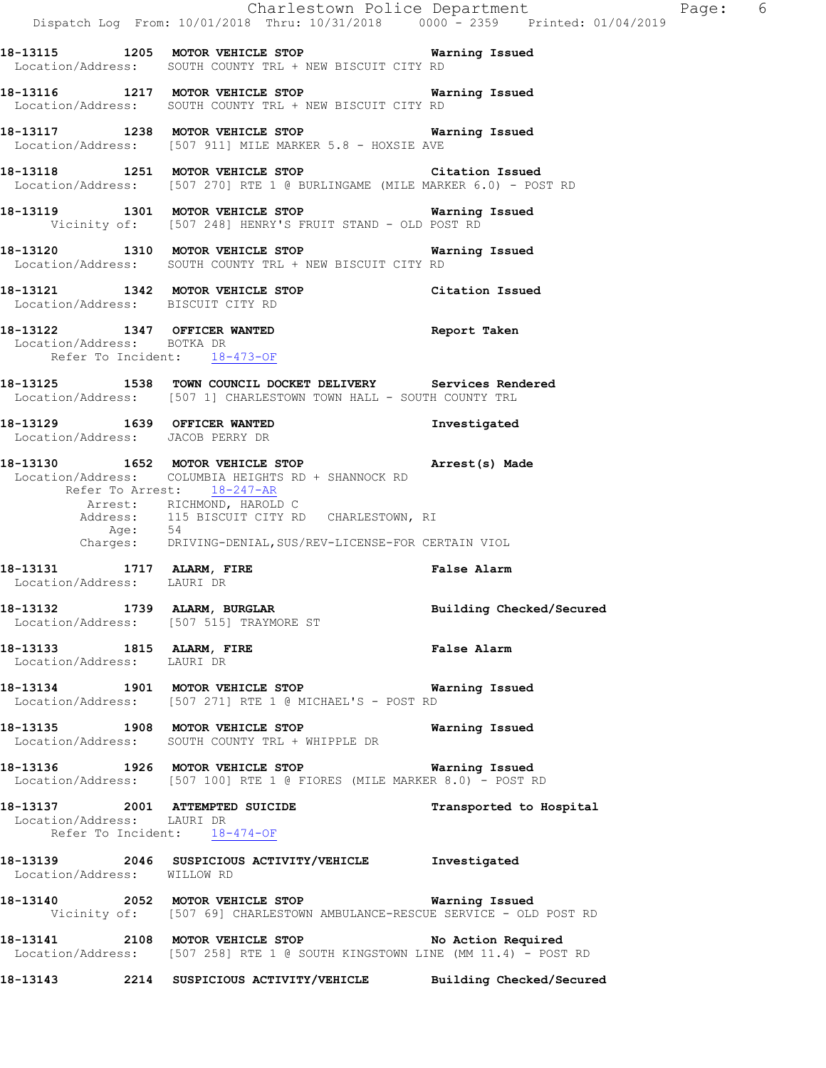|                                                            |                                                                                                                                                                                                                                                    | Charlestown Police Department The Rage: 6<br>Dispatch Log From: 10/01/2018 Thru: 10/31/2018 0000 - 2359 Printed: 01/04/2019 |  |
|------------------------------------------------------------|----------------------------------------------------------------------------------------------------------------------------------------------------------------------------------------------------------------------------------------------------|-----------------------------------------------------------------------------------------------------------------------------|--|
|                                                            |                                                                                                                                                                                                                                                    |                                                                                                                             |  |
|                                                            | 18-13115 1205 MOTOR VEHICLE STOP 6 Warning Issued<br>Location/Address: SOUTH COUNTY TRL + NEW BISCUIT CITY RD                                                                                                                                      |                                                                                                                             |  |
|                                                            | 18-13116 1217 MOTOR VEHICLE STOP Warning Issued<br>Location/Address: SOUTH COUNTY TRL + NEW BISCUIT CITY RD                                                                                                                                        |                                                                                                                             |  |
|                                                            | 18-13117 1238 MOTOR VEHICLE STOP Warning Issued<br>Location/Address: [507 911] MILE MARKER 5.8 - HOXSIE AVE                                                                                                                                        |                                                                                                                             |  |
|                                                            | 18-13118 1251 MOTOR VEHICLE STOP Citation Issued<br>Location/Address: [507 270] RTE 1 @ BURLINGAME (MILE MARKER 6.0) - POST RD                                                                                                                     |                                                                                                                             |  |
|                                                            | 18-13119 1301 MOTOR VEHICLE STOP 6 Warning Issued<br>Vicinity of: [507 248] HENRY'S FRUIT STAND - OLD POST RD                                                                                                                                      |                                                                                                                             |  |
|                                                            | 18-13120 1310 MOTOR VEHICLE STOP 6 Warning Issued<br>Location/Address: SOUTH COUNTY TRL + NEW BISCUIT CITY RD                                                                                                                                      |                                                                                                                             |  |
| Location/Address: BISCUIT CITY RD                          | 18-13121 1342 MOTOR VEHICLE STOP Citation Issued                                                                                                                                                                                                   |                                                                                                                             |  |
| Location/Address: BOTKA DR<br>Refer To Incident: 18-473-OF | 18-13122 1347 OFFICER WANTED                                                                                                                                                                                                                       | Report Taken                                                                                                                |  |
|                                                            | 18-13125 1538 TOWN COUNCIL DOCKET DELIVERY Services Rendered<br>Location/Address: [507 1] CHARLESTOWN TOWN HALL - SOUTH COUNTY TRL                                                                                                                 |                                                                                                                             |  |
|                                                            | 18-13129 1639 OFFICER WANTED Investigated Location/Address: JACOB PERRY DR                                                                                                                                                                         |                                                                                                                             |  |
| Refer To Arrest: 18-247-AR<br>Age: 54                      | 18-13130 1652 MOTOR VEHICLE STOP (Arrest(s) Made<br>Location/Address: COLUMBIA HEIGHTS RD + SHANNOCK RD<br>Arrest: RICHMOND, HAROLD C<br>Address: 115 BISCUIT CITY RD CHARLESTOWN, RI<br>Charges: DRIVING-DENIAL, SUS/REV-LICENSE-FOR CERTAIN VIOL |                                                                                                                             |  |
|                                                            | 18-13131 1717 ALARM, FIRE<br>Location/Address: LAURI DR                                                                                                                                                                                            | <b>False Alarm</b>                                                                                                          |  |
|                                                            | 18-13132 1739 ALARM, BURGLAR<br>Location/Address: [507 515] TRAYMORE ST                                                                                                                                                                            | Building Checked/Secured                                                                                                    |  |
| 18-13133 1815 ALARM, FIRE<br>Location/Address: LAURI DR    |                                                                                                                                                                                                                                                    | <b>False Alarm</b>                                                                                                          |  |
|                                                            | 18-13134 1901 MOTOR VEHICLE STOP <b>Warning Issued</b><br>Location/Address: [507 271] RTE 1 @ MICHAEL'S - POST RD                                                                                                                                  |                                                                                                                             |  |
|                                                            | 18-13135 1908 MOTOR VEHICLE STOP 6 Warning Issued<br>Location/Address: SOUTH COUNTY TRL + WHIPPLE DR                                                                                                                                               |                                                                                                                             |  |
|                                                            | 18-13136 1926 MOTOR VEHICLE STOP <b>Warning Issued</b><br>Location/Address: [507 100] RTE 1 @ FIORES (MILE MARKER 8.0) - POST RD                                                                                                                   |                                                                                                                             |  |
| Location/Address: LAURI DR<br>Refer To Incident: 18-474-OF | 18-13137 2001 ATTEMPTED SUICIDE                                                                                                                                                                                                                    | Transported to Hospital                                                                                                     |  |
| Location/Address: WILLOW RD                                | 18-13139 2046 SUSPICIOUS ACTIVITY/VEHICLE Investigated                                                                                                                                                                                             |                                                                                                                             |  |
|                                                            | 18-13140 2052 MOTOR VEHICLE STOP Warning Issued<br>Vicinity of: [507 69] CHARLESTOWN AMBULANCE-RESCUE SERVICE - OLD POST RD                                                                                                                        |                                                                                                                             |  |
|                                                            | 18-13141 2108 MOTOR VEHICLE STOP No Action Required<br>Location/Address: [507 258] RTE 1 @ SOUTH KINGSTOWN LINE (MM 11.4) - POST RD                                                                                                                |                                                                                                                             |  |
|                                                            | 18-13143 2214 SUSPICIOUS ACTIVITY/VEHICLE Building Checked/Secured                                                                                                                                                                                 |                                                                                                                             |  |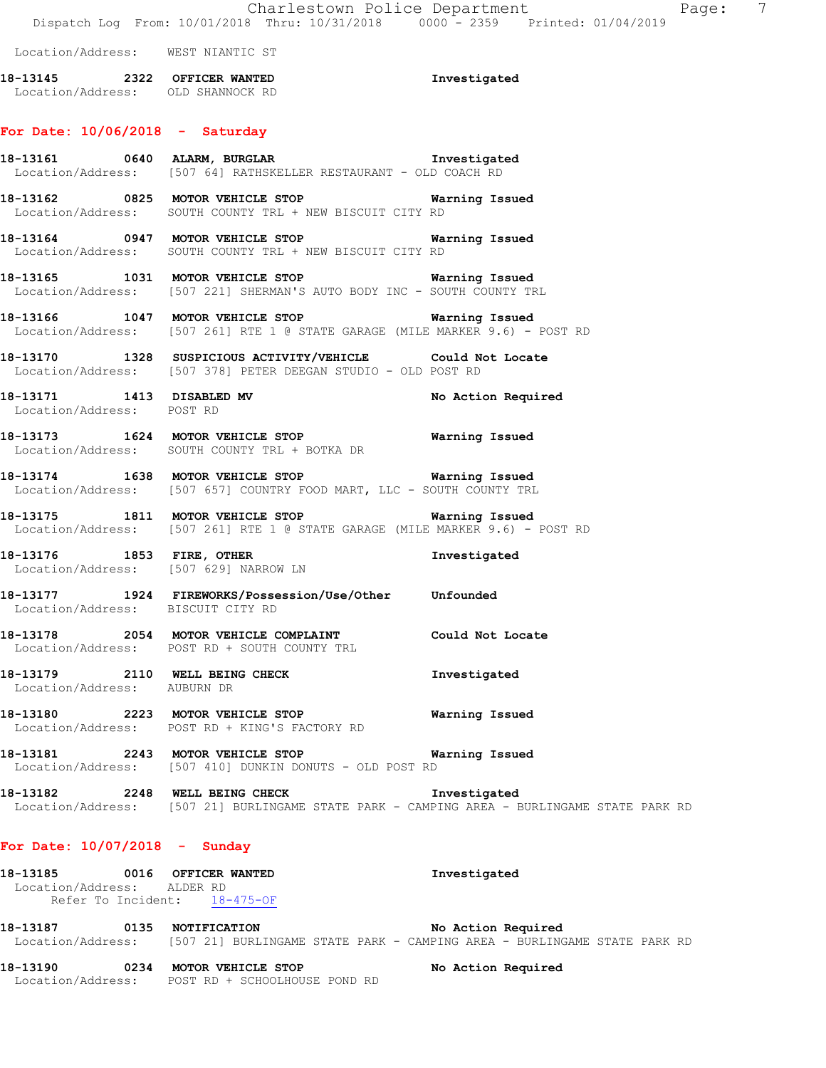|                                                               | Dispatch Log From: 10/01/2018 Thru: 10/31/2018 0000 - 2359 Printed: 01/04/2019                                                               | Charlestown Police Department<br>$\overline{7}$<br>Page:                                   |
|---------------------------------------------------------------|----------------------------------------------------------------------------------------------------------------------------------------------|--------------------------------------------------------------------------------------------|
| Location/Address: WEST NIANTIC ST                             |                                                                                                                                              |                                                                                            |
| Location/Address: OLD SHANNOCK RD                             | 18-13145 2322 OFFICER WANTED 18-13145                                                                                                        |                                                                                            |
| For Date: $10/06/2018$ - Saturday                             |                                                                                                                                              |                                                                                            |
|                                                               | 18-13161 0640 ALARM, BURGLAR 18-13161 Investigated<br>Location/Address: [507 64] RATHSKELLER RESTAURANT - OLD COACH RD                       |                                                                                            |
|                                                               | 18-13162 0825 MOTOR VEHICLE STOP Warning Issued<br>Location/Address: SOUTH COUNTY TRL + NEW BISCUIT CITY RD                                  |                                                                                            |
|                                                               | 18-13164 0947 MOTOR VEHICLE STOP <b>Warning Issued</b><br>Location/Address: SOUTH COUNTY TRL + NEW BISCUIT CITY RD                           |                                                                                            |
|                                                               | 18-13165 1031 MOTOR VEHICLE STOP 6 Warning Issued<br>Location/Address: [507 221] SHERMAN'S AUTO BODY INC - SOUTH COUNTY TRL                  |                                                                                            |
|                                                               | 18-13166 1047 MOTOR VEHICLE STOP <b>WATER</b> Warning Issued<br>Location/Address: [507 261] RTE 1 @ STATE GARAGE (MILE MARKER 9.6) - POST RD |                                                                                            |
|                                                               | 18-13170 1328 SUSPICIOUS ACTIVITY/VEHICLE Could Not Locate<br>Location/Address: [507 378] PETER DEEGAN STUDIO - OLD POST RD                  |                                                                                            |
| 18-13171 1413 DISABLED MV<br>Location/Address: POST RD        |                                                                                                                                              | No Action Required                                                                         |
|                                                               | 18-13173 1624 MOTOR VEHICLE STOP 6 Warning Issued<br>Location/Address: SOUTH COUNTY TRL + BOTKA DR                                           |                                                                                            |
|                                                               | 18-13174 1638 MOTOR VEHICLE STOP <b>Warning Issued</b><br>Location/Address: [507 657] COUNTRY FOOD MART, LLC - SOUTH COUNTY TRL              |                                                                                            |
|                                                               | 18-13175 1811 MOTOR VEHICLE STOP 6 Warning Issued<br>Location/Address: [507 261] RTE 1 @ STATE GARAGE (MILE MARKER 9.6) - POST RD            |                                                                                            |
| Location/Address: [507 629] NARROW LN                         | 18-13176 1853 FIRE, OTHER                                                                                                                    | Investigated                                                                               |
| Location/Address: BISCUIT CITY RD                             | 18-13177 1924 FIREWORKS/Possession/Use/Other Unfounded                                                                                       |                                                                                            |
|                                                               | 18-13178 2054 MOTOR VEHICLE COMPLAINT Could Not Locate<br>Location/Address: POST RD + SOUTH COUNTY TRL                                       |                                                                                            |
| 18-13179 2110 WELL BEING CHECK<br>Location/Address: AUBURN DR |                                                                                                                                              | Investigated                                                                               |
|                                                               | 18-13180 2223 MOTOR VEHICLE STOP<br>Location/Address: POST RD + KING'S FACTORY RD                                                            | Warning Issued                                                                             |
|                                                               | Location/Address: [507 410] DUNKIN DONUTS - OLD POST RD                                                                                      |                                                                                            |
|                                                               | 18-13182 2248 WELL BEING CHECK 1nvestigated                                                                                                  | Location/Address: [507 21] BURLINGAME STATE PARK - CAMPING AREA - BURLINGAME STATE PARK RD |
| For Date: $10/07/2018$ - Sunday                               |                                                                                                                                              |                                                                                            |

**18-13185 0016 OFFICER WANTED Investigated**  Location/Address: ALDER RD Refer To Incident: 18-475-OF

**18-13187 0135 NOTIFICATION No Action Required**  Location/Address: [507 21] BURLINGAME STATE PARK - CAMPING AREA - BURLINGAME STATE PARK RD

| 18–13190          | 0234 MOTOR VEHICLE STOP       | No Action Required |  |
|-------------------|-------------------------------|--------------------|--|
| Location/Address: | POST RD + SCHOOLHOUSE POND RD |                    |  |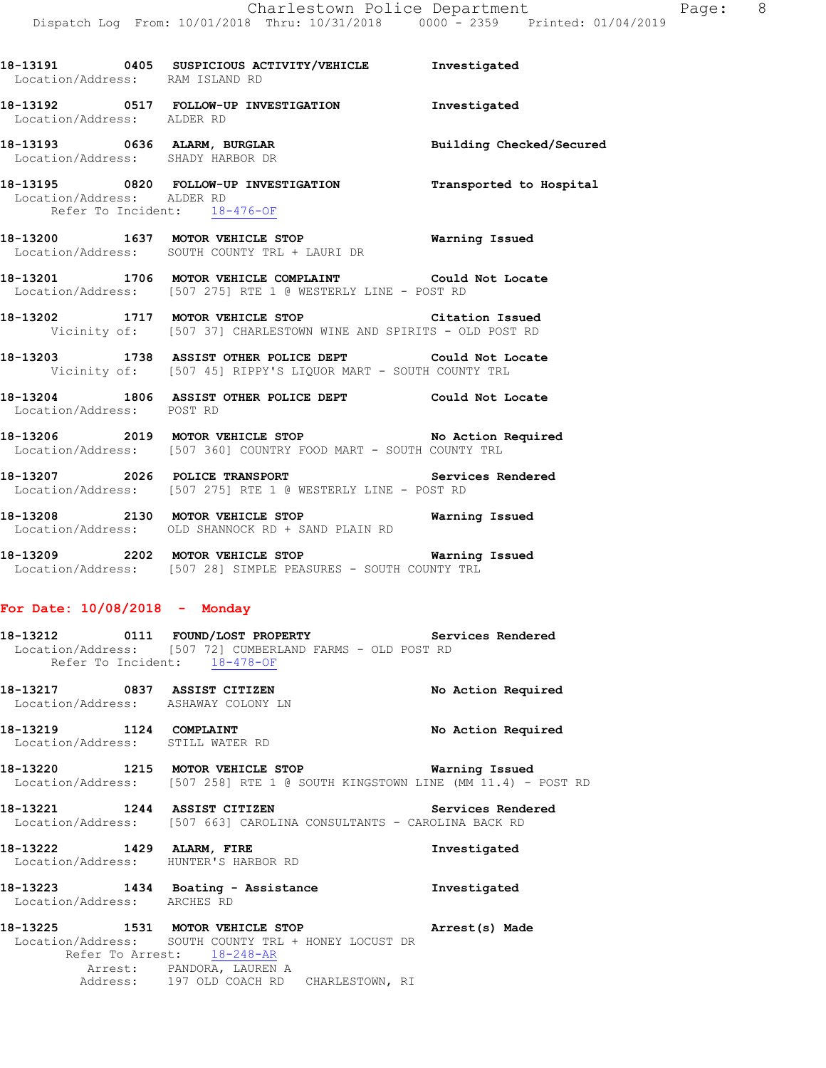| Location/Address: RAM ISLAND RD                            |                                                                                                                         |  |
|------------------------------------------------------------|-------------------------------------------------------------------------------------------------------------------------|--|
| Location/Address: ALDER RD                                 | 18-13192 0517 FOLLOW-UP INVESTIGATION Investigated                                                                      |  |
| Location/Address: SHADY HARBOR DR                          | 18-13193 0636 ALARM, BURGLAR <b>Example 18 and Solution Checked/Secured</b>                                             |  |
| Location/Address: ALDER RD<br>Refer To Incident: 18-476-OF | 18-13195 0820 FOLLOW-UP INVESTIGATION Transported to Hospital                                                           |  |
|                                                            | 18-13200 1637 MOTOR VEHICLE STOP <b>Warning Issued</b><br>Location/Address: SOUTH COUNTY TRL + LAURI DR                 |  |
|                                                            | 18-13201 1706 MOTOR VEHICLE COMPLAINT Could Not Locate<br>Location/Address: [507 275] RTE 1 @ WESTERLY LINE - POST RD   |  |
|                                                            | 18-13202 1717 MOTOR VEHICLE STOP Citation Issued<br>Vicinity of: [507 37] CHARLESTOWN WINE AND SPIRITS - OLD POST RD    |  |
|                                                            | 18-13203 1738 ASSIST OTHER POLICE DEPT Could Not Locate<br>Vicinity of: [507 45] RIPPY'S LIQUOR MART - SOUTH COUNTY TRL |  |
| Location/Address: POST RD                                  | 18-13204 1806 ASSIST OTHER POLICE DEPT Could Not Locate                                                                 |  |
|                                                            | 18-13206 2019 MOTOR VEHICLE STOP No Action Required<br>Location/Address: [507 360] COUNTRY FOOD MART - SOUTH COUNTY TRL |  |
|                                                            | 18-13207 2026 POLICE TRANSPORT Services Rendered<br>Location/Address: [507 275] RTE 1 @ WESTERLY LINE - POST RD         |  |
|                                                            | 18-13208 2130 MOTOR VEHICLE STOP 6 Warning Issued<br>Location/Address: OLD SHANNOCK RD + SAND PLAIN RD                  |  |

**18-13209 2202 MOTOR VEHICLE STOP Warning Issued**  Location/Address: [507 28] SIMPLE PEASURES - SOUTH COUNTY TRL

## **For Date: 10/08/2018 - Monday**

- **18-13212 0111 FOUND/LOST PROPERTY Services Rendered**  Location/Address: [507 72] CUMBERLAND FARMS - OLD POST RD Refer To Incident: 18-478-OF
- **18-13217 0837 ASSIST CITIZEN No Action Required**  Location/Address: ASHAWAY COLONY LN
- **18-13219 1124 COMPLAINT No Action Required**  Location/Address: STILL WATER RD
- **18-13220 1215 MOTOR VEHICLE STOP Warning Issued**  Location/Address: [507 258] RTE 1 @ SOUTH KINGSTOWN LINE (MM 11.4) - POST RD
- **18-13221 1244 ASSIST CITIZEN Services Rendered**  Location/Address: [507 663] CAROLINA CONSULTANTS - CAROLINA BACK RD
- **18-13222 1429 ALARM, FIRE Investigated**  Location/Address: HUNTER'S HARBOR RD
- **18-13223 1434 Boating Assistance Investigated**  Location/Address: ARCHES RD
- **18-13225 1531 MOTOR VEHICLE STOP Arrest(s) Made**  Location/Address: SOUTH COUNTY TRL + HONEY LOCUST DR Refer To Arrest: 18-248-AR Arrest: PANDORA, LAUREN A Address: 197 OLD COACH RD CHARLESTOWN, RI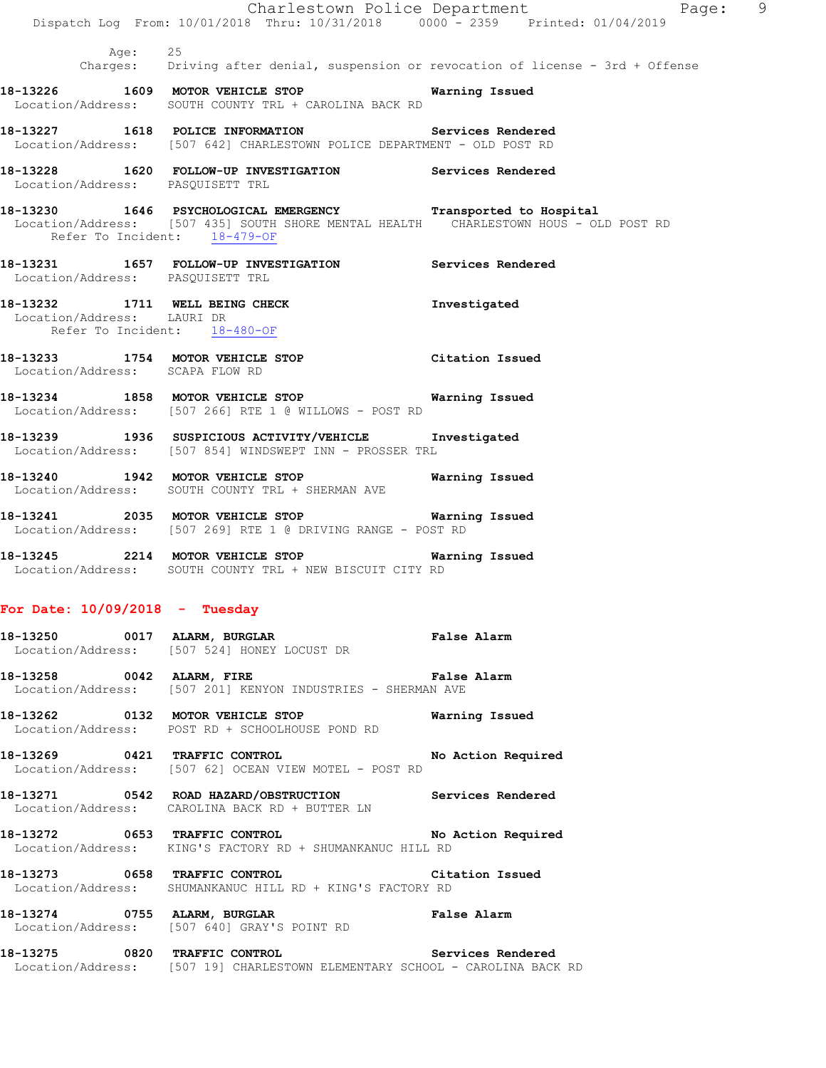| Age: 25<br>Charges: Driving after denial, suspension or revocation of license - 3rd + Offense<br>Warning Issued<br>18-13227 1618 POLICE INFORMATION Services Rendered<br>Location/Address: [507 642] CHARLESTOWN POLICE DEPARTMENT - OLD POST RD<br>18-13228 1620 FOLLOW-UP INVESTIGATION Services Rendered<br>Location/Address: PASQUISETT TRL<br>18-13230 1646 PSYCHOLOGICAL EMERGENCY Transported to Hospital<br>Location/Address: [507 435] SOUTH SHORE MENTAL HEALTH CHARLESTOWN HOUS - OLD POST RD<br>Refer To Incident: 18-479-OF<br>18-13231 1657 FOLLOW-UP INVESTIGATION Services Rendered<br>Location/Address: PASQUISETT TRL<br>18-13232 1711 WELL BEING CHECK<br>Investigated<br>Location/Address: LAURI DR<br>Refer To Incident: 18-480-OF<br>18-13233 1754 MOTOR VEHICLE STOP Citation Issued<br>Location/Address: SCAPA FLOW RD<br>Warning Issued<br>18-13239 1936 SUSPICIOUS ACTIVITY/VEHICLE Investigated<br>Location/Address: [507 854] WINDSWEPT INN - PROSSER TRL<br>18-13240 1942 MOTOR VEHICLE STOP<br>Warning Issued<br>Location/Address: SOUTH COUNTY TRL + SHERMAN AVE<br>18-13241 2035 MOTOR VEHICLE STOP 6 Warning Issued<br>Location/Address: [507 269] RTE 1 @ DRIVING RANGE - POST RD<br>18-13245 2214 MOTOR VEHICLE STOP <b>Warning Issued</b><br>Location/Address: SOUTH COUNTY TRL + NEW BISCUIT CITY RD<br>18-13250 0017 ALARM, BURGLAR 1999 1999 Palse Alarm<br>Location/Address: [507 524] HONEY LOCUST DR<br>18-13258 0042 ALARM, FIRE <b>Example 2018</b> False Alarm<br>Location/Address: [507 201] KENYON INDUSTRIES - SHERMAN AVE<br>Warning Issued<br>Location/Address: POST RD + SCHOOLHOUSE POND RD<br>18-13269 0421 TRAFFIC CONTROL No Action Required<br>Location/Address: [507 62] OCEAN VIEW MOTEL - POST RD<br>18-13272 0653 TRAFFIC CONTROL No Action Required<br>Location/Address: KING'S FACTORY RD + SHUMANKANUC HILL RD<br>18-13273 0658 TRAFFIC CONTROL CONTROL Citation Issued<br>Location/Address: SHUMANKANUC HILL RD + KING'S FACTORY RD<br>False Alarm<br>Location/Address: [507 640] GRAY'S POINT RD<br>Location/Address: [507 19] CHARLESTOWN ELEMENTARY SCHOOL - CAROLINA BACK RD | Dispatch Log From: 10/01/2018 Thru: 10/31/2018 0000 - 2359 Printed: 01/04/2019 | Charlestown Police Department<br>Page: 9 |  |
|--------------------------------------------------------------------------------------------------------------------------------------------------------------------------------------------------------------------------------------------------------------------------------------------------------------------------------------------------------------------------------------------------------------------------------------------------------------------------------------------------------------------------------------------------------------------------------------------------------------------------------------------------------------------------------------------------------------------------------------------------------------------------------------------------------------------------------------------------------------------------------------------------------------------------------------------------------------------------------------------------------------------------------------------------------------------------------------------------------------------------------------------------------------------------------------------------------------------------------------------------------------------------------------------------------------------------------------------------------------------------------------------------------------------------------------------------------------------------------------------------------------------------------------------------------------------------------------------------------------------------------------------------------------------------------------------------------------------------------------------------------------------------------------------------------------------------------------------------------------------------------------------------------------------------------------------------------------------------------------------------------------------------------------------------------------------------------------------------------------------------------------------------|--------------------------------------------------------------------------------|------------------------------------------|--|
| 18-13226 1609 MOTOR VEHICLE STOP<br>Location/Address: SOUTH COUNTY TRL + CAROLINA BACK RD<br>18-13234 1858 MOTOR VEHICLE STOP<br>Location/Address: [507 266] RTE 1 @ WILLOWS - POST RD<br>For Date: $10/09/2018$ - Tuesday<br>18-13262 0132 MOTOR VEHICLE STOP<br>18-13271 0542 ROAD HAZARD/OBSTRUCTION Services Rendered<br>Location/Address: CAROLINA BACK RD + BUTTER LN<br>18-13274 0755 ALARM, BURGLAR<br>18-13275 0820 TRAFFIC CONTROL Services Rendered                                                                                                                                                                                                                                                                                                                                                                                                                                                                                                                                                                                                                                                                                                                                                                                                                                                                                                                                                                                                                                                                                                                                                                                                                                                                                                                                                                                                                                                                                                                                                                                                                                                                                   |                                                                                |                                          |  |
|                                                                                                                                                                                                                                                                                                                                                                                                                                                                                                                                                                                                                                                                                                                                                                                                                                                                                                                                                                                                                                                                                                                                                                                                                                                                                                                                                                                                                                                                                                                                                                                                                                                                                                                                                                                                                                                                                                                                                                                                                                                                                                                                                  |                                                                                |                                          |  |
|                                                                                                                                                                                                                                                                                                                                                                                                                                                                                                                                                                                                                                                                                                                                                                                                                                                                                                                                                                                                                                                                                                                                                                                                                                                                                                                                                                                                                                                                                                                                                                                                                                                                                                                                                                                                                                                                                                                                                                                                                                                                                                                                                  |                                                                                |                                          |  |
|                                                                                                                                                                                                                                                                                                                                                                                                                                                                                                                                                                                                                                                                                                                                                                                                                                                                                                                                                                                                                                                                                                                                                                                                                                                                                                                                                                                                                                                                                                                                                                                                                                                                                                                                                                                                                                                                                                                                                                                                                                                                                                                                                  |                                                                                |                                          |  |
|                                                                                                                                                                                                                                                                                                                                                                                                                                                                                                                                                                                                                                                                                                                                                                                                                                                                                                                                                                                                                                                                                                                                                                                                                                                                                                                                                                                                                                                                                                                                                                                                                                                                                                                                                                                                                                                                                                                                                                                                                                                                                                                                                  |                                                                                |                                          |  |
|                                                                                                                                                                                                                                                                                                                                                                                                                                                                                                                                                                                                                                                                                                                                                                                                                                                                                                                                                                                                                                                                                                                                                                                                                                                                                                                                                                                                                                                                                                                                                                                                                                                                                                                                                                                                                                                                                                                                                                                                                                                                                                                                                  |                                                                                |                                          |  |
|                                                                                                                                                                                                                                                                                                                                                                                                                                                                                                                                                                                                                                                                                                                                                                                                                                                                                                                                                                                                                                                                                                                                                                                                                                                                                                                                                                                                                                                                                                                                                                                                                                                                                                                                                                                                                                                                                                                                                                                                                                                                                                                                                  |                                                                                |                                          |  |
|                                                                                                                                                                                                                                                                                                                                                                                                                                                                                                                                                                                                                                                                                                                                                                                                                                                                                                                                                                                                                                                                                                                                                                                                                                                                                                                                                                                                                                                                                                                                                                                                                                                                                                                                                                                                                                                                                                                                                                                                                                                                                                                                                  |                                                                                |                                          |  |
|                                                                                                                                                                                                                                                                                                                                                                                                                                                                                                                                                                                                                                                                                                                                                                                                                                                                                                                                                                                                                                                                                                                                                                                                                                                                                                                                                                                                                                                                                                                                                                                                                                                                                                                                                                                                                                                                                                                                                                                                                                                                                                                                                  |                                                                                |                                          |  |
|                                                                                                                                                                                                                                                                                                                                                                                                                                                                                                                                                                                                                                                                                                                                                                                                                                                                                                                                                                                                                                                                                                                                                                                                                                                                                                                                                                                                                                                                                                                                                                                                                                                                                                                                                                                                                                                                                                                                                                                                                                                                                                                                                  |                                                                                |                                          |  |
|                                                                                                                                                                                                                                                                                                                                                                                                                                                                                                                                                                                                                                                                                                                                                                                                                                                                                                                                                                                                                                                                                                                                                                                                                                                                                                                                                                                                                                                                                                                                                                                                                                                                                                                                                                                                                                                                                                                                                                                                                                                                                                                                                  |                                                                                |                                          |  |
|                                                                                                                                                                                                                                                                                                                                                                                                                                                                                                                                                                                                                                                                                                                                                                                                                                                                                                                                                                                                                                                                                                                                                                                                                                                                                                                                                                                                                                                                                                                                                                                                                                                                                                                                                                                                                                                                                                                                                                                                                                                                                                                                                  |                                                                                |                                          |  |
|                                                                                                                                                                                                                                                                                                                                                                                                                                                                                                                                                                                                                                                                                                                                                                                                                                                                                                                                                                                                                                                                                                                                                                                                                                                                                                                                                                                                                                                                                                                                                                                                                                                                                                                                                                                                                                                                                                                                                                                                                                                                                                                                                  |                                                                                |                                          |  |
|                                                                                                                                                                                                                                                                                                                                                                                                                                                                                                                                                                                                                                                                                                                                                                                                                                                                                                                                                                                                                                                                                                                                                                                                                                                                                                                                                                                                                                                                                                                                                                                                                                                                                                                                                                                                                                                                                                                                                                                                                                                                                                                                                  |                                                                                |                                          |  |
|                                                                                                                                                                                                                                                                                                                                                                                                                                                                                                                                                                                                                                                                                                                                                                                                                                                                                                                                                                                                                                                                                                                                                                                                                                                                                                                                                                                                                                                                                                                                                                                                                                                                                                                                                                                                                                                                                                                                                                                                                                                                                                                                                  |                                                                                |                                          |  |
|                                                                                                                                                                                                                                                                                                                                                                                                                                                                                                                                                                                                                                                                                                                                                                                                                                                                                                                                                                                                                                                                                                                                                                                                                                                                                                                                                                                                                                                                                                                                                                                                                                                                                                                                                                                                                                                                                                                                                                                                                                                                                                                                                  |                                                                                |                                          |  |
|                                                                                                                                                                                                                                                                                                                                                                                                                                                                                                                                                                                                                                                                                                                                                                                                                                                                                                                                                                                                                                                                                                                                                                                                                                                                                                                                                                                                                                                                                                                                                                                                                                                                                                                                                                                                                                                                                                                                                                                                                                                                                                                                                  |                                                                                |                                          |  |
|                                                                                                                                                                                                                                                                                                                                                                                                                                                                                                                                                                                                                                                                                                                                                                                                                                                                                                                                                                                                                                                                                                                                                                                                                                                                                                                                                                                                                                                                                                                                                                                                                                                                                                                                                                                                                                                                                                                                                                                                                                                                                                                                                  |                                                                                |                                          |  |
|                                                                                                                                                                                                                                                                                                                                                                                                                                                                                                                                                                                                                                                                                                                                                                                                                                                                                                                                                                                                                                                                                                                                                                                                                                                                                                                                                                                                                                                                                                                                                                                                                                                                                                                                                                                                                                                                                                                                                                                                                                                                                                                                                  |                                                                                |                                          |  |
|                                                                                                                                                                                                                                                                                                                                                                                                                                                                                                                                                                                                                                                                                                                                                                                                                                                                                                                                                                                                                                                                                                                                                                                                                                                                                                                                                                                                                                                                                                                                                                                                                                                                                                                                                                                                                                                                                                                                                                                                                                                                                                                                                  |                                                                                |                                          |  |
|                                                                                                                                                                                                                                                                                                                                                                                                                                                                                                                                                                                                                                                                                                                                                                                                                                                                                                                                                                                                                                                                                                                                                                                                                                                                                                                                                                                                                                                                                                                                                                                                                                                                                                                                                                                                                                                                                                                                                                                                                                                                                                                                                  |                                                                                |                                          |  |
|                                                                                                                                                                                                                                                                                                                                                                                                                                                                                                                                                                                                                                                                                                                                                                                                                                                                                                                                                                                                                                                                                                                                                                                                                                                                                                                                                                                                                                                                                                                                                                                                                                                                                                                                                                                                                                                                                                                                                                                                                                                                                                                                                  |                                                                                |                                          |  |
|                                                                                                                                                                                                                                                                                                                                                                                                                                                                                                                                                                                                                                                                                                                                                                                                                                                                                                                                                                                                                                                                                                                                                                                                                                                                                                                                                                                                                                                                                                                                                                                                                                                                                                                                                                                                                                                                                                                                                                                                                                                                                                                                                  |                                                                                |                                          |  |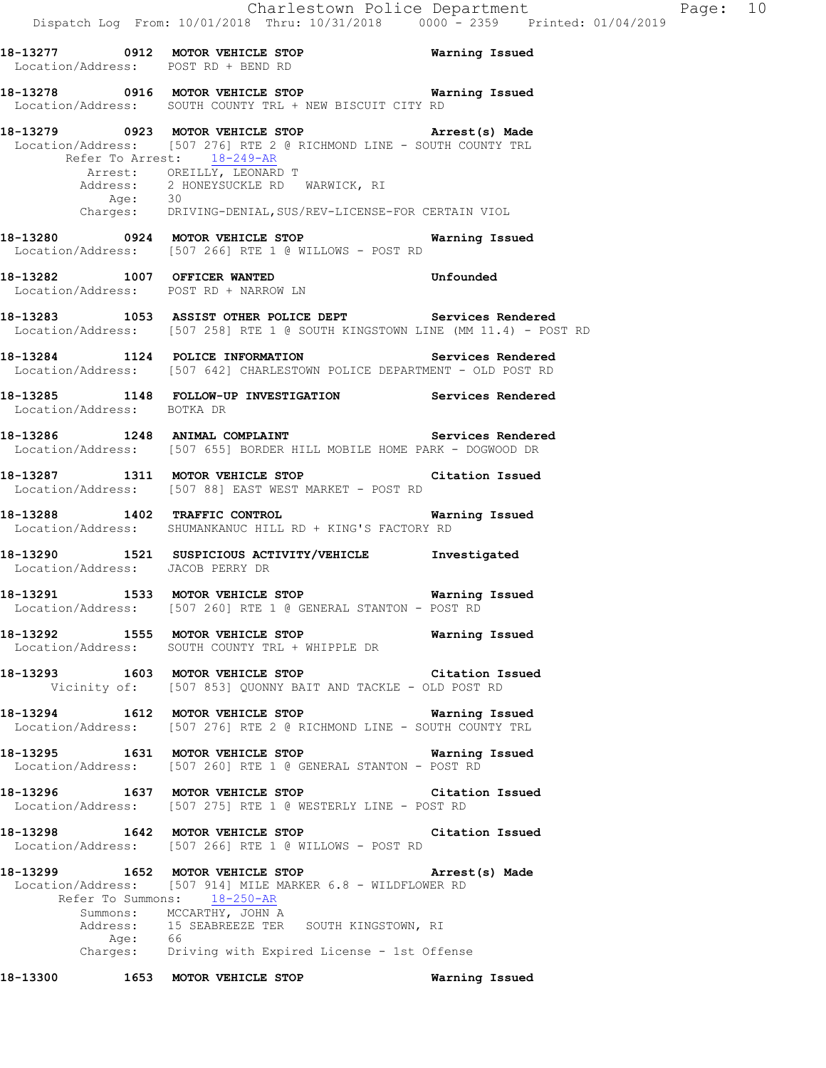**18-13277 0912 MOTOR VEHICLE STOP Warning Issued**  Location/Address: POST RD + BEND RD **18-13278 0916 MOTOR VEHICLE STOP Warning Issued**  Location/Address: SOUTH COUNTY TRL + NEW BISCUIT CITY RD **18-13279 0923 MOTOR VEHICLE STOP Arrest(s) Made**  Location/Address: [507 276] RTE 2 @ RICHMOND LINE - SOUTH COUNTY TRL Refer To Arrest: 18-249-AR Arrest: OREILLY, LEONARD T 2 HONEYSUCKLE RD WARWICK, RI Affect<br>Address: 2 m Charges: DRIVING-DENIAL,SUS/REV-LICENSE-FOR CERTAIN VIOL **18-13280 0924 MOTOR VEHICLE STOP Warning Issued**  Location/Address: [507 266] RTE 1 @ WILLOWS - POST RD **18-13282 1007 OFFICER WANTED Unfounded**  Location/Address: POST RD + NARROW LN **18-13283 1053 ASSIST OTHER POLICE DEPT Services Rendered**  Location/Address: [507 258] RTE 1 @ SOUTH KINGSTOWN LINE (MM 11.4) - POST RD **18-13284 1124 POLICE INFORMATION Services Rendered**  Location/Address: [507 642] CHARLESTOWN POLICE DEPARTMENT - OLD POST RD **18-13285 1148 FOLLOW-UP INVESTIGATION Services Rendered**  Location/Address: BOTKA DR 18-13286 1248 ANIMAL COMPLAINT **18-13286** Services Rendered Location/Address: [507 655] BORDER HILL MOBILE HOME PARK - DOGWOOD DR **18-13287 1311 MOTOR VEHICLE STOP Citation Issued**  Location/Address: [507 88] EAST WEST MARKET - POST RD **18-13288 1402 TRAFFIC CONTROL Warning Issued**  Location/Address: SHUMANKANUC HILL RD + KING'S FACTORY RD **18-13290 1521 SUSPICIOUS ACTIVITY/VEHICLE Investigated**  Location/Address: JACOB PERRY DR **18-13291 1533 MOTOR VEHICLE STOP Warning Issued**  Location/Address: [507 260] RTE 1 @ GENERAL STANTON - POST RD **18-13292 1555 MOTOR VEHICLE STOP Warning Issued**  Location/Address: SOUTH COUNTY TRL + WHIPPLE DR **18-13293 1603 MOTOR VEHICLE STOP Citation Issued**  Vicinity of: [507 853] QUONNY BAIT AND TACKLE - OLD POST RD **18-13294 1612 MOTOR VEHICLE STOP Warning Issued**  Location/Address: [507 276] RTE 2 @ RICHMOND LINE - SOUTH COUNTY TRL **18-13295 1631 MOTOR VEHICLE STOP Warning Issued**  Location/Address: [507 260] RTE 1 @ GENERAL STANTON - POST RD **18-13296 1637 MOTOR VEHICLE STOP Citation Issued**  Location/Address: [507 275] RTE 1 @ WESTERLY LINE - POST RD **18-13298 1642 MOTOR VEHICLE STOP Citation Issued**  Location/Address: [507 266] RTE 1 @ WILLOWS - POST RD **18-13299 1652 MOTOR VEHICLE STOP Arrest(s) Made**  Location/Address: [507 914] MILE MARKER 6.8 - WILDFLOWER RD Refer To Summons: 18-250-AR Summons: MCCARTHY, JOHN A<br>Address: 15 SEABREEZE TER 15 SEABREEZE TER SOUTH KINGSTOWN, RI

Age: 66<br>Charges: Dri Driving with Expired License - 1st Offense

**18-13300 1653 MOTOR VEHICLE STOP Warning Issued**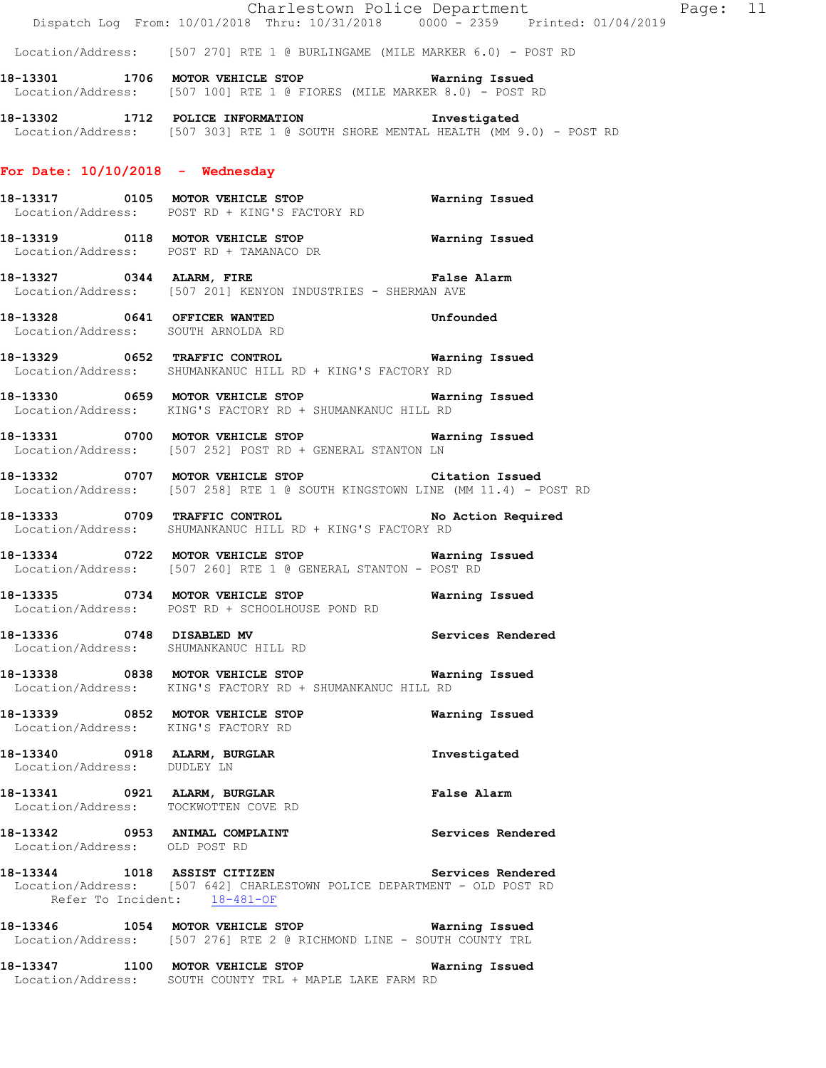Location/Address: [507 270] RTE 1 @ BURLINGAME (MILE MARKER 6.0) - POST RD

**18-13301 1706 MOTOR VEHICLE STOP Warning Issued**  Location/Address: [507 100] RTE 1 @ FIORES (MILE MARKER 8.0) - POST RD

**18-13302 1712 POLICE INFORMATION Investigated**  Location/Address: [507 303] RTE 1 @ SOUTH SHORE MENTAL HEALTH (MM 9.0) - POST RD

# **For Date: 10/10/2018 - Wednesday**

- **18-13317 0105 MOTOR VEHICLE STOP Warning Issued**  Location/Address: POST RD + KING'S FACTORY RD
- **18-13319 0118 MOTOR VEHICLE STOP Warning Issued**  Location/Address: POST RD + TAMANACO DR
- **18-13327 0344 ALARM, FIRE False Alarm**  Location/Address: [507 201] KENYON INDUSTRIES - SHERMAN AVE
- **18-13328 0641 OFFICER WANTED Unfounded**  Location/Address: SOUTH ARNOLDA RD
- **18-13329 0652 TRAFFIC CONTROL Warning Issued**  Location/Address: SHUMANKANUC HILL RD + KING'S FACTORY RD
- **18-13330 0659 MOTOR VEHICLE STOP Warning Issued**  Location/Address: KING'S FACTORY RD + SHUMANKANUC HILL RD
- **18-13331 0700 MOTOR VEHICLE STOP Warning Issued**  Location/Address: [507 252] POST RD + GENERAL STANTON LN
- **18-13332 0707 MOTOR VEHICLE STOP Citation Issued**  Location/Address: [507 258] RTE 1 @ SOUTH KINGSTOWN LINE (MM 11.4) - POST RD
- **18-13333 0709 TRAFFIC CONTROL No Action Required**  Location/Address: SHUMANKANUC HILL RD + KING'S FACTORY RD
- **18-13334 0722 MOTOR VEHICLE STOP Warning Issued**  Location/Address: [507 260] RTE 1 @ GENERAL STANTON - POST RD
- **18-13335 0734 MOTOR VEHICLE STOP Warning Issued**  Location/Address: POST RD + SCHOOLHOUSE POND RD
- **18-13336 0748 DISABLED MV Services Rendered**  Location/Address: SHUMANKANUC HILL RD
- **18-13338 0838 MOTOR VEHICLE STOP Warning Issued**  Location/Address: KING'S FACTORY RD + SHUMANKANUC HILL RD
- **18-13339 0852 MOTOR VEHICLE STOP Warning Issued**  Location/Address: KING'S FACTORY RD
- **18-13340 0918 ALARM, BURGLAR Investigated**  Location/Address: DUDLEY LN
- **18-13341 0921 ALARM, BURGLAR False Alarm**  Location/Address: TOCKWOTTEN COVE RD
- **18-13342 0953 ANIMAL COMPLAINT Services Rendered**  Location/Address: OLD POST RD
- **18-13344 1018 ASSIST CITIZEN Services Rendered**  Location/Address: [507 642] CHARLESTOWN POLICE DEPARTMENT - OLD POST RD Refer To Incident: 18-481-OF
- **18-13346 1054 MOTOR VEHICLE STOP Warning Issued**  Location/Address: [507 276] RTE 2 @ RICHMOND LINE - SOUTH COUNTY TRL
- **18-13347 1100 MOTOR VEHICLE STOP Warning Issued**  Location/Address: SOUTH COUNTY TRL + MAPLE LAKE FARM RD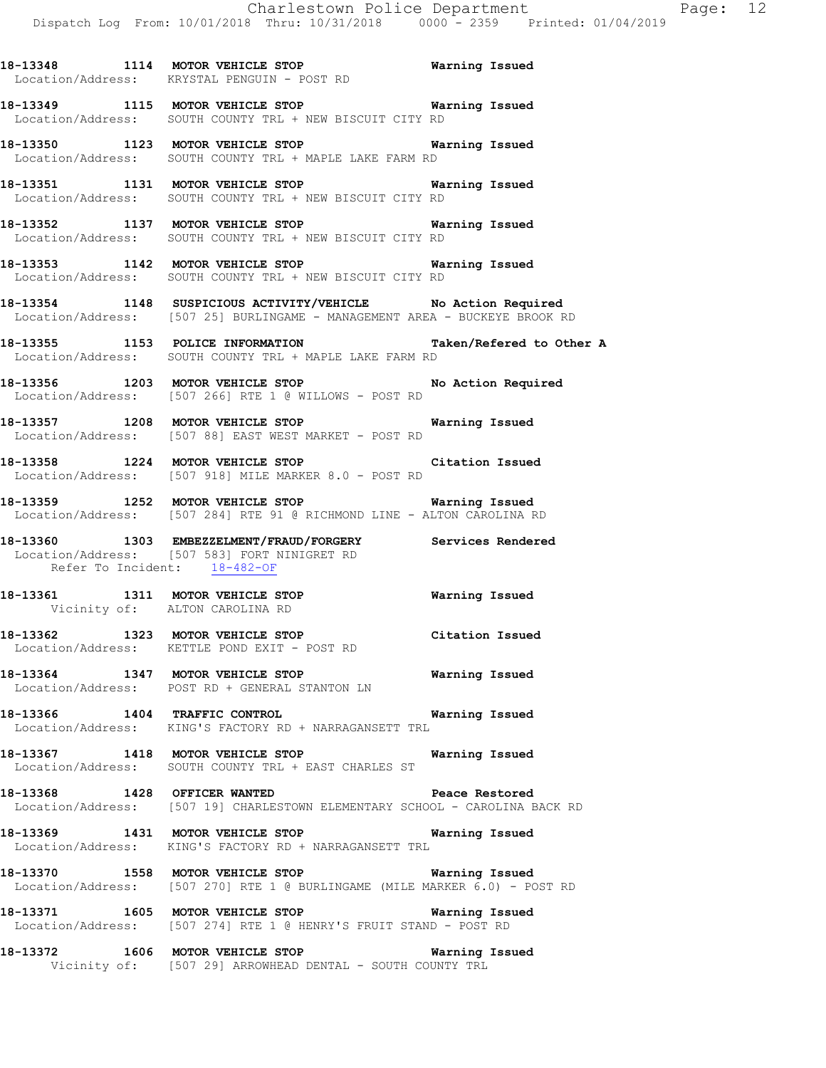**18-13348 1114 MOTOR VEHICLE STOP Warning Issued**  Location/Address: KRYSTAL PENGUIN - POST RD

**18-13349 1115 MOTOR VEHICLE STOP Warning Issued**  Location/Address: SOUTH COUNTY TRL + NEW BISCUIT CITY RD

**18-13350 1123 MOTOR VEHICLE STOP Warning Issued**  Location/Address: SOUTH COUNTY TRL + MAPLE LAKE FARM RD

**18-13351 1131 MOTOR VEHICLE STOP Warning Issued**  Location/Address: SOUTH COUNTY TRL + NEW BISCUIT CITY RD

**18-13352 1137 MOTOR VEHICLE STOP Warning Issued**  Location/Address: SOUTH COUNTY TRL + NEW BISCUIT CITY RD

**18-13353 1142 MOTOR VEHICLE STOP Warning Issued**  Location/Address: SOUTH COUNTY TRL + NEW BISCUIT CITY RD

**18-13354 1148 SUSPICIOUS ACTIVITY/VEHICLE No Action Required**  Location/Address: [507 25] BURLINGAME - MANAGEMENT AREA - BUCKEYE BROOK RD

**18-13355 1153 POLICE INFORMATION Taken/Refered to Other A**  Location/Address: SOUTH COUNTY TRL + MAPLE LAKE FARM RD

**18-13356 1203 MOTOR VEHICLE STOP No Action Required**  Location/Address: [507 266] RTE 1 @ WILLOWS - POST RD

**18-13357 1208 MOTOR VEHICLE STOP Warning Issued**  Location/Address: [507 88] EAST WEST MARKET - POST RD

**18-13358 1224 MOTOR VEHICLE STOP Citation Issued**  Location/Address: [507 918] MILE MARKER 8.0 - POST RD

**18-13359 1252 MOTOR VEHICLE STOP Warning Issued**  Location/Address: [507 284] RTE 91 @ RICHMOND LINE - ALTON CAROLINA RD

**18-13360 1303 EMBEZZELMENT/FRAUD/FORGERY Services Rendered**  Location/Address: [507 583] FORT NINIGRET RD<br>Refer To Incident: 18-482-OF Refer To Incident:

**18-13361 1311 MOTOR VEHICLE STOP Warning Issued**  Vicinity of: ALTON CAROLINA RD

**18-13362 1323 MOTOR VEHICLE STOP Citation Issued**  Location/Address: KETTLE POND EXIT - POST RD

**18-13364 1347 MOTOR VEHICLE STOP Warning Issued**  Location/Address: POST RD + GENERAL STANTON LN

**18-13366 1404 TRAFFIC CONTROL Warning Issued**  Location/Address: KING'S FACTORY RD + NARRAGANSETT TRL

**18-13367 1418 MOTOR VEHICLE STOP Warning Issued**  Location/Address: SOUTH COUNTY TRL + EAST CHARLES ST

**18-13368 1428 OFFICER WANTED Peace Restored**  Location/Address: [507 19] CHARLESTOWN ELEMENTARY SCHOOL - CAROLINA BACK RD

**18-13369 1431 MOTOR VEHICLE STOP Warning Issued**  Location/Address: KING'S FACTORY RD + NARRAGANSETT TRL

**18-13370 1558 MOTOR VEHICLE STOP Warning Issued**  Location/Address: [507 270] RTE 1 @ BURLINGAME (MILE MARKER 6.0) - POST RD

**18-13371 1605 MOTOR VEHICLE STOP Warning Issued**  Location/Address: [507 274] RTE 1 @ HENRY'S FRUIT STAND - POST RD

**18-13372 1606 MOTOR VEHICLE STOP Warning Issued**  Vicinity of: [507 29] ARROWHEAD DENTAL - SOUTH COUNTY TRL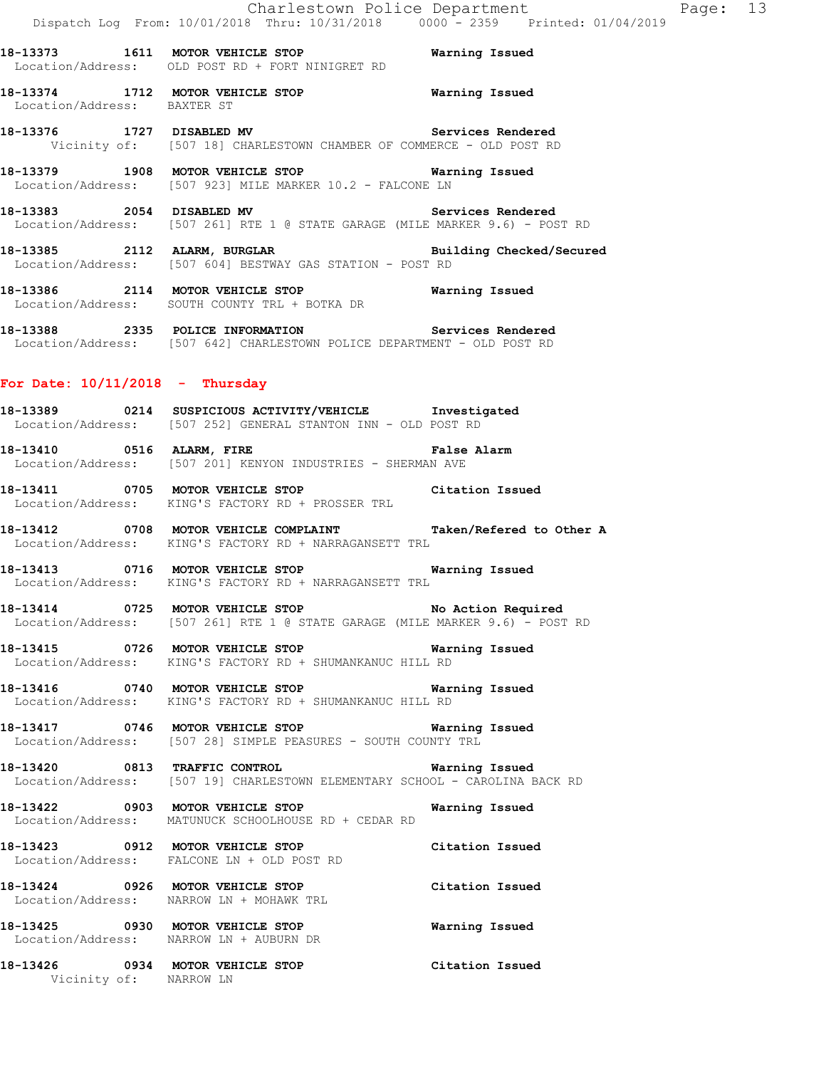**18-13374 1712 MOTOR VEHICLE STOP Warning Issued**  Location/Address: BAXTER ST

**18-13376 1727 DISABLED MV Services Rendered**  Vicinity of: [507 18] CHARLESTOWN CHAMBER OF COMMERCE - OLD POST RD

**18-13379 1908 MOTOR VEHICLE STOP Warning Issued**  Location/Address: [507 923] MILE MARKER 10.2 - FALCONE LN

**18-13383 2054 DISABLED MV Services Rendered**  Location/Address: [507 261] RTE 1 @ STATE GARAGE (MILE MARKER 9.6) - POST RD

**18-13385 2112 ALARM, BURGLAR Building Checked/Secured**  Location/Address: [507 604] BESTWAY GAS STATION - POST RD

**18-13386 2114 MOTOR VEHICLE STOP Warning Issued**  Location/Address: SOUTH COUNTY TRL + BOTKA DR

**18-13388 2335 POLICE INFORMATION Services Rendered**  Location/Address: [507 642] CHARLESTOWN POLICE DEPARTMENT - OLD POST RD

#### **For Date: 10/11/2018 - Thursday**

**18-13389 0214 SUSPICIOUS ACTIVITY/VEHICLE Investigated**  Location/Address: [507 252] GENERAL STANTON INN - OLD POST RD

**18-13410 0516 ALARM, FIRE False Alarm**  Location/Address: [507 201] KENYON INDUSTRIES - SHERMAN AVE

**18-13411 0705 MOTOR VEHICLE STOP Citation Issued**  Location/Address: KING'S FACTORY RD + PROSSER TRL

**18-13412 0708 MOTOR VEHICLE COMPLAINT Taken/Refered to Other A**  Location/Address: KING'S FACTORY RD + NARRAGANSETT TRL

**18-13413 0716 MOTOR VEHICLE STOP Warning Issued**  Location/Address: KING'S FACTORY RD + NARRAGANSETT TRL

**18-13414 0725 MOTOR VEHICLE STOP No Action Required**  Location/Address: [507 261] RTE 1 @ STATE GARAGE (MILE MARKER 9.6) - POST RD

**18-13415 0726 MOTOR VEHICLE STOP Warning Issued**  Location/Address: KING'S FACTORY RD + SHUMANKANUC HILL RD

**18-13416 0740 MOTOR VEHICLE STOP Warning Issued**  Location/Address: KING'S FACTORY RD + SHUMANKANUC HILL RD

**18-13417 0746 MOTOR VEHICLE STOP Warning Issued**  Location/Address: [507 28] SIMPLE PEASURES - SOUTH COUNTY TRL

**18-13420 0813 TRAFFIC CONTROL Warning Issued**  Location/Address: [507 19] CHARLESTOWN ELEMENTARY SCHOOL - CAROLINA BACK RD

**18-13422 0903 MOTOR VEHICLE STOP Warning Issued**  Location/Address: MATUNUCK SCHOOLHOUSE RD + CEDAR RD

**18-13423 0912 MOTOR VEHICLE STOP Citation Issued**  Location/Address: FALCONE LN + OLD POST RD

**18-13424 0926 MOTOR VEHICLE STOP Citation Issued**  Location/Address: NARROW LN + MOHAWK TRL

**18-13425 0930 MOTOR VEHICLE STOP Warning Issued**  Location/Address: NARROW LN + AUBURN DR

**18-13426 0934 MOTOR VEHICLE STOP Citation Issued**  Vicinity of: NARROW LN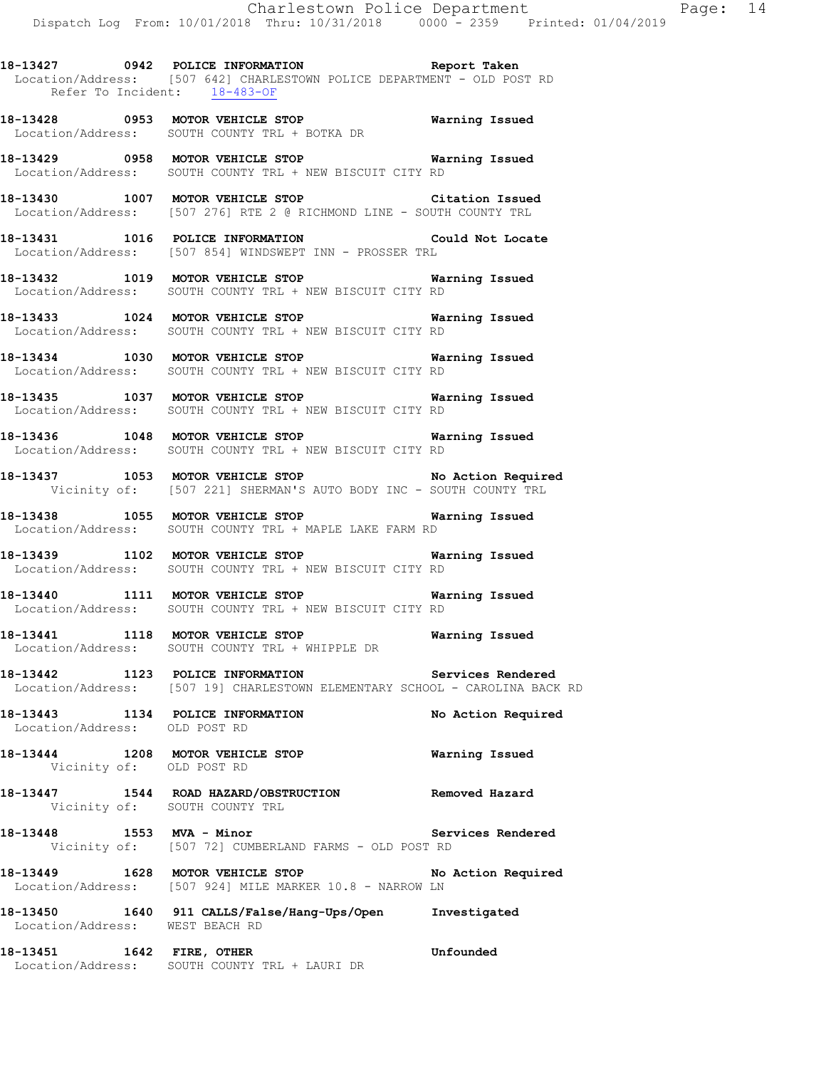Refer To Incident: 18-483-OF

**18-13428 0953 MOTOR VEHICLE STOP Warning Issued**  Location/Address: SOUTH COUNTY TRL + BOTKA DR

**18-13429 0958 MOTOR VEHICLE STOP Warning Issued**  Location/Address: SOUTH COUNTY TRL + NEW BISCUIT CITY RD

**18-13430 1007 MOTOR VEHICLE STOP Citation Issued**  Location/Address: [507 276] RTE 2 @ RICHMOND LINE - SOUTH COUNTY TRL

**18-13431 1016 POLICE INFORMATION Could Not Locate**  Location/Address: [507 854] WINDSWEPT INN - PROSSER TRL

**18-13432 1019 MOTOR VEHICLE STOP Warning Issued**  Location/Address: SOUTH COUNTY TRL + NEW BISCUIT CITY RD

**18-13433 1024 MOTOR VEHICLE STOP Warning Issued**  Location/Address: SOUTH COUNTY TRL + NEW BISCUIT CITY RD

**18-13434 1030 MOTOR VEHICLE STOP Warning Issued**  Location/Address: SOUTH COUNTY TRL + NEW BISCUIT CITY RD

**18-13435 1037 MOTOR VEHICLE STOP Warning Issued**  Location/Address: SOUTH COUNTY TRL + NEW BISCUIT CITY RD

**18-13436 1048 MOTOR VEHICLE STOP Warning Issued**  Location/Address: SOUTH COUNTY TRL + NEW BISCUIT CITY RD

**18-13437 1053 MOTOR VEHICLE STOP No Action Required**  Vicinity of: [507 221] SHERMAN'S AUTO BODY INC - SOUTH COUNTY TRL

**18-13438 1055 MOTOR VEHICLE STOP Warning Issued**  Location/Address: SOUTH COUNTY TRL + MAPLE LAKE FARM RD

**18-13439 1102 MOTOR VEHICLE STOP Warning Issued**  Location/Address: SOUTH COUNTY TRL + NEW BISCUIT CITY RD

**18-13440 1111 MOTOR VEHICLE STOP Warning Issued**  Location/Address: SOUTH COUNTY TRL + NEW BISCUIT CITY RD

**18-13441 1118 MOTOR VEHICLE STOP Warning Issued**  Location/Address: SOUTH COUNTY TRL + WHIPPLE DR

**18-13442 1123 POLICE INFORMATION Services Rendered**  Location/Address: [507 19] CHARLESTOWN ELEMENTARY SCHOOL - CAROLINA BACK RD

**18-13443 1134 POLICE INFORMATION No Action Required**  Location/Address: OLD POST RD

**18-13444 1208 MOTOR VEHICLE STOP Warning Issued**  Vicinity of: OLD POST RD

**18-13447 1544 ROAD HAZARD/OBSTRUCTION Removed Hazard**  Vicinity of: SOUTH COUNTY TRL

18-13448 1553 MVA - Minor **18-13448** Services Rendered Vicinity of: [507 72] CUMBERLAND FARMS - OLD POST RD

**18-13449 1628 MOTOR VEHICLE STOP No Action Required**  Location/Address: [507 924] MILE MARKER 10.8 - NARROW LN

**18-13450 1640 911 CALLS/False/Hang-Ups/Open Investigated**  Location/Address: WEST BEACH RD

**18-13451 1642 FIRE, OTHER Unfounded**  Location/Address: SOUTH COUNTY TRL + LAURI DR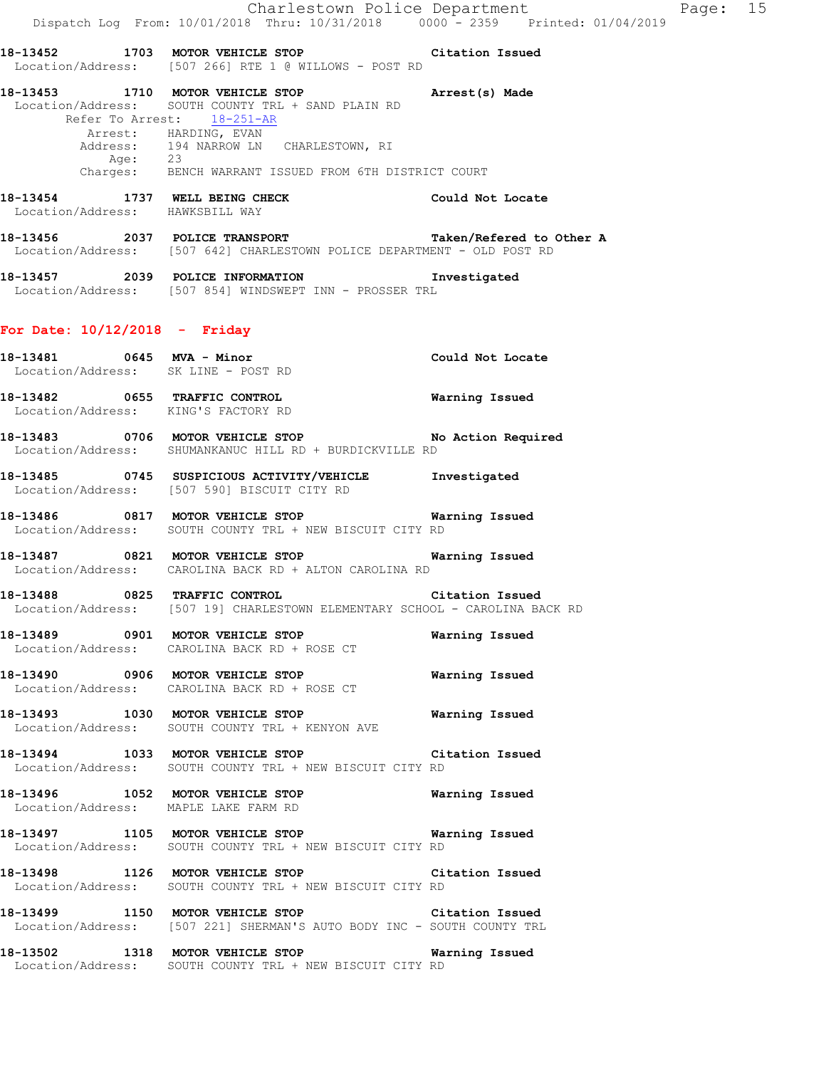**18-13452 1703 MOTOR VEHICLE STOP Citation Issued**  Location/Address: [507 266] RTE 1 @ WILLOWS - POST RD

- **18-13453 1710 MOTOR VEHICLE STOP Arrest(s) Made**  Location/Address: SOUTH COUNTY TRL + SAND PLAIN RD Refer To Arrest: 18-251-AR Arrest: HARDING, EVAN Address: 194 NARROW LN CHARLESTOWN, RI Age: 23 Charges: BENCH WARRANT ISSUED FROM 6TH DISTRICT COURT
- **18-13454 1737 WELL BEING CHECK Could Not Locate**  Location/Address: HAWKSBILL WAY
- **18-13456 2037 POLICE TRANSPORT Taken/Refered to Other A**  Location/Address: [507 642] CHARLESTOWN POLICE DEPARTMENT - OLD POST RD
- **18-13457 2039 POLICE INFORMATION Investigated**  Location/Address: [507 854] WINDSWEPT INN - PROSSER TRL

#### **For Date: 10/12/2018 - Friday**

Location/Address: KING'S FACTORY RD

- **18-13481 0645 MVA Minor Could Not Locate**  Location/Address: SK LINE - POST RD **18-13482 0655 TRAFFIC CONTROL Warning Issued**
- **18-13483 0706 MOTOR VEHICLE STOP No Action Required**  Location/Address: SHUMANKANUC HILL RD + BURDICKVILLE RD
- **18-13485 0745 SUSPICIOUS ACTIVITY/VEHICLE Investigated**  Location/Address: [507 590] BISCUIT CITY RD
- **18-13486 0817 MOTOR VEHICLE STOP Warning Issued**  Location/Address: SOUTH COUNTY TRL + NEW BISCUIT CITY RD
- **18-13487 0821 MOTOR VEHICLE STOP Warning Issued**  Location/Address: CAROLINA BACK RD + ALTON CAROLINA RD
- **18-13488 0825 TRAFFIC CONTROL Citation Issued**  Location/Address: [507 19] CHARLESTOWN ELEMENTARY SCHOOL - CAROLINA BACK RD
- **18-13489 0901 MOTOR VEHICLE STOP Warning Issued**  Location/Address: CAROLINA BACK RD + ROSE CT
- **18-13490 0906 MOTOR VEHICLE STOP Warning Issued**  Location/Address: CAROLINA BACK RD + ROSE CT
- **18-13493 1030 MOTOR VEHICLE STOP Warning Issued**  Location/Address: SOUTH COUNTY TRL + KENYON AVE
- **18-13494 1033 MOTOR VEHICLE STOP Citation Issued**  Location/Address: SOUTH COUNTY TRL + NEW BISCUIT CITY RD
- **18-13496 1052 MOTOR VEHICLE STOP Warning Issued**  Location/Address: MAPLE LAKE FARM RD
- **18-13497 1105 MOTOR VEHICLE STOP Warning Issued**  Location/Address: SOUTH COUNTY TRL + NEW BISCUIT CITY RD
- **18-13498 1126 MOTOR VEHICLE STOP Citation Issued**  Location/Address: SOUTH COUNTY TRL + NEW BISCUIT CITY RD
- **18-13499 1150 MOTOR VEHICLE STOP Citation Issued**  Location/Address: [507 221] SHERMAN'S AUTO BODY INC - SOUTH COUNTY TRL
- **18-13502 1318 MOTOR VEHICLE STOP Warning Issued**  Location/Address: SOUTH COUNTY TRL + NEW BISCUIT CITY RD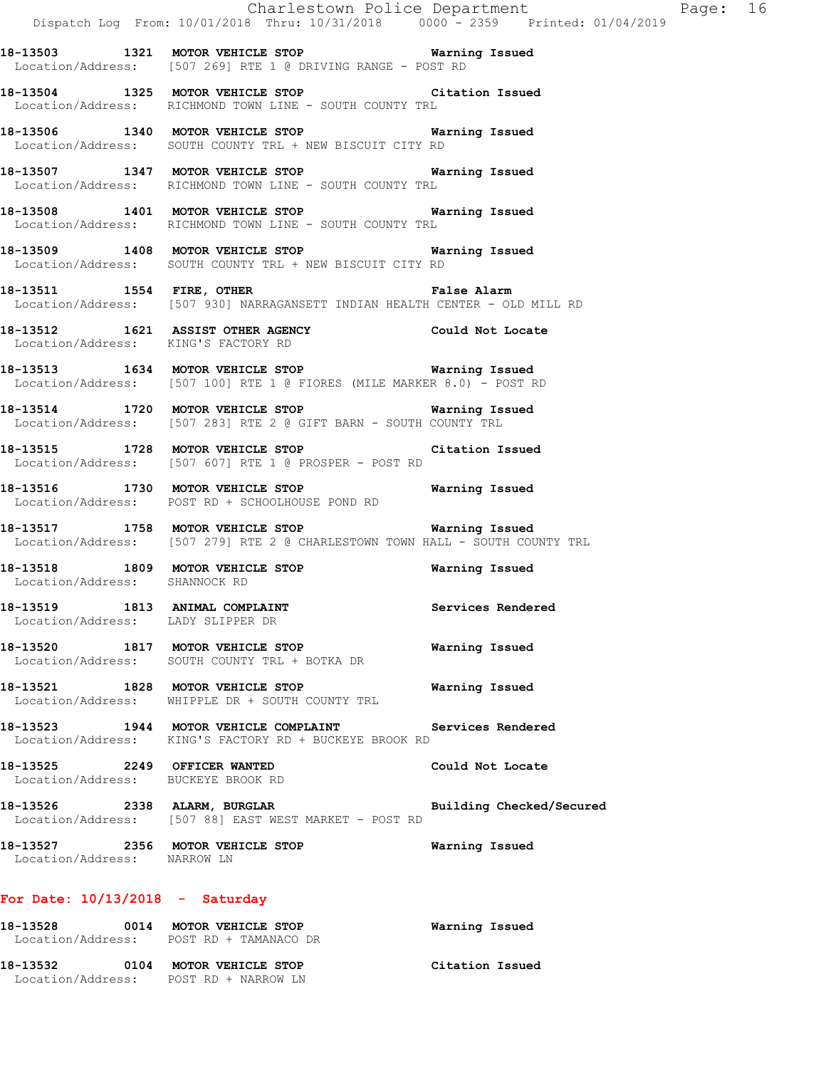|                                     | Charlestown Police Department The Page: 16<br>Dispatch Log From: 10/01/2018 Thru: 10/31/2018 0000 <sup>-</sup> 2359 Printed: 01/04/2019 |                       |  |
|-------------------------------------|-----------------------------------------------------------------------------------------------------------------------------------------|-----------------------|--|
|                                     | 18-13503 1321 MOTOR VEHICLE STOP 6 Warning Issued<br>Location/Address: [507 269] RTE 1 @ DRIVING RANGE - POST RD                        |                       |  |
|                                     | 18-13504 1325 MOTOR VEHICLE STOP Citation Issued<br>Location/Address: RICHMOND TOWN LINE - SOUTH COUNTY TRL                             |                       |  |
|                                     | 18-13506 1340 MOTOR VEHICLE STOP Warning Issued<br>Location/Address: SOUTH COUNTY TRL + NEW BISCUIT CITY RD                             |                       |  |
|                                     | 18-13507 1347 MOTOR VEHICLE STOP 6 Warning Issued<br>Location/Address: RICHMOND TOWN LINE - SOUTH COUNTY TRL                            |                       |  |
|                                     | 18-13508 1401 MOTOR VEHICLE STOP 6 Warning Issued<br>Location/Address: RICHMOND TOWN LINE - SOUTH COUNTY TRL                            |                       |  |
|                                     | 18-13509 1408 MOTOR VEHICLE STOP 6 Warning Issued<br>Location/Address: SOUTH COUNTY TRL + NEW BISCUIT CITY RD                           |                       |  |
|                                     | 18-13511 1554 FIRE, OTHER 18 False Alarm<br>Location/Address: [507 930] NARRAGANSETT INDIAN HEALTH CENTER - OLD MILL RD                 |                       |  |
| Location/Address: KING'S FACTORY RD | 18-13512 1621 ASSIST OTHER AGENCY Could Not Locate                                                                                      |                       |  |
|                                     | 18-13513 1634 MOTOR VEHICLE STOP <b>Warning Issued</b><br>Location/Address: [507 100] RTE 1 @ FIORES (MILE MARKER 8.0) - POST RD        |                       |  |
|                                     | 18-13514 1720 MOTOR VEHICLE STOP 6 Warning Issued<br>Location/Address: [507 283] RTE 2 @ GIFT BARN - SOUTH COUNTY TRL                   |                       |  |
|                                     | 18-13515 1728 MOTOR VEHICLE STOP<br>Location/Address: [507 607] RTE 1 @ PROSPER - POST RD                                               | Citation Issued       |  |
|                                     | 18-13516 1730 MOTOR VEHICLE STOP <b>WATER WATER</b><br>Location/Address: POST RD + SCHOOLHOUSE POND RD                                  |                       |  |
|                                     | 18-13517 1758 MOTOR VEHICLE STOP <b>Warning Issued</b><br>Location/Address: [507 279] RTE 2 @ CHARLESTOWN TOWN HALL - SOUTH COUNTY TRL  |                       |  |
| Location/Address: SHANNOCK RD       | 18-13518 1809 MOTOR VEHICLE STOP 6 Warning Issued                                                                                       |                       |  |
| Location/Address: LADY SLIPPER DR   | 18-13519 1813 ANIMAL COMPLAINT                                                                                                          | Services Rendered     |  |
|                                     | 18-13520 1817 MOTOR VEHICLE STOP<br>Location/Address: SOUTH COUNTY TRL + BOTKA DR                                                       | Warning Issued        |  |
|                                     | 18-13521 1828 MOTOR VEHICLE STOP<br>Location/Address: WHIPPLE DR + SOUTH COUNTY TRL                                                     | Warning Issued        |  |
|                                     | 18-13523 1944 MOTOR VEHICLE COMPLAINT Services Rendered<br>Location/Address: KING'S FACTORY RD + BUCKEYE BROOK RD                       |                       |  |
|                                     | 18-13525 2249 OFFICER WANTED<br>Location/Address: BUCKEYE BROOK RD                                                                      | Could Not Locate      |  |
|                                     | 18-13526 2338 ALARM, BURGLAR Building Checked/Secured<br>Location/Address: [507 88] EAST WEST MARKET - POST RD                          |                       |  |
| Location/Address: NARROW LN         | 18-13527 2356 MOTOR VEHICLE STOP 6 Warning Issued                                                                                       |                       |  |
| For Date: $10/13/2018$ - Saturday   |                                                                                                                                         |                       |  |
|                                     | 18-13528 0014 MOTOR VEHICLE STOP<br>Location/Address: POST RD + TAMANACO DR                                                             | <b>Warning Issued</b> |  |
|                                     | 18-13532 0104 MOTOR VEHICLE STOP Citation Issued                                                                                        |                       |  |

Location/Address: POST RD + NARROW LN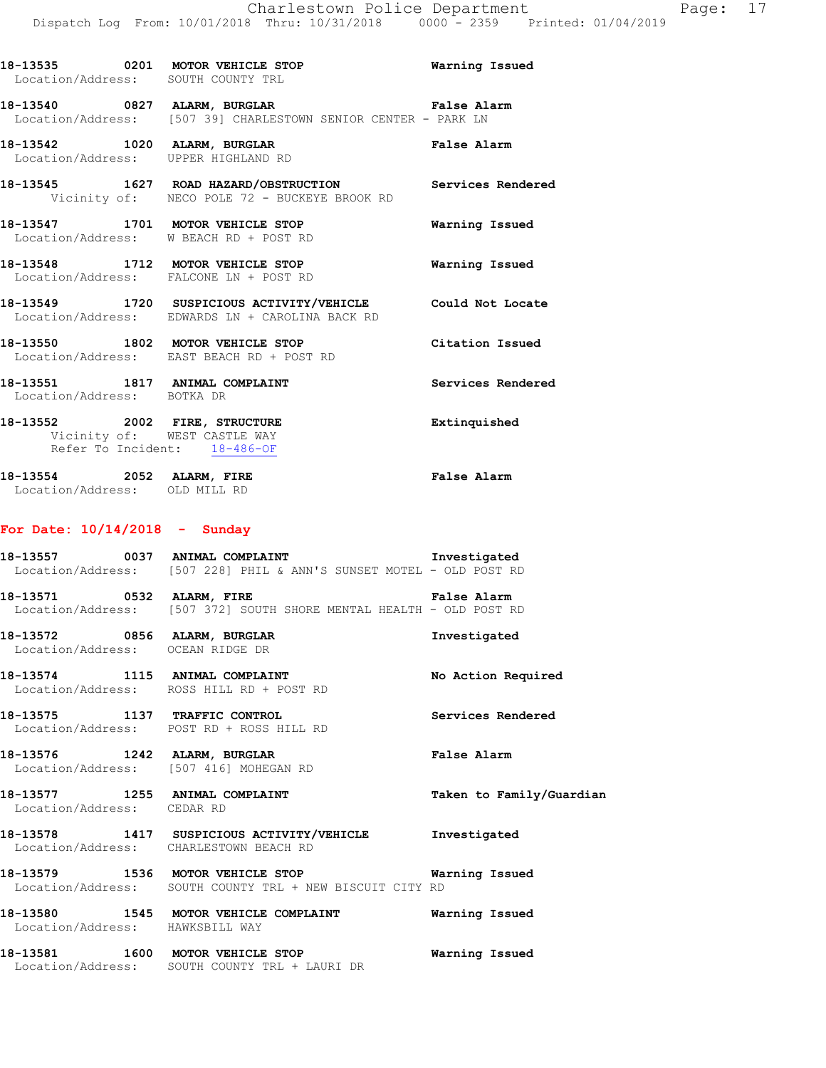|                            | 18-13535 0201 MOTOR VEHICLE STOP<br>Location/Address: SOUTH COUNTY TRL                                        | Warning Issued    |
|----------------------------|---------------------------------------------------------------------------------------------------------------|-------------------|
|                            | 18-13540 0827 ALARM, BURGLAR 18 Palse Alarm<br>Location/Address: [507 39] CHARLESTOWN SENIOR CENTER - PARK LN |                   |
|                            | 18-13542 1020 ALARM, BURGLAR<br>Location/Address: UPPER HIGHLAND RD                                           | False Alarm       |
|                            | 18-13545 1627 ROAD HAZARD/OBSTRUCTION Services Rendered<br>Vicinity of: NECO POLE 72 - BUCKEYE BROOK RD       |                   |
|                            | 18-13547 1701 MOTOR VEHICLE STOP<br>Location/Address: W BEACH RD + POST RD                                    | Warning Issued    |
|                            | 18-13548 1712 MOTOR VEHICLE STOP<br>Location/Address: FALCONE LN + POST RD                                    | Warning Issued    |
|                            | 18-13549 1720 SUSPICIOUS ACTIVITY/VEHICLE Could Not Locate<br>Location/Address: EDWARDS LN + CAROLINA BACK RD |                   |
|                            | 18-13550 1802 MOTOR VEHICLE STOP 6 Citation Issued<br>Location/Address: EAST BEACH RD + POST RD               |                   |
| Location/Address: BOTKA DR | 18-13551 1817 ANIMAL COMPLAINT                                                                                | Services Rendered |
|                            | 18-13552 2002 FIRE, STRUCTURE<br>Vicinity of: WEST CASTLE WAY<br>Refer To Incident: 18-486-OF                 | Extinquished      |
| 18-13554 2052 ALARM, FIRE  |                                                                                                               | False Alarm       |

# Location/Address: OLD MILL RD

# **For Date: 10/14/2018 - Sunday**

|                                 | 18-13557 0037 ANIMAL COMPLAINT 1990 1nvestigated<br>Location/Address: [507 228] PHIL & ANN'S SUNSET MOTEL - OLD POST RD     |                          |
|---------------------------------|-----------------------------------------------------------------------------------------------------------------------------|--------------------------|
|                                 | Location/Address: [507 372] SOUTH SHORE MENTAL HEALTH - OLD POST RD                                                         |                          |
|                                 | 18-13572 0856 ALARM, BURGLAR NERET MARIE STATES<br>Location/Address: OCEAN RIDGE DR                                         |                          |
|                                 | 18-13574 1115 ANIMAL COMPLAINT<br>Location/Address: ROSS HILL RD + POST RD                                                  | No Action Required       |
|                                 | 18-13575 1137 TRAFFIC CONTROL<br>Location/Address: POST RD + ROSS HILL RD                                                   | Services Rendered        |
|                                 | Location/Address: [507 416] MOHEGAN RD                                                                                      |                          |
| Location/Address: CEDAR RD      | 18-13577 1255 ANIMAL COMPLAINT                                                                                              | Taken to Family/Guardian |
|                                 | 18-13578 1417 SUSPICIOUS ACTIVITY/VEHICLE Investigated<br>Location/Address: CHARLESTOWN BEACH RD                            |                          |
|                                 | 18-13579 1536 MOTOR VEHICLE STOP <b>18-13579</b> Warning Issued<br>Location/Address: SOUTH COUNTY TRL + NEW BISCUIT CITY RD |                          |
| Location/Address: HAWKSBILL WAY | 18-13580 1545 MOTOR VEHICLE COMPLAINT <b>Warning Issued</b>                                                                 |                          |

**18-13581 1600 MOTOR VEHICLE STOP Warning Issued**  Location/Address: SOUTH COUNTY TRL + LAURI DR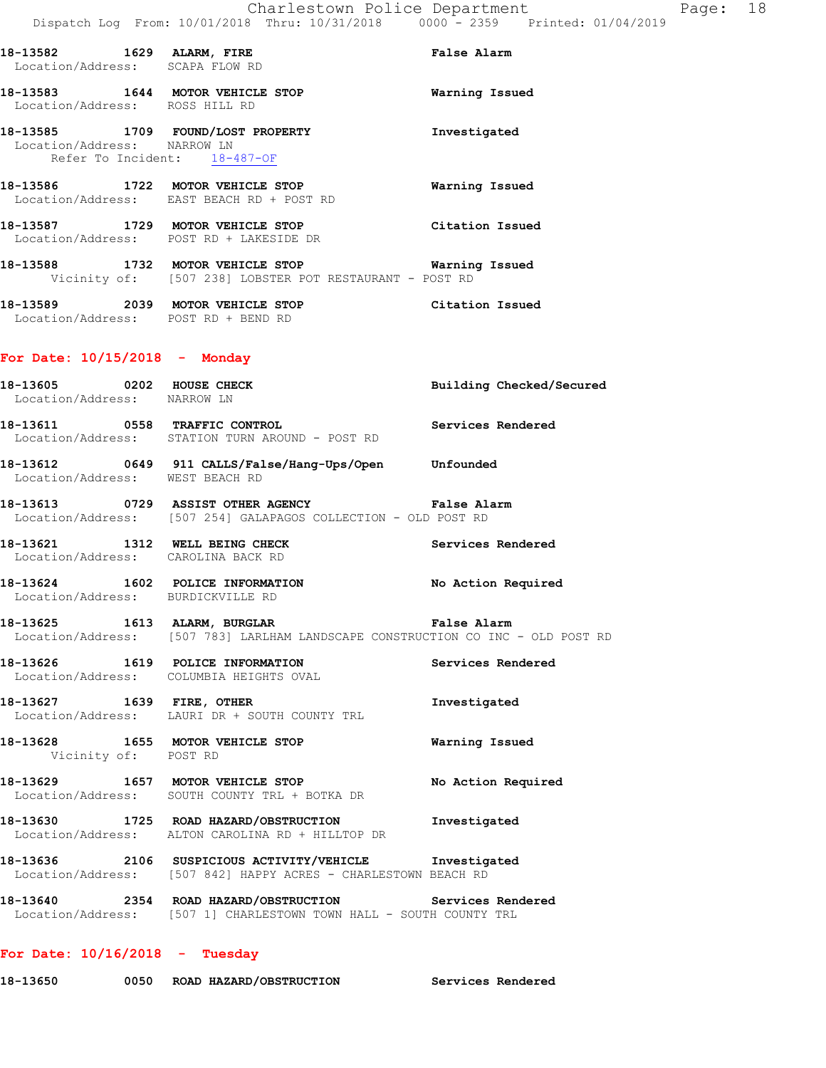**18-13585 1709 FOUND/LOST PROPERTY Investigated**  Location/Address: NARROW LN Refer To Incident: 18-487-OF

**18-13586 1722 MOTOR VEHICLE STOP Warning Issued**  Location/Address: EAST BEACH RD + POST RD

**18-13587 1729 MOTOR VEHICLE STOP Citation Issued**  Location/Address: POST RD + LAKESIDE DR

**18-13588 1732 MOTOR VEHICLE STOP Warning Issued**  Vicinity of: [507 238] LOBSTER POT RESTAURANT - POST RD

**18-13589 2039 MOTOR VEHICLE STOP Citation Issued**  Location/Address: POST RD + BEND RD

## **For Date: 10/15/2018 - Monday**

**18-13605 0202 HOUSE CHECK Building Checked/Secured**  Location/Address: NARROW LN **18-13611 0558 TRAFFIC CONTROL Services Rendered**  Location/Address: STATION TURN AROUND - POST RD **18-13612 0649 911 CALLS/False/Hang-Ups/Open Unfounded**  Location/Address: WEST BEACH RD **18-13613 0729 ASSIST OTHER AGENCY False Alarm**  Location/Address: [507 254] GALAPAGOS COLLECTION - OLD POST RD **18-13621 1312 WELL BEING CHECK Services Rendered**  Location/Address: CAROLINA BACK RD **18-13624 1602 POLICE INFORMATION No Action Required**  Location/Address: BURDICKVILLE RD **18-13625 1613 ALARM, BURGLAR False Alarm**  Location/Address: [507 783] LARLHAM LANDSCAPE CONSTRUCTION CO INC - OLD POST RD **18-13626 1619 POLICE INFORMATION Services Rendered**  Location/Address: COLUMBIA HEIGHTS OVAL **18-13627 1639 FIRE, OTHER Investigated**  Location/Address: LAURI DR + SOUTH COUNTY TRL **18-13628 1655 MOTOR VEHICLE STOP Warning Issued**  Vicinity of: POST RD **18-13629 1657 MOTOR VEHICLE STOP No Action Required**  Location/Address: SOUTH COUNTY TRL + BOTKA DR **18-13630 1725 ROAD HAZARD/OBSTRUCTION Investigated**  Location/Address: ALTON CAROLINA RD + HILLTOP DR **18-13636 2106 SUSPICIOUS ACTIVITY/VEHICLE Investigated**  Location/Address: [507 842] HAPPY ACRES - CHARLESTOWN BEACH RD **18-13640 2354 ROAD HAZARD/OBSTRUCTION Services Rendered**  Location/Address: [507 1] CHARLESTOWN TOWN HALL - SOUTH COUNTY TRL

## **For Date: 10/16/2018 - Tuesday**

**18-13650 0050 ROAD HAZARD/OBSTRUCTION Services Rendered**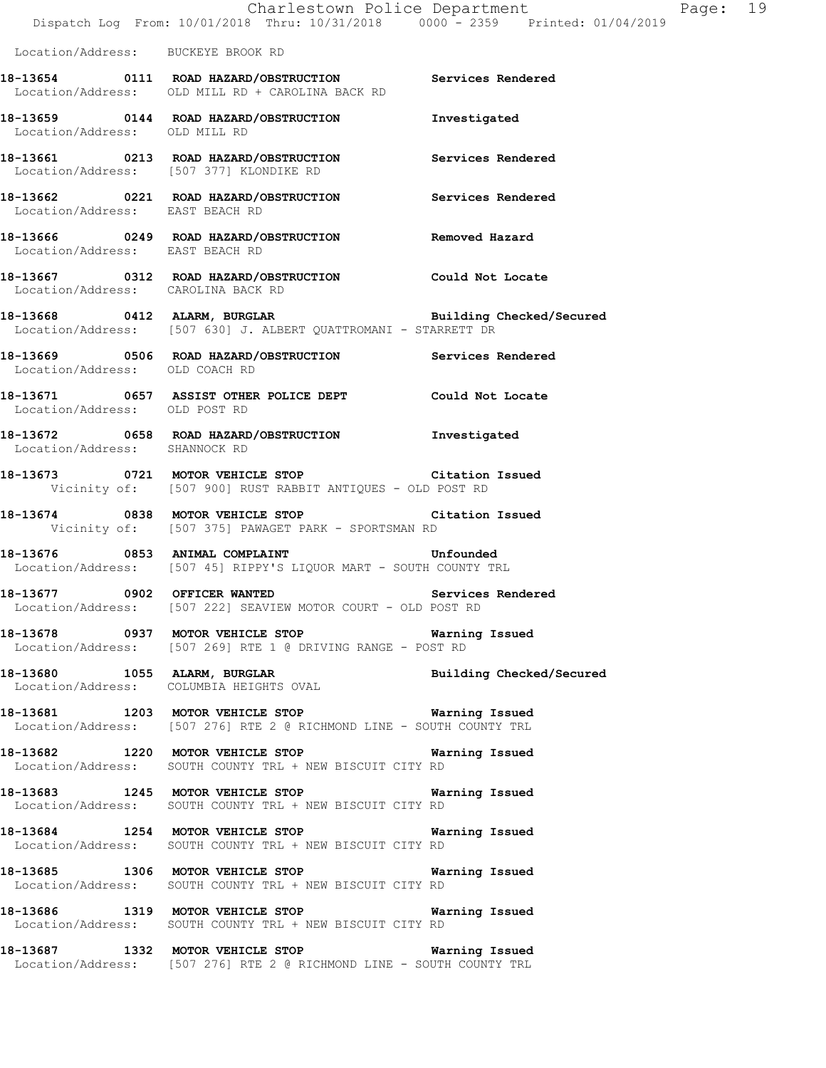|                                    | Dispatch Log From: 10/01/2018 Thru: 10/31/2018 0000 - 2359 Printed: 01/04/2019                                                  | Charlestown Police Department<br>Page: 19 |
|------------------------------------|---------------------------------------------------------------------------------------------------------------------------------|-------------------------------------------|
| Location/Address: BUCKEYE BROOK RD |                                                                                                                                 |                                           |
|                                    | 18-13654 0111 ROAD HAZARD/OBSTRUCTION Services Rendered<br>Location/Address: OLD MILL RD + CAROLINA BACK RD                     |                                           |
| Location/Address: OLD MILL RD      | 18-13659 0144 ROAD HAZARD/OBSTRUCTION                                                                                           | Investigated                              |
|                                    | 18-13661 0213 ROAD HAZARD/OBSTRUCTION Services Rendered<br>Location/Address: [507 377] KLONDIKE RD                              |                                           |
| Location/Address: EAST BEACH RD    | 18-13662 0221 ROAD HAZARD/OBSTRUCTION Services Rendered                                                                         |                                           |
| Location/Address: EAST BEACH RD    | 18-13666 0249 ROAD HAZARD/OBSTRUCTION Removed Hazard                                                                            |                                           |
| Location/Address: CAROLINA BACK RD | 18-13667 0312 ROAD HAZARD/OBSTRUCTION Could Not Locate                                                                          |                                           |
|                                    | 18-13668 0412 ALARM, BURGLAR BURGER Building Checked/Secured<br>Location/Address: [507 630] J. ALBERT QUATTROMANI - STARRETT DR |                                           |
| Location/Address: OLD COACH RD     | 18-13669 0506 ROAD HAZARD/OBSTRUCTION Services Rendered                                                                         |                                           |
| Location/Address: OLD POST RD      | 18-13671 0657 ASSIST OTHER POLICE DEPT Could Not Locate                                                                         |                                           |
| Location/Address: SHANNOCK RD      | 18-13672 0658 ROAD HAZARD/OBSTRUCTION Investigated                                                                              |                                           |
|                                    | 18-13673 0721 MOTOR VEHICLE STOP Citation Issued<br>Vicinity of: [507 900] RUST RABBIT ANTIQUES - OLD POST RD                   |                                           |
|                                    | 18-13674 0838 MOTOR VEHICLE STOP Citation Issued<br>Vicinity of: [507 375] PAWAGET PARK - SPORTSMAN RD                          |                                           |
|                                    | 18-13676 0853 ANIMAL COMPLAINT COMPRETER STRAIN Unfounded<br>Location/Address: [507 45] RIPPY'S LIQUOR MART - SOUTH COUNTY TRL  |                                           |
| 18-13677 0902 OFFICER WANTED       | Location/Address: [507 222] SEAVIEW MOTOR COURT - OLD POST RD                                                                   | Services Rendered                         |
|                                    | 18-13678 0937 MOTOR VEHICLE STOP 6 Warning Issued<br>Location/Address: [507 269] RTE 1 @ DRIVING RANGE - POST RD                |                                           |
|                                    | 18-13680 1055 ALARM, BURGLAR Building Checked/Secured Location/Address: COLUMBIA HEIGHTS OVAL                                   |                                           |
|                                    | 18-13681 1203 MOTOR VEHICLE STOP 6 Warning Issued<br>Location/Address: [507 276] RTE 2 @ RICHMOND LINE - SOUTH COUNTY TRL       |                                           |
|                                    | 18-13682 1220 MOTOR VEHICLE STOP 6 Warning Issued<br>Location/Address: SOUTH COUNTY TRL + NEW BISCUIT CITY RD                   |                                           |
|                                    | 18-13683 1245 MOTOR VEHICLE STOP 6 Warning Issued<br>Location/Address: SOUTH COUNTY TRL + NEW BISCUIT CITY RD                   |                                           |
|                                    | 18-13684 1254 MOTOR VEHICLE STOP 6 Warning Issued<br>Location/Address: SOUTH COUNTY TRL + NEW BISCUIT CITY RD                   |                                           |
|                                    | 18-13685 1306 MOTOR VEHICLE STOP 6 Warning Issued<br>Location/Address: SOUTH COUNTY TRL + NEW BISCUIT CITY RD                   |                                           |
|                                    | 18-13686 1319 MOTOR VEHICLE STOP 6 Warning Issued<br>Location/Address: SOUTH COUNTY TRL + NEW BISCUIT CITY RD                   |                                           |
|                                    | 18-13687 1332 MOTOR VEHICLE STOP 6 Warning Issued<br>Location/Address: [507 276] RTE 2 @ RICHMOND LINE - SOUTH COUNTY TRL       |                                           |
|                                    |                                                                                                                                 |                                           |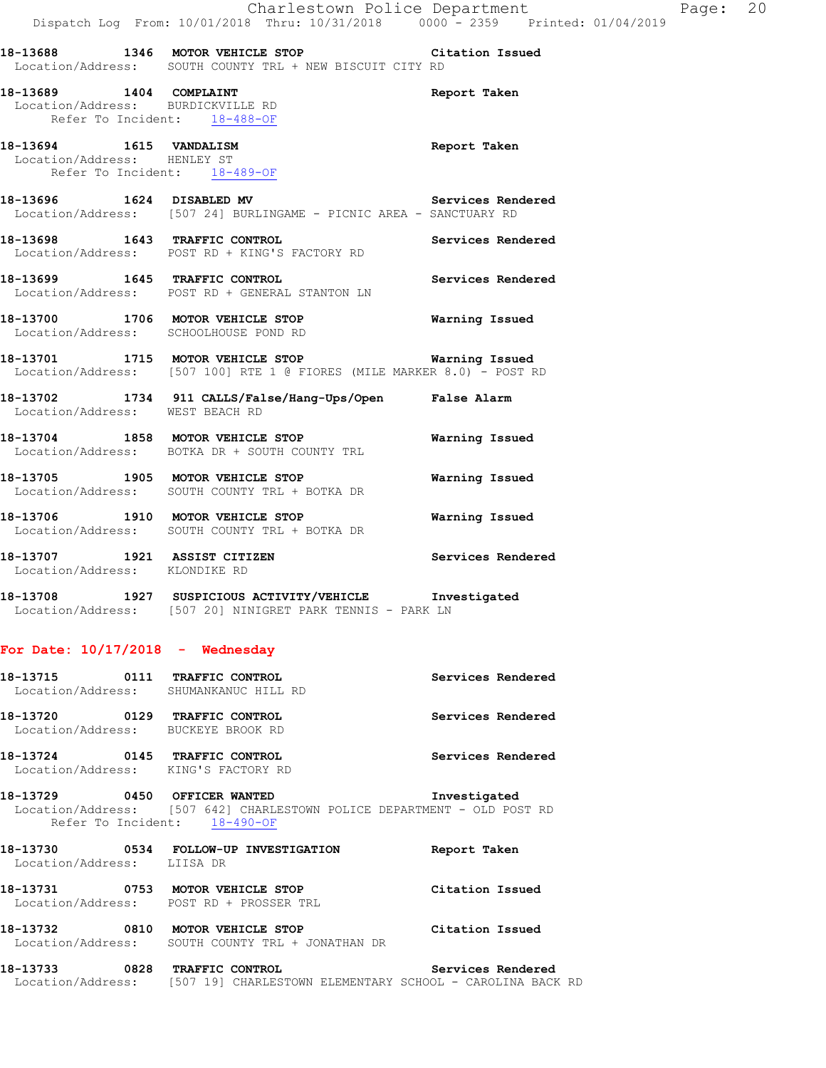**18-13688 1346 MOTOR VEHICLE STOP Citation Issued**  Location/Address: SOUTH COUNTY TRL + NEW BISCUIT CITY RD

**18-13689 1404 COMPLAINT Report Taken**  Location/Address: BURDICKVILLE RD Refer To Incident: 18-488-OF

**18-13694 1615 VANDALISM Report Taken**  Location/Address: HENLEY ST Refer To Incident: 18-489-OF

18-13696 1624 DISABLED MV **Services Rendered** Location/Address: [507 24] BURLINGAME - PICNIC AREA - SANCTUARY RD

**18-13698 1643 TRAFFIC CONTROL Services Rendered**  Location/Address: POST RD + KING'S FACTORY RD

**18-13699 1645 TRAFFIC CONTROL Services Rendered**  Location/Address: POST RD + GENERAL STANTON LN

**18-13700 1706 MOTOR VEHICLE STOP Warning Issued**  Location/Address: SCHOOLHOUSE POND RD

**18-13701 1715 MOTOR VEHICLE STOP Warning Issued**  Location/Address: [507 100] RTE 1 @ FIORES (MILE MARKER 8.0) - POST RD

**18-13702 1734 911 CALLS/False/Hang-Ups/Open False Alarm**  Location/Address: WEST BEACH RD

**18-13704 1858 MOTOR VEHICLE STOP Warning Issued**  Location/Address: BOTKA DR + SOUTH COUNTY TRL

**18-13705 1905 MOTOR VEHICLE STOP Warning Issued**  Location/Address: SOUTH COUNTY TRL + BOTKA DR

**18-13706 1910 MOTOR VEHICLE STOP Warning Issued**  Location/Address: SOUTH COUNTY TRL + BOTKA DR

**18-13707 1921 ASSIST CITIZEN Services Rendered**  Location/Address: KLONDIKE RD

**18-13708 1927 SUSPICIOUS ACTIVITY/VEHICLE Investigated**  Location/Address: [507 20] NINIGRET PARK TENNIS - PARK LN

#### **For Date: 10/17/2018 - Wednesday**

| 18-13715 0111 TRAFFIC CONTROL                                        | Location/Address: SHUMANKANUC HILL RD                                                                                                   | Services Rendered |
|----------------------------------------------------------------------|-----------------------------------------------------------------------------------------------------------------------------------------|-------------------|
| 18-13720 0129 TRAFFIC CONTROL<br>Location/Address: BUCKEYE BROOK RD  |                                                                                                                                         | Services Rendered |
| 18-13724 0145 TRAFFIC CONTROL<br>Location/Address: KING'S FACTORY RD |                                                                                                                                         | Services Rendered |
|                                                                      | 18-13729 0450 OFFICER WANTED<br>Location/Address: [507 642] CHARLESTOWN POLICE DEPARTMENT - OLD POST RD<br>Refer To Incident: 18-490-OF | Investigated      |
| Location/Address: LIISA DR                                           | 18-13730 0534 FOLLOW-UP INVESTIGATION                                                                                                   | Report Taken      |
|                                                                      | 18-13731 0753 MOTOR VEHICLE STOP<br>Location/Address: POST RD + PROSSER TRL                                                             | Citation Issued   |
| 18-13732 0810 MOTOR VEHICLE STOP                                     | Location/Address: SOUTH COUNTY TRL + JONATHAN DR                                                                                        | Citation Issued   |

**18-13733 0828 TRAFFIC CONTROL Services Rendered**  Location/Address: [507 19] CHARLESTOWN ELEMENTARY SCHOOL - CAROLINA BACK RD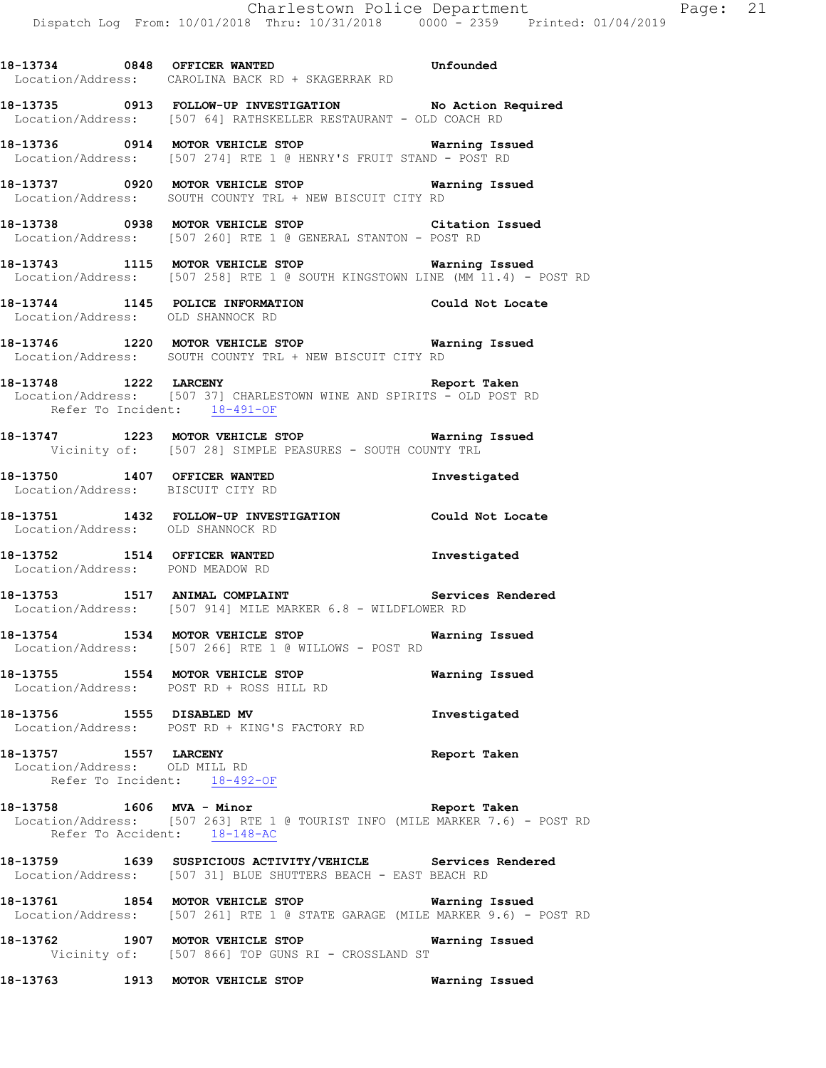**18-13734 0848 OFFICER WANTED Unfounded** 

Location/Address: CAROLINA BACK RD + SKAGERRAK RD

**18-13735 0913 FOLLOW-UP INVESTIGATION No Action Required**  Location/Address: [507 64] RATHSKELLER RESTAURANT - OLD COACH RD **18-13736 0914 MOTOR VEHICLE STOP Warning Issued**  Location/Address: [507 274] RTE 1 @ HENRY'S FRUIT STAND - POST RD **18-13737 0920 MOTOR VEHICLE STOP Warning Issued**  Location/Address: SOUTH COUNTY TRL + NEW BISCUIT CITY RD **18-13738 0938 MOTOR VEHICLE STOP Citation Issued**  Location/Address: [507 260] RTE 1 @ GENERAL STANTON - POST RD **18-13743 1115 MOTOR VEHICLE STOP Warning Issued**  Location/Address: [507 258] RTE 1 @ SOUTH KINGSTOWN LINE (MM 11.4) - POST RD **18-13744 1145 POLICE INFORMATION Could Not Locate**  Location/Address: OLD SHANNOCK RD **18-13746 1220 MOTOR VEHICLE STOP Warning Issued**  Location/Address: SOUTH COUNTY TRL + NEW BISCUIT CITY RD **18-13748 1222 LARCENY Report Taken**  Location/Address: [507 37] CHARLESTOWN WINE AND SPIRITS - OLD POST RD Refer To Incident: 18-491-OF **18-13747 1223 MOTOR VEHICLE STOP Warning Issued**  Vicinity of: [507 28] SIMPLE PEASURES - SOUTH COUNTY TRL **18-13750 1407 OFFICER WANTED Investigated**  Location/Address: BISCUIT CITY RD **18-13751 1432 FOLLOW-UP INVESTIGATION Could Not Locate**  Location/Address: OLD SHANNOCK RD **18-13752 1514 OFFICER WANTED Investigated**  Location/Address: POND MEADOW RD **18-13753 1517 ANIMAL COMPLAINT Services Rendered**  Location/Address: [507 914] MILE MARKER 6.8 - WILDFLOWER RD **18-13754 1534 MOTOR VEHICLE STOP Warning Issued**  Location/Address: [507 266] RTE 1 @ WILLOWS - POST RD **18-13755 1554 MOTOR VEHICLE STOP Warning Issued**  Location/Address: POST RD + ROSS HILL RD **18-13756 1555 DISABLED MV Investigated**  Location/Address: POST RD + KING'S FACTORY RD **18-13757 1557 LARCENY Report Taken**  Location/Address: OLD MILL RD Refer To Incident: 18-492-OF **18-13758 1606 MVA - Minor Report Taken**  Location/Address: [507 263] RTE 1 @ TOURIST INFO (MILE MARKER 7.6) - POST RD Refer To Accident: 18-148-AC **18-13759 1639 SUSPICIOUS ACTIVITY/VEHICLE Services Rendered**  Location/Address: [507 31] BLUE SHUTTERS BEACH - EAST BEACH RD **18-13761 1854 MOTOR VEHICLE STOP Warning Issued**  Location/Address: [507 261] RTE 1 @ STATE GARAGE (MILE MARKER 9.6) - POST RD

**18-13762 1907 MOTOR VEHICLE STOP Warning Issued**  Vicinity of: [507 866] TOP GUNS RI - CROSSLAND ST

**18-13763 1913 MOTOR VEHICLE STOP Warning Issued**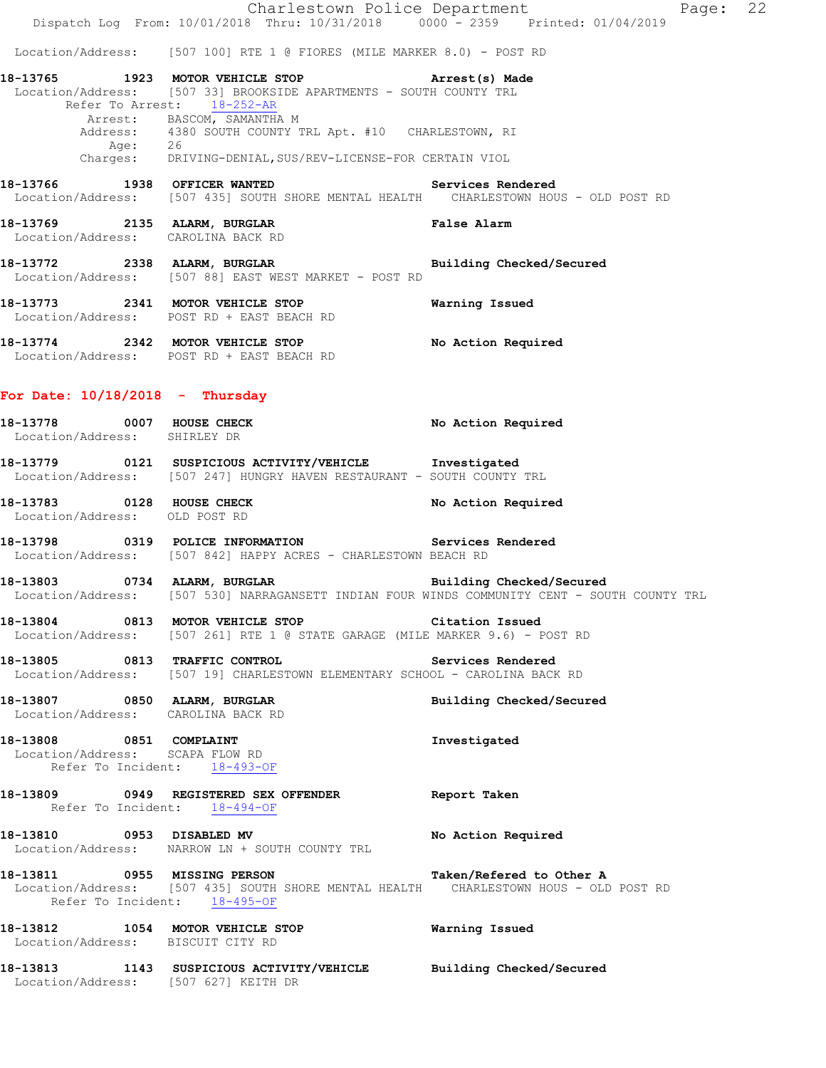|                                                                                            | Dispatch Log From: 10/01/2018 Thru: 10/31/2018 0000 - 2359 Printed: 01/04/2019                                                                               | Charlestown Police Department | Page: 22 |  |
|--------------------------------------------------------------------------------------------|--------------------------------------------------------------------------------------------------------------------------------------------------------------|-------------------------------|----------|--|
|                                                                                            | Location/Address: [507 100] RTE 1 @ FIORES (MILE MARKER 8.0) - POST RD                                                                                       |                               |          |  |
|                                                                                            | 18-13765 1923 MOTOR VEHICLE STOP <b>Arrest</b> (s) Made<br>Location/Address: [507 33] BROOKSIDE APARTMENTS - SOUTH COUNTY TRL<br>Refer To Arrest: 18-252-AR  |                               |          |  |
|                                                                                            | Arrest: BASCOM, SAMANTHA M<br>Address: 4380 SOUTH COUNTY TRL Apt. #10 CHARLESTOWN, RI                                                                        |                               |          |  |
|                                                                                            | Age: 26<br>Charges: DRIVING-DENIAL, SUS/REV-LICENSE-FOR CERTAIN VIOL                                                                                         |                               |          |  |
|                                                                                            | 18-13766 1938 OFFICER WANTED <b>Services</b> Rendered<br>Location/Address: [507 435] SOUTH SHORE MENTAL HEALTH CHARLESTOWN HOUS - OLD POST RD                |                               |          |  |
|                                                                                            | 18-13769 2135 ALARM, BURGLAR NET SALAS PARA BARA<br>Location/Address: CAROLINA BACK RD                                                                       |                               |          |  |
|                                                                                            | 18-13772 2338 ALARM, BURGLAR 2007 Building Checked/Secured<br>Location/Address: [507 88] EAST WEST MARKET - POST RD                                          |                               |          |  |
|                                                                                            | 18-13773 2341 MOTOR VEHICLE STOP 6 Warning Issued<br>Location/Address: POST RD + EAST BEACH RD                                                               |                               |          |  |
|                                                                                            | 18-13774 2342 MOTOR VEHICLE STOP<br>Location/Address: POST RD + EAST BEACH RD                                                                                | No Action Required            |          |  |
| For Date: $10/18/2018$ - Thursday                                                          |                                                                                                                                                              |                               |          |  |
| Location/Address: SHIRLEY DR                                                               | 18-13778 0007 HOUSE CHECK                                                                                                                                    | No Action Required            |          |  |
|                                                                                            | 18-13779 0121 SUSPICIOUS ACTIVITY/VEHICLE Investigated<br>Location/Address: [507 247] HUNGRY HAVEN RESTAURANT - SOUTH COUNTY TRL                             |                               |          |  |
| Location/Address: OLD POST RD                                                              | 18-13783 0128 HOUSE CHECK                                                                                                                                    | No Action Required            |          |  |
|                                                                                            | 18-13798 0319 POLICE INFORMATION<br>Location/Address: [507 842] HAPPY ACRES - CHARLESTOWN BEACH RD                                                           | Services Rendered             |          |  |
|                                                                                            | 18-13803 0734 ALARM, BURGLAR BERGER Building Checked/Secured<br>Location/Address: [507 530] NARRAGANSETT INDIAN FOUR WINDS COMMUNITY CENT - SOUTH COUNTY TRL |                               |          |  |
|                                                                                            | 18-13804 0813 MOTOR VEHICLE STOP Citation Issued<br>Location/Address: [507 261] RTE 1 @ STATE GARAGE (MILE MARKER 9.6) - POST RD                             |                               |          |  |
|                                                                                            | 18-13805 0813 TRAFFIC CONTROL<br>Location/Address: [507 19] CHARLESTOWN ELEMENTARY SCHOOL - CAROLINA BACK RD                                                 | Services Rendered             |          |  |
| Location/Address: CAROLINA BACK RD                                                         | 18-13807 0850 ALARM, BURGLAR                                                                                                                                 | Building Checked/Secured      |          |  |
| 18-13808 0851 COMPLAINT<br>Location/Address: SCAPA FLOW RD<br>Refer To Incident: 18-493-OF |                                                                                                                                                              | Investigated                  |          |  |
| Refer To Incident: 18-494-OF                                                               | 18-13809 0949 REGISTERED SEX OFFENDER Report Taken                                                                                                           |                               |          |  |
|                                                                                            | 18-13810 0953 DISABLED MV<br>Location/Address: NARROW LN + SOUTH COUNTY TRL                                                                                  | No Action Required            |          |  |
| 18-13811 0955 MISSING PERSON<br>Refer To Incident: 18-495-OF                               | Location/Address: [507 435] SOUTH SHORE MENTAL HEALTH CHARLESTOWN HOUS - OLD POST RD                                                                         | Taken/Refered to Other A      |          |  |
| Location/Address: BISCUIT CITY RD                                                          | 18-13812 1054 MOTOR VEHICLE STOP 5 6 Warning Issued                                                                                                          |                               |          |  |
| Location/Address: [507 627] KEITH DR                                                       | 18-13813 1143 SUSPICIOUS ACTIVITY/VEHICLE Building Checked/Secured                                                                                           |                               |          |  |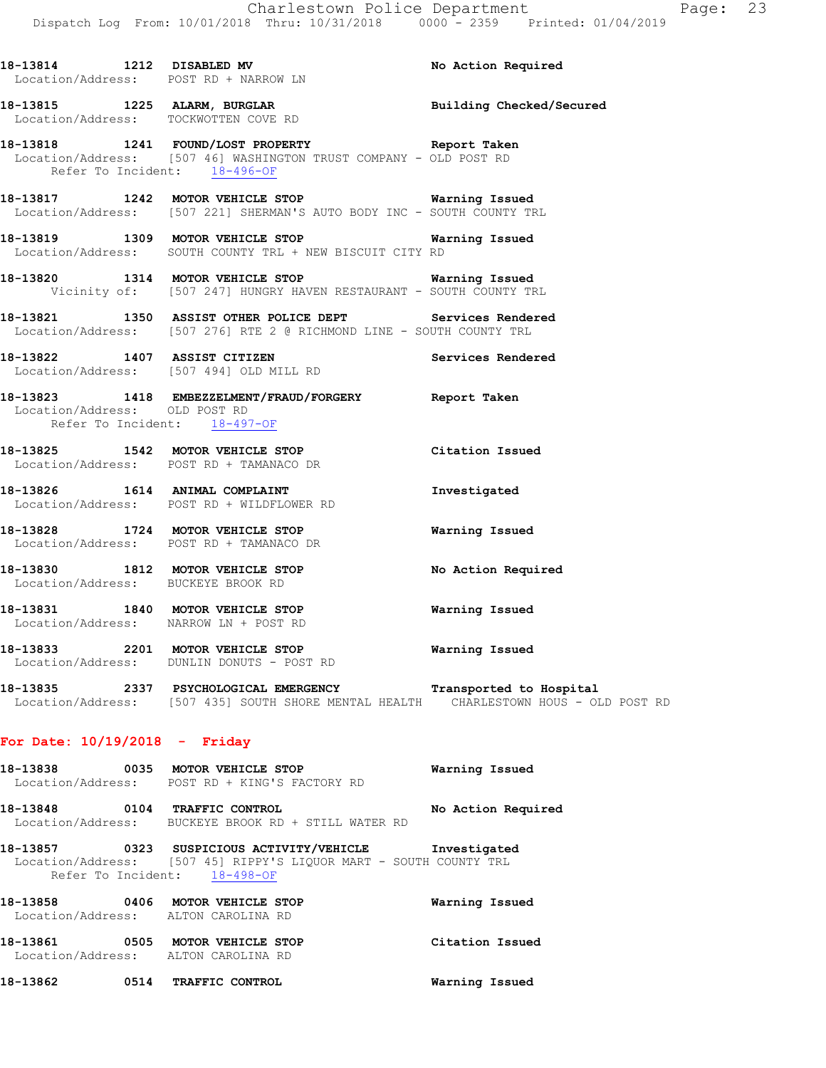|                               | 18-13814 1212 DISABLED MV<br>Location/Address: POST RD + NARROW LN                                                                                    | No Action Required      |
|-------------------------------|-------------------------------------------------------------------------------------------------------------------------------------------------------|-------------------------|
|                               | 18-13815 1225 ALARM, BURGLAR <b>BURGLAR</b> Building Checked/Secured<br>Location/Address: TOCKWOTTEN COVE RD                                          |                         |
|                               | 18-13818 1241 FOUND/LOST PROPERTY Seport Taken<br>Location/Address: [507 46] WASHINGTON TRUST COMPANY - OLD POST RD<br>Refer To Incident: $18-496-OF$ |                         |
|                               | 18-13817 1242 MOTOR VEHICLE STOP <b>Warning Issued</b><br>Location/Address: [507 221] SHERMAN'S AUTO BODY INC - SOUTH COUNTY TRL                      |                         |
|                               | 18-13819 1309 MOTOR VEHICLE STOP 6 Warning Issued<br>Location/Address: SOUTH COUNTY TRL + NEW BISCUIT CITY RD                                         |                         |
|                               | 18-13820 1314 MOTOR VEHICLE STOP 6 Warning Issued<br>Vicinity of: [507 247] HUNGRY HAVEN RESTAURANT - SOUTH COUNTY TRL                                |                         |
|                               | 18-13821 1350 ASSIST OTHER POLICE DEPT Services Rendered<br>Location/Address: [507 276] RTE 2 @ RICHMOND LINE - SOUTH COUNTY TRL                      |                         |
|                               | 18-13822 1407 ASSIST CITIZEN<br>Location/Address: [507 494] OLD MILL RD                                                                               | Services Rendered       |
| Location/Address: OLD POST RD | 18-13823 1418 EMBEZZELMENT/FRAUD/FORGERY Report Taken<br>Refer To Incident: 18-497-OF                                                                 |                         |
|                               | 18-13825 1542 MOTOR VEHICLE STOP<br>Location/Address: POST RD + TAMANACO DR                                                                           | Citation Issued         |
|                               | 18-13826 1614 ANIMAL COMPLAINT<br>Location/Address: POST RD + WILDFLOWER RD                                                                           | Investigated            |
|                               | 18-13828 1724 MOTOR VEHICLE STOP<br>Location/Address: POST RD + TAMANACO DR                                                                           | Warning Issued          |
|                               | 18-13830 1812 MOTOR VEHICLE STOP<br>Location/Address: BUCKEYE BROOK RD                                                                                | No Action Required      |
|                               | 18-13831 1840 MOTOR VEHICLE STOP<br>Location/Address: NARROW LN + POST RD                                                                             | <b>Warning Issued</b>   |
|                               | 18-13833 2201 MOTOR VEHICLE STOP<br>Location/Address: DUNLIN DONUTS - POST RD                                                                         | <b>Warning Issued</b>   |
|                               | 18-13835 2337 PSYCHOLOGICAL EMERGENCY                                                                                                                 | Transported to Hospital |

Location/Address: [507 435] SOUTH SHORE MENTAL HEALTH CHARLESTOWN HOUS - OLD POST RD

## **For Date: 10/19/2018 - Friday**

**18-13838 0035 MOTOR VEHICLE STOP Warning Issued**  Location/Address: POST RD + KING'S FACTORY RD **18-13848 0104 TRAFFIC CONTROL No Action Required** 

Location/Address: BUCKEYE BROOK RD + STILL WATER RD

**18-13857 0323 SUSPICIOUS ACTIVITY/VEHICLE Investigated**  Location/Address: [507 45] RIPPY'S LIQUOR MART - SOUTH COUNTY TRL Refer To Incident: 18-498-OF

**18-13858 0406 MOTOR VEHICLE STOP Warning Issued**  Location/Address: ALTON CAROLINA RD **18-13861 0505 MOTOR VEHICLE STOP Citation Issued**  Location/Address: ALTON CAROLINA RD **18-13862 0514 TRAFFIC CONTROL Warning Issued**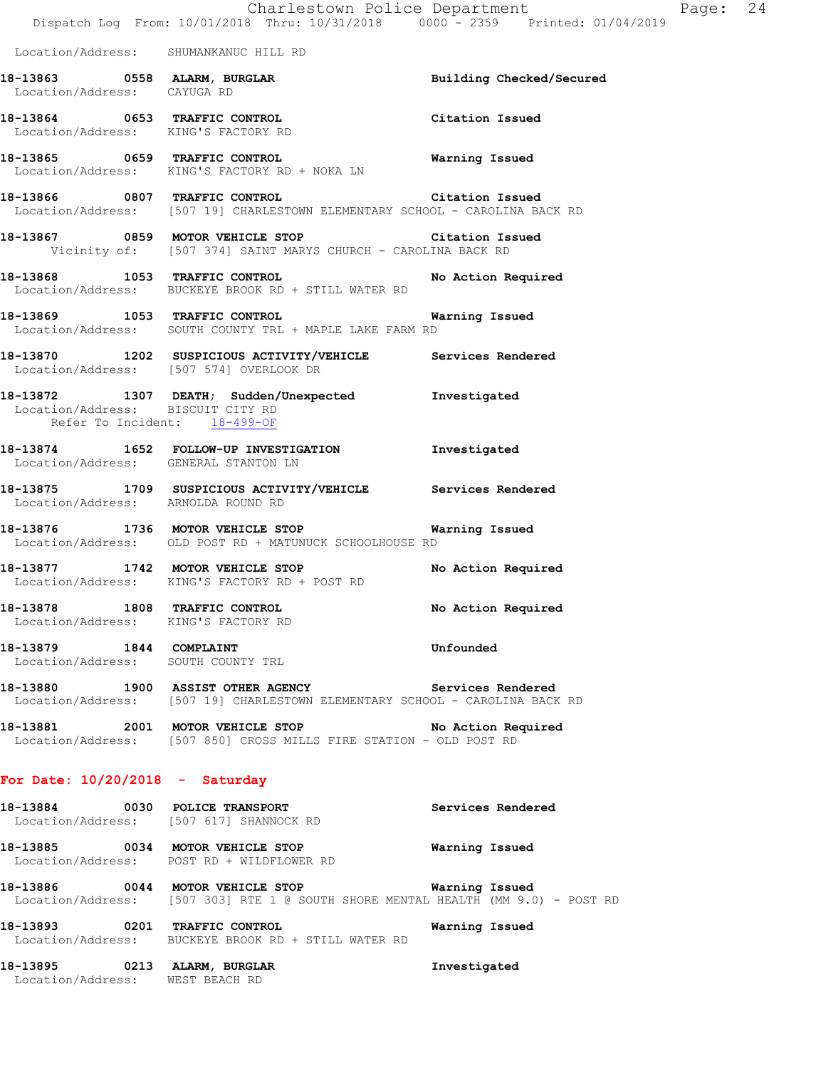|                                                                      | Dispatch Log From: 10/01/2018 Thru: 10/31/2018 0000 - 2359 Printed: 01/04/2019                                                          | Charlestown Police Department | Page: 24 |  |
|----------------------------------------------------------------------|-----------------------------------------------------------------------------------------------------------------------------------------|-------------------------------|----------|--|
| Location/Address: SHUMANKANUC HILL RD                                |                                                                                                                                         |                               |          |  |
|                                                                      | 18-13863 0558 ALARM, BURGLAR<br>Location/Address: CAYUGA RD                                                                             | Building Checked/Secured      |          |  |
| Location/Address: KING'S FACTORY RD                                  | 18-13864 0653 TRAFFIC CONTROL                                                                                                           | Citation Issued               |          |  |
|                                                                      | 18-13865 0659 TRAFFIC CONTROL<br>Location/Address: KING'S FACTORY RD + NOKA LN                                                          | Warning Issued                |          |  |
|                                                                      | 18-13866 0807 TRAFFIC CONTROL CONTROL Citation Issued<br>Location/Address: [507 19] CHARLESTOWN ELEMENTARY SCHOOL - CAROLINA BACK RD    |                               |          |  |
|                                                                      | 18-13867 0859 MOTOR VEHICLE STOP Citation Issued<br>Vicinity of: [507 374] SAINT MARYS CHURCH - CAROLINA BACK RD                        |                               |          |  |
|                                                                      | 18-13868 1053 TRAFFIC CONTROL<br>Location/Address: BUCKEYE BROOK RD + STILL WATER RD                                                    | No Action Required            |          |  |
|                                                                      | 18-13869 1053 TRAFFIC CONTROL 18-13869 Warning Issued<br>Location/Address: SOUTH COUNTY TRL + MAPLE LAKE FARM RD                        |                               |          |  |
|                                                                      | 18-13870 1202 SUSPICIOUS ACTIVITY/VEHICLE Services Rendered<br>Location/Address: [507 574] OVERLOOK DR                                  |                               |          |  |
| Location/Address: BISCUIT CITY RD<br>Refer To Incident: 18-499-OF    | 18-13872 1307 DEATH; Sudden/Unexpected Investigated                                                                                     |                               |          |  |
| Location/Address: GENERAL STANTON LN                                 | 18-13874 1652 FOLLOW-UP INVESTIGATION Investigated                                                                                      |                               |          |  |
| Location/Address: ARNOLDA ROUND RD                                   | 18-13875 1709 SUSPICIOUS ACTIVITY/VEHICLE Services Rendered                                                                             |                               |          |  |
|                                                                      | 18-13876 1736 MOTOR VEHICLE STOP 6 Warning Issued<br>Location/Address: OLD POST RD + MATUNUCK SCHOOLHOUSE RD                            |                               |          |  |
|                                                                      | 18-13877 1742 MOTOR VEHICLE STOP No Action Required<br>Location/Address: KING'S FACTORY RD + POST RD                                    |                               |          |  |
| 18-13878 1808 TRAFFIC CONTROL<br>Location/Address: KING'S FACTORY RD |                                                                                                                                         | No Action Required            |          |  |
| 18-13879 1844 COMPLAINT<br>Location/Address: SOUTH COUNTY TRL        |                                                                                                                                         | Unfounded                     |          |  |
|                                                                      | 18-13880 1900 ASSIST OTHER AGENCY Services Rendered<br>Location/Address: [507 19] CHARLESTOWN ELEMENTARY SCHOOL - CAROLINA BACK RD      |                               |          |  |
|                                                                      | 18-13881 2001 MOTOR VEHICLE STOP No Action Required<br>Location/Address: [507 850] CROSS MILLS FIRE STATION - OLD POST RD               |                               |          |  |
| For Date: $10/20/2018$ - Saturday                                    |                                                                                                                                         |                               |          |  |
|                                                                      | 18-13884 0030 POLICE TRANSPORT<br>Location/Address: [507 617] SHANNOCK RD                                                               | Services Rendered             |          |  |
|                                                                      | 18-13885 0034 MOTOR VEHICLE STOP<br>Location/Address: POST RD + WILDFLOWER RD                                                           | Warning Issued                |          |  |
|                                                                      | 18-13886 60044 MOTOR VEHICLE STOP 60 Warning Issued<br>Location/Address: [507 303] RTE 1 @ SOUTH SHORE MENTAL HEALTH (MM 9.0) - POST RD |                               |          |  |
|                                                                      | 18-13893 0201 TRAFFIC CONTROL<br>Location/Address: BUCKEYE BROOK RD + STILL WATER RD                                                    | Warning Issued                |          |  |
| 18-13895 0213 ALARM, BURGLAR                                         |                                                                                                                                         | Investigated                  |          |  |

Location/Address: WEST BEACH RD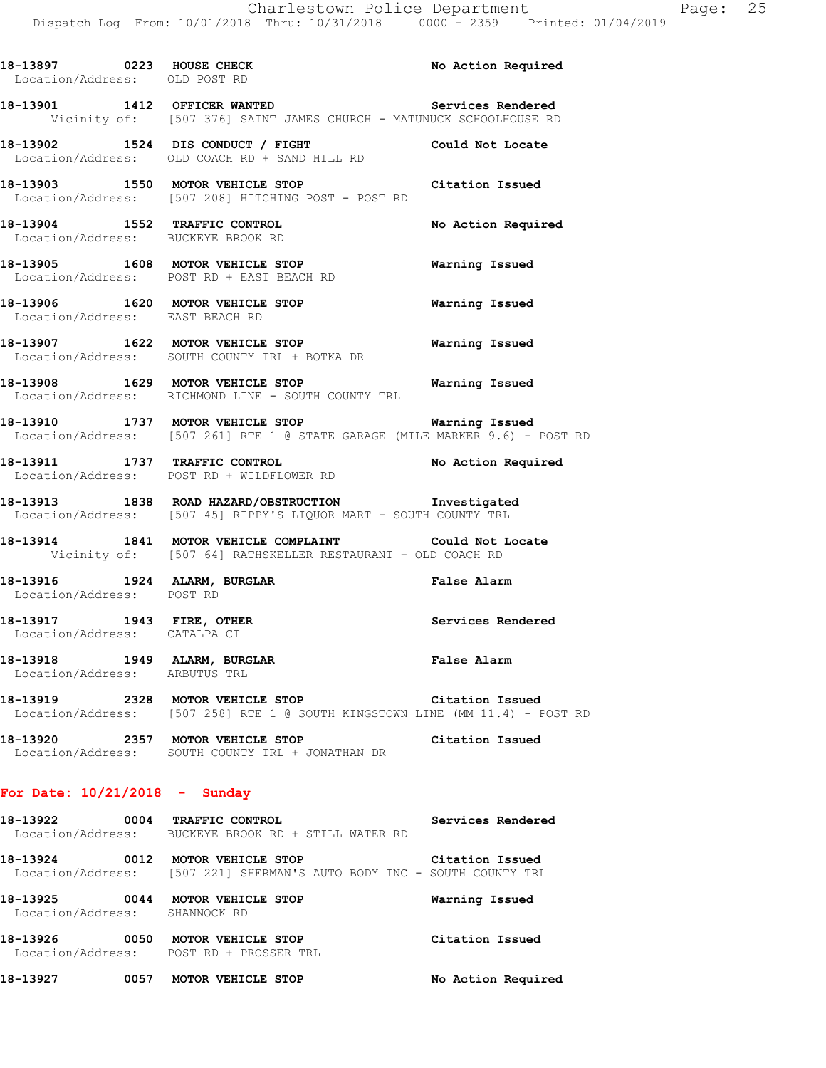| 18-13897 0223 HOUSE CHECK<br>Location/Address: OLD POST RD        |                                                                                                                                        | No Action Required    |
|-------------------------------------------------------------------|----------------------------------------------------------------------------------------------------------------------------------------|-----------------------|
|                                                                   | 18-13901 1412 OFFICER WANTED<br>Vicinity of: [507 376] SAINT JAMES CHURCH - MATUNUCK SCHOOLHOUSE RD                                    | Services Rendered     |
|                                                                   | 18-13902 1524 DIS CONDUCT / FIGHT Could Not Locate<br>Location/Address: OLD COACH RD + SAND HILL RD                                    |                       |
|                                                                   | 18-13903 1550 MOTOR VEHICLE STOP<br>Location/Address: [507 208] HITCHING POST - POST RD                                                | Citation Issued       |
| Location/Address: BUCKEYE BROOK RD                                | 18-13904 1552 TRAFFIC CONTROL No Action Required                                                                                       |                       |
|                                                                   | 18-13905 1608 MOTOR VEHICLE STOP<br>Location/Address: POST RD + EAST BEACH RD                                                          | <b>Warning Issued</b> |
|                                                                   | 18-13906 1620 MOTOR VEHICLE STOP<br>Location/Address: EAST BEACH RD                                                                    | <b>Warning Issued</b> |
|                                                                   | 18-13907 1622 MOTOR VEHICLE STOP<br>Location/Address: SOUTH COUNTY TRL + BOTKA DR                                                      | <b>Warning Issued</b> |
|                                                                   | 18-13908   1629   MOTOR VEHICLE STOP   Warning Issued   Location/Address:   RICHMOND LINE - SOUTH COUNTY TRL                           |                       |
|                                                                   | 18-13910 1737 MOTOR VEHICLE STOP <b>Warning Issued</b><br>Location/Address: [507 261] RTE 1 @ STATE GARAGE (MILE MARKER 9.6) - POST RD |                       |
|                                                                   | 18-13911 1737 TRAFFIC CONTROL<br>Location/Address: POST RD + WILDFLOWER RD                                                             | No Action Required    |
|                                                                   | 18-13913 1838 ROAD HAZARD/OBSTRUCTION Investigated<br>Location/Address: [507 45] RIPPY'S LIQUOR MART - SOUTH COUNTY TRL                |                       |
|                                                                   | 18-13914 1841 MOTOR VEHICLE COMPLAINT Could Not Locate<br>Vicinity of: [507 64] RATHSKELLER RESTAURANT - OLD COACH RD                  |                       |
| Location/Address: POST RD                                         | 18-13916 1924 ALARM, BURGLAR 1999 1999 Palse Alarm                                                                                     |                       |
| 18-13917 1943 FIRE, OTHER<br>Location/Address: CATALPA CT         |                                                                                                                                        | Services Rendered     |
| 18-13918 1949 ALARM, BURGLAR<br>Location/Address: ARBUTUS TRL     |                                                                                                                                        | False Alarm           |
|                                                                   | 18-13919 2328 MOTOR VEHICLE STOP Citation Issued<br>Location/Address: [507 258] RTE 1 @ SOUTH KINGSTOWN LINE (MM 11.4) - POST RD       |                       |
|                                                                   | 18-13920 2357 MOTOR VEHICLE STOP Citation Issued<br>Location/Address: SOUTH COUNTY TRL + JONATHAN DR                                   |                       |
| For Date: $10/21/2018$ - Sunday                                   |                                                                                                                                        |                       |
| 18-13922 0004 TRAFFIC CONTROL                                     | Location/Address: BUCKEYE BROOK RD + STILL WATER RD                                                                                    | Services Rendered     |
|                                                                   | 18-13924 0012 MOTOR VEHICLE STOP<br>Location/Address: [507 221] SHERMAN'S AUTO BODY INC - SOUTH COUNTY TRL                             | Citation Issued       |
| 18-13925 0044 MOTOR VEHICLE STOP<br>Location/Address: SHANNOCK RD |                                                                                                                                        | Warning Issued        |
|                                                                   | 18-13926 0050 MOTOR VEHICLE STOP<br>Location/Address: POST RD + PROSSER TRL                                                            | Citation Issued       |

**18-13927 0057 MOTOR VEHICLE STOP No Action Required**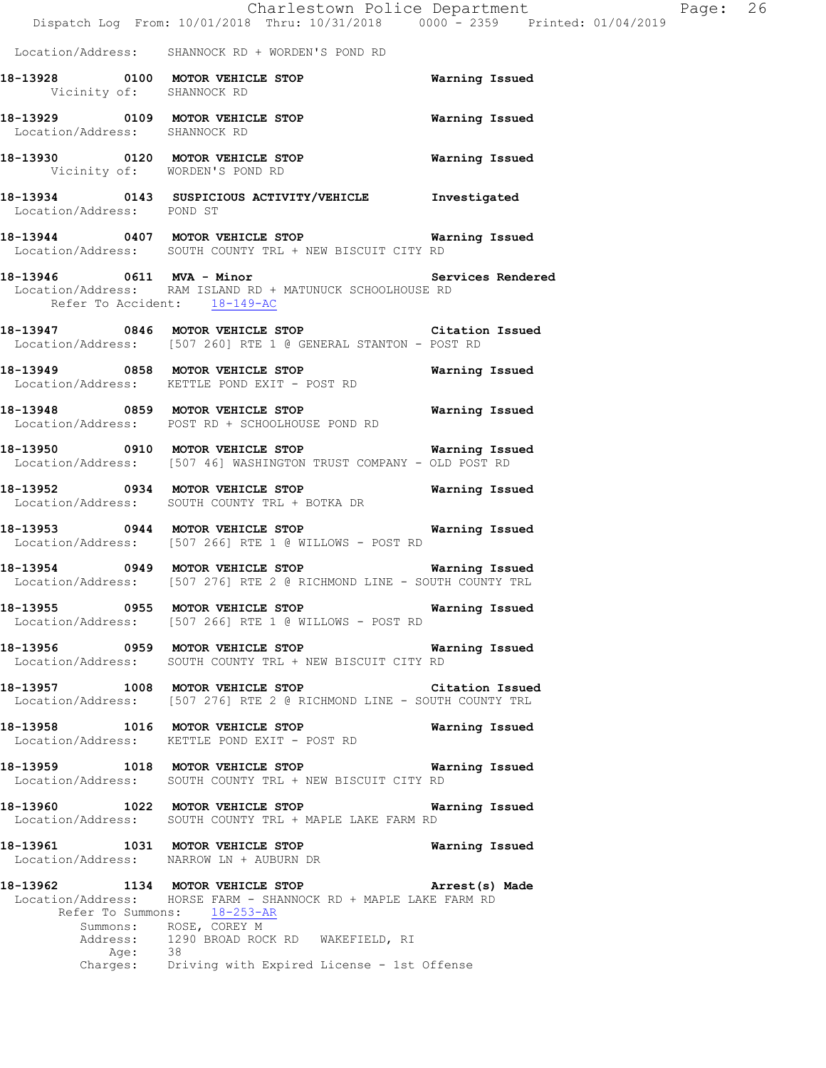|                               |                                                                                                                                                          | Charlestown Police Department Page: 26<br>Dispatch Log From: 10/01/2018 Thru: 10/31/2018 0000 <sup>-</sup> 2359 Printed: 01/04/2019 |  |
|-------------------------------|----------------------------------------------------------------------------------------------------------------------------------------------------------|-------------------------------------------------------------------------------------------------------------------------------------|--|
|                               | Location/Address: SHANNOCK RD + WORDEN'S POND RD                                                                                                         |                                                                                                                                     |  |
|                               | 18-13928   0100   MOTOR VEHICLE STOP   Warning Issued Vicinity of: SHANNOCK RD                                                                           |                                                                                                                                     |  |
| Location/Address: SHANNOCK RD | 18-13929 0109 MOTOR VEHICLE STOP 6 Warning Issued                                                                                                        |                                                                                                                                     |  |
|                               | 18-13930 0120 MOTOR VEHICLE STOP Warning Issued<br>Vicinity of: WORDEN'S POND RD                                                                         |                                                                                                                                     |  |
| Location/Address: POND ST     | 18-13934 0143 SUSPICIOUS ACTIVITY/VEHICLE Investigated                                                                                                   |                                                                                                                                     |  |
|                               | 18-13944 0407 MOTOR VEHICLE STOP 6 Warning Issued<br>Location/Address: SOUTH COUNTY TRL + NEW BISCUIT CITY RD                                            |                                                                                                                                     |  |
|                               | Location/Address: RAM ISLAND RD + MATUNUCK SCHOOLHOUSE RD<br>Refer To Accident: 18-149-AC                                                                |                                                                                                                                     |  |
|                               | 18-13947 0846 MOTOR VEHICLE STOP Citation Issued<br>Location/Address: [507 260] RTE 1 @ GENERAL STANTON - POST RD                                        |                                                                                                                                     |  |
|                               | 18-13949 0858 MOTOR VEHICLE STOP Warning Issued<br>Location/Address: KETTLE POND EXIT - POST RD                                                          |                                                                                                                                     |  |
|                               | 18-13948 0859 MOTOR VEHICLE STOP <b>WATER WATER</b><br>Location/Address: POST RD + SCHOOLHOUSE POND RD                                                   |                                                                                                                                     |  |
|                               | 18-13950 0910 MOTOR VEHICLE STOP Warning Issued<br>Location/Address: [507 46] WASHINGTON TRUST COMPANY - OLD POST RD                                     |                                                                                                                                     |  |
|                               | 18-13952 0934 MOTOR VEHICLE STOP<br>Location/Address: SOUTH COUNTY TRL + BOTKA DR                                                                        | Warning Issued                                                                                                                      |  |
|                               | 18-13953 0944 MOTOR VEHICLE STOP 6 Warning Issued<br>Location/Address: [507 266] RTE 1 @ WILLOWS - POST RD                                               |                                                                                                                                     |  |
|                               | 18-13954 0949 MOTOR VEHICLE STOP 6 Warning Issued<br>Location/Address: [507 276] RTE 2 @ RICHMOND LINE - SOUTH COUNTY TRL                                |                                                                                                                                     |  |
|                               | 18-13955 0955 MOTOR VEHICLE STOP <b>Warning Issued</b><br>Location/Address: [507 266] RTE 1 @ WILLOWS - POST RD                                          |                                                                                                                                     |  |
|                               | 18-13956 0959 MOTOR VEHICLE STOP 6 Warning Issued<br>Location/Address: SOUTH COUNTY TRL + NEW BISCUIT CITY RD                                            |                                                                                                                                     |  |
|                               | 18-13957 1008 MOTOR VEHICLE STOP Citation Issued<br>Location/Address: [507 276] RTE 2 @ RICHMOND LINE - SOUTH COUNTY TRL                                 |                                                                                                                                     |  |
|                               | 18-13958 1016 MOTOR VEHICLE STOP 6 Warning Issued<br>Location/Address: KETTLE POND EXIT - POST RD                                                        |                                                                                                                                     |  |
|                               | 18-13959 1018 MOTOR VEHICLE STOP 6 Warning Issued<br>Location/Address: SOUTH COUNTY TRL + NEW BISCUIT CITY RD                                            |                                                                                                                                     |  |
|                               | 18-13960 1022 MOTOR VEHICLE STOP 6 Warning Issued<br>Location/Address: SOUTH COUNTY TRL + MAPLE LAKE FARM RD                                             |                                                                                                                                     |  |
|                               | 18-13961 1031 MOTOR VEHICLE STOP 6 Warning Issued<br>Location/Address: NARROW LN + AUBURN DR                                                             |                                                                                                                                     |  |
|                               | 18-13962 1134 MOTOR VEHICLE STOP <b>Arrest(s)</b> Made<br>Location/Address: HORSE FARM - SHANNOCK RD + MAPLE LAKE FARM RD<br>Refer To Summons: 18-253-AR |                                                                                                                                     |  |
| Age: 38                       | Summons: ROSE, COREY M<br>Address: 1290 BROAD ROCK RD WAKEFIELD, RI                                                                                      |                                                                                                                                     |  |
|                               | Charges: Driving with Expired License - 1st Offense                                                                                                      |                                                                                                                                     |  |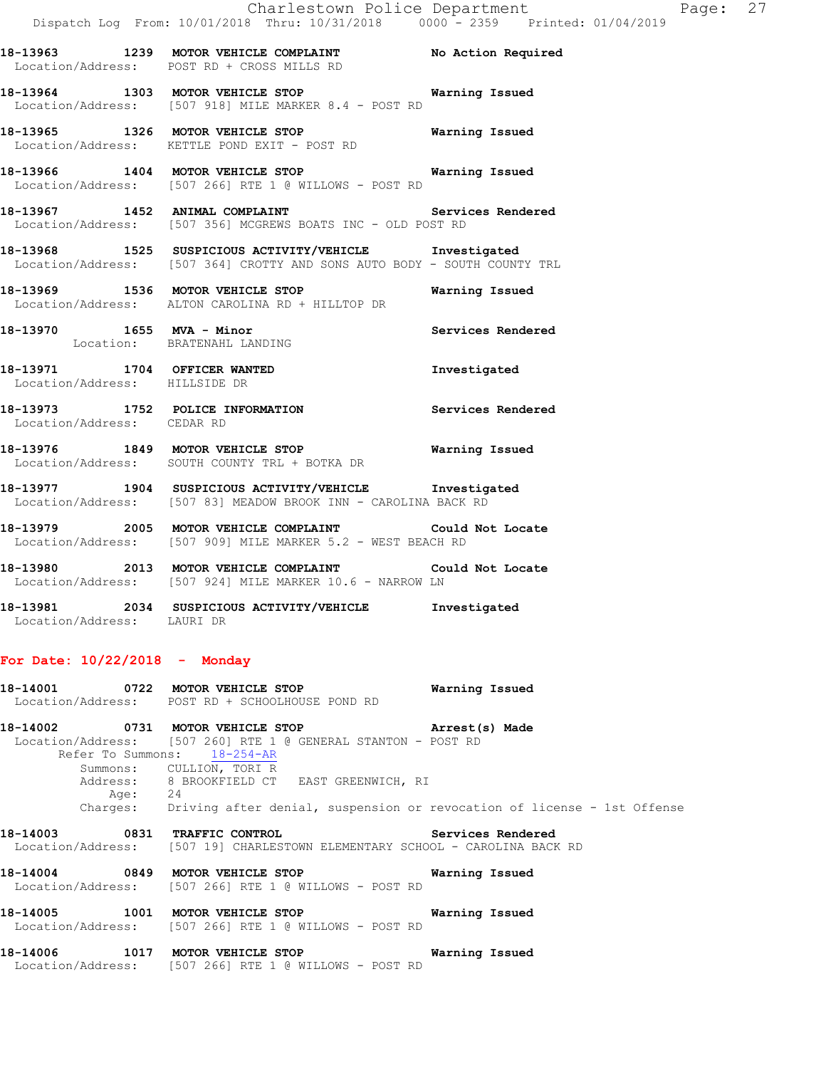**18-13964 1303 MOTOR VEHICLE STOP Warning Issued**  Location/Address: [507 918] MILE MARKER 8.4 - POST RD

**18-13965 1326 MOTOR VEHICLE STOP Warning Issued**  Location/Address: KETTLE POND EXIT - POST RD

**18-13966 1404 MOTOR VEHICLE STOP Warning Issued**  Location/Address: [507 266] RTE 1 @ WILLOWS - POST RD

18-13967 **1452 ANIMAL COMPLAINT 18-13967** Services Rendered Location/Address: [507 356] MCGREWS BOATS INC - OLD POST RD

**18-13968 1525 SUSPICIOUS ACTIVITY/VEHICLE Investigated**  Location/Address: [507 364] CROTTY AND SONS AUTO BODY - SOUTH COUNTY TRL

**18-13969 1536 MOTOR VEHICLE STOP Warning Issued**  Location/Address: ALTON CAROLINA RD + HILLTOP DR

**18-13970 1655 MVA - Minor Services Rendered**  Location: BRATENAHL LANDING

**18-13971 1704 OFFICER WANTED Investigated**  Location/Address: HILLSIDE DR

**18-13973 1752 POLICE INFORMATION Services Rendered**  Location/Address: CEDAR RD

**18-13976 1849 MOTOR VEHICLE STOP Warning Issued**  Location/Address: SOUTH COUNTY TRL + BOTKA DR

**18-13977 1904 SUSPICIOUS ACTIVITY/VEHICLE Investigated**  Location/Address: [507 83] MEADOW BROOK INN - CAROLINA BACK RD

**18-13979 2005 MOTOR VEHICLE COMPLAINT Could Not Locate**  Location/Address: [507 909] MILE MARKER 5.2 - WEST BEACH RD

**18-13980 2013 MOTOR VEHICLE COMPLAINT Could Not Locate**  Location/Address: [507 924] MILE MARKER 10.6 - NARROW LN

**18-13981 2034 SUSPICIOUS ACTIVITY/VEHICLE Investigated**  Location/Address: LAURI DR

## **For Date: 10/22/2018 - Monday**

**18-14001 0722 MOTOR VEHICLE STOP Warning Issued**  Location/Address: POST RD + SCHOOLHOUSE POND RD

**18-14002 0731 MOTOR VEHICLE STOP Arrest(s) Made**  Location/Address: [507 260] RTE 1 @ GENERAL STANTON - POST RD Refer To Summons:  $18-254-AR$ Summons: CULLION, TORI R<br>Address: 8 BROOKFIELD CT 8 BROOKFIELD CT EAST GREENWICH, RI<br>24 Age: Charges: Driving after denial, suspension or revocation of license - 1st Offense

**18-14003 0831 TRAFFIC CONTROL Services Rendered**  Location/Address: [507 19] CHARLESTOWN ELEMENTARY SCHOOL - CAROLINA BACK RD

**18-14004 0849 MOTOR VEHICLE STOP Warning Issued**  Location/Address: [507 266] RTE 1 @ WILLOWS - POST RD

**18-14005 1001 MOTOR VEHICLE STOP Warning Issued**  Location/Address: [507 266] RTE 1 @ WILLOWS - POST RD

**18-14006 1017 MOTOR VEHICLE STOP Warning Issued**  Location/Address: [507 266] RTE 1 @ WILLOWS - POST RD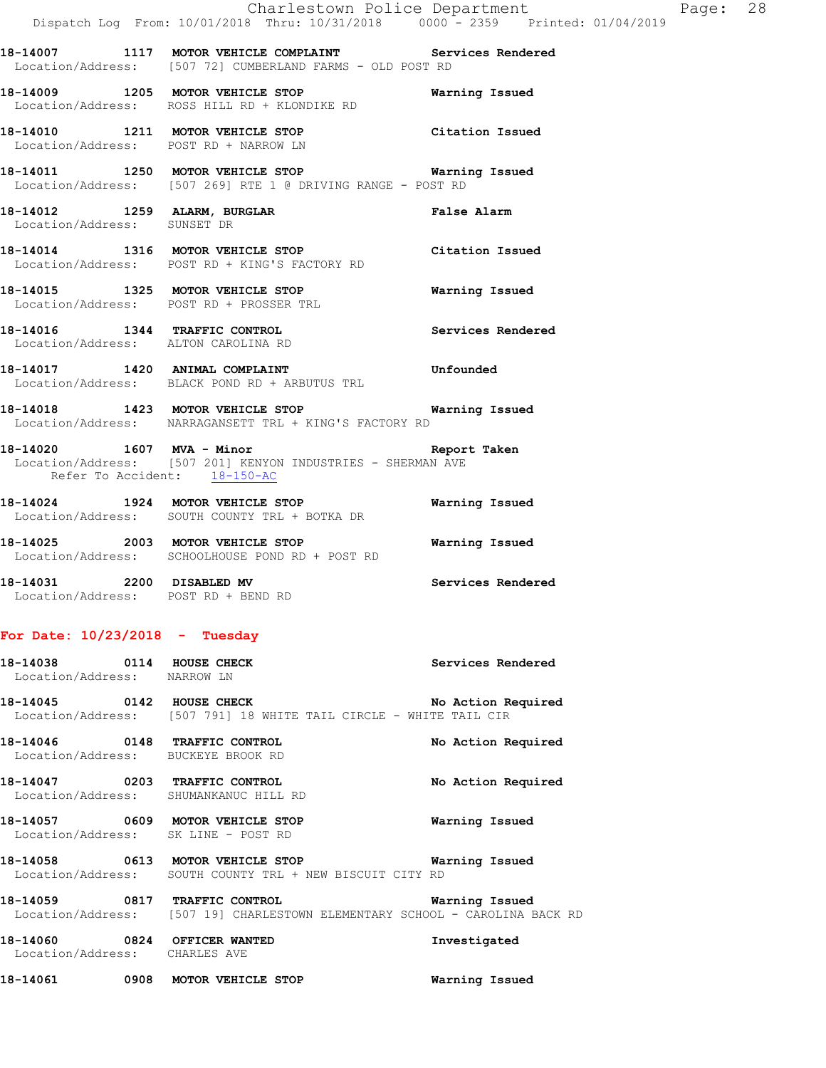|                                                                                |  |  | Charlestown Police Department |  |  | Page: 28 |  |
|--------------------------------------------------------------------------------|--|--|-------------------------------|--|--|----------|--|
| Dispatch Log From: 10/01/2018 Thru: 10/31/2018 0000 - 2359 Printed: 01/04/2019 |  |  |                               |  |  |          |  |

**18-14007 1117 MOTOR VEHICLE COMPLAINT Services Rendered**  Location/Address: [507 72] CUMBERLAND FARMS - OLD POST RD

**18-14009 1205 MOTOR VEHICLE STOP Warning Issued**  Location/Address: ROSS HILL RD + KLONDIKE RD

**18-14010 1211 MOTOR VEHICLE STOP Citation Issued**  Location/Address: POST RD + NARROW LN

**18-14011 1250 MOTOR VEHICLE STOP Warning Issued**  Location/Address: [507 269] RTE 1 @ DRIVING RANGE - POST RD

**18-14012 1259 ALARM, BURGLAR False Alarm**  Location/Address: SUNSET DR

**18-14014 1316 MOTOR VEHICLE STOP Citation Issued**  Location/Address: POST RD + KING'S FACTORY RD

**18-14015 1325 MOTOR VEHICLE STOP Warning Issued**  Location/Address: POST RD + PROSSER TRL

**18-14016 1344 TRAFFIC CONTROL Services Rendered**  Location/Address: ALTON CAROLINA RD

**18-14017 1420 ANIMAL COMPLAINT Unfounded**  Location/Address: BLACK POND RD + ARBUTUS TRL

**18-14018 1423 MOTOR VEHICLE STOP Warning Issued**  Location/Address: NARRAGANSETT TRL + KING'S FACTORY RD

**18-14020 1607 MVA - Minor Report Taken**  Location/Address: [507 201] KENYON INDUSTRIES - SHERMAN AVE Refer To Accident: 18-150-AC

**18-14024 1924 MOTOR VEHICLE STOP Warning Issued**  Location/Address: SOUTH COUNTY TRL + BOTKA DR

**18-14025 2003 MOTOR VEHICLE STOP Warning Issued**  Location/Address: SCHOOLHOUSE POND RD + POST RD

**18-14031 2200 DISABLED MV Services Rendered**  Location/Address: POST RD + BEND RD

## **For Date: 10/23/2018 - Tuesday**

18-14038 **0114 HOUSE CHECK 18-14038 18-14038**  Location/Address: NARROW LN **18-14045 0142 HOUSE CHECK No Action Required**  Location/Address: [507 791] 18 WHITE TAIL CIRCLE - WHITE TAIL CIR **18-14046 0148 TRAFFIC CONTROL No Action Required**  Location/Address: BUCKEYE BROOK RD

**18-14047 0203 TRAFFIC CONTROL No Action Required**  Location/Address: SHUMANKANUC HILL RD

**18-14057 0609 MOTOR VEHICLE STOP Warning Issued**  Location/Address: SK LINE - POST RD

**18-14058 0613 MOTOR VEHICLE STOP Warning Issued**  Location/Address: SOUTH COUNTY TRL + NEW BISCUIT CITY RD

**18-14059 0817 TRAFFIC CONTROL Warning Issued**  Location/Address: [507 19] CHARLESTOWN ELEMENTARY SCHOOL - CAROLINA BACK RD

**18-14060 0824 OFFICER WANTED Investigated**  Location/Address: CHARLES AVE

**18-14061 0908 MOTOR VEHICLE STOP Warning Issued**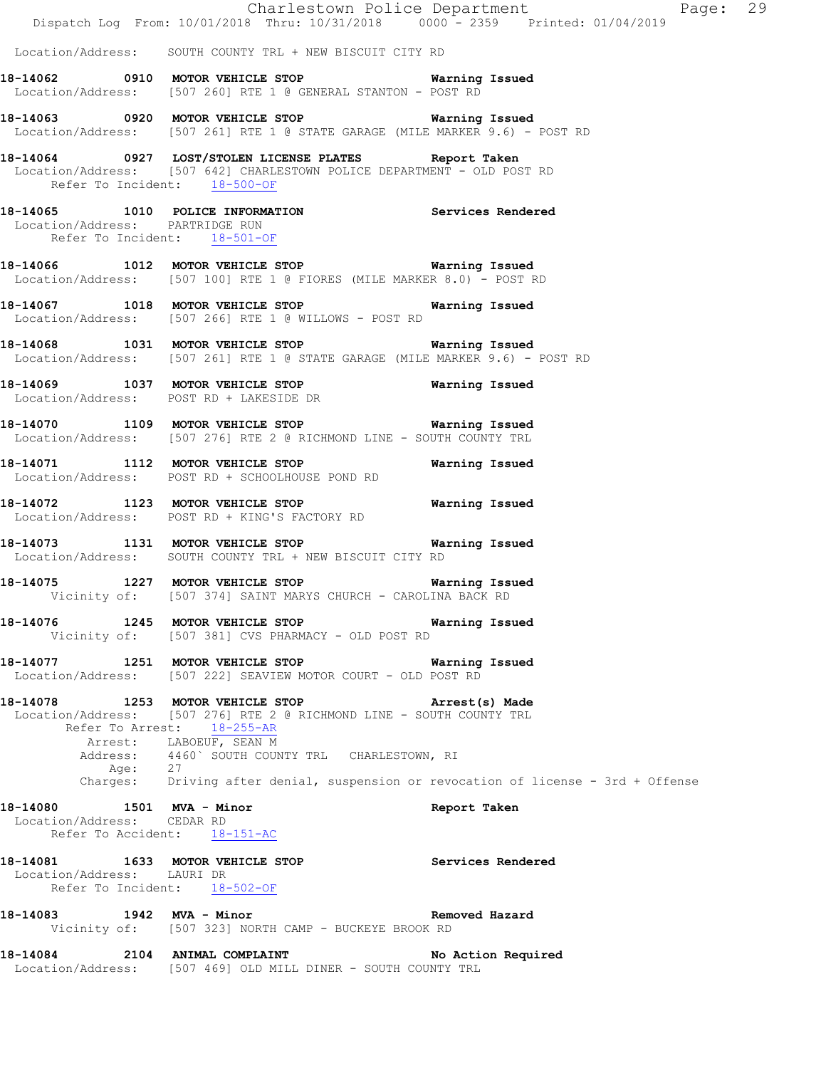|                                                           |         | Dispatch Log From: 10/01/2018 Thru: 10/31/2018 0000 - 2359 Printed: 01/04/2019                                                                                                                                       | Charlestown Police Department Fage: 29                                             |
|-----------------------------------------------------------|---------|----------------------------------------------------------------------------------------------------------------------------------------------------------------------------------------------------------------------|------------------------------------------------------------------------------------|
|                                                           |         | Location/Address: SOUTH COUNTY TRL + NEW BISCUIT CITY RD                                                                                                                                                             |                                                                                    |
|                                                           |         | 18-14062 0910 MOTOR VEHICLE STOP 6 Warning Issued<br>Location/Address: [507 260] RTE 1 @ GENERAL STANTON - POST RD                                                                                                   |                                                                                    |
|                                                           |         | 18-14063 0920 MOTOR VEHICLE STOP 6 Warning Issued<br>Location/Address: [507 261] RTE 1 @ STATE GARAGE (MILE MARKER 9.6) - POST RD                                                                                    |                                                                                    |
|                                                           |         | 18-14064 0927 LOST/STOLEN LICENSE PLATES Report Taken<br>Location/Address: [507 642] CHARLESTOWN POLICE DEPARTMENT - OLD POST RD<br>Refer To Incident: 18-500-OF                                                     |                                                                                    |
| Location/Address: PARTRIDGE RUN                           |         | 18-14065 1010 POLICE INFORMATION Services Rendered<br>Refer To Incident: 18-501-OF                                                                                                                                   |                                                                                    |
|                                                           |         | 18-14066 1012 MOTOR VEHICLE STOP Warning Issued<br>Location/Address: [507 100] RTE 1 @ FIORES (MILE MARKER 8.0) - POST RD                                                                                            |                                                                                    |
|                                                           |         | 18-14067 1018 MOTOR VEHICLE STOP Warning Issued<br>Location/Address: [507 266] RTE 1 @ WILLOWS - POST RD                                                                                                             |                                                                                    |
|                                                           |         | 18-14068 1031 MOTOR VEHICLE STOP Warning Issued<br>Location/Address: [507 261] RTE 1 @ STATE GARAGE (MILE MARKER 9.6) - POST RD                                                                                      |                                                                                    |
|                                                           |         | 18-14069 1037 MOTOR VEHICLE STOP 6 Warning Issued<br>Location/Address: POST RD + LAKESIDE DR                                                                                                                         |                                                                                    |
|                                                           |         | 18-14070 1109 MOTOR VEHICLE STOP 6 Warning Issued<br>Location/Address: [507 276] RTE 2 @ RICHMOND LINE - SOUTH COUNTY TRL                                                                                            |                                                                                    |
|                                                           |         | 18-14071 1112 MOTOR VEHICLE STOP 6 Warning Issued<br>Location/Address: POST RD + SCHOOLHOUSE POND RD                                                                                                                 |                                                                                    |
|                                                           |         | 18-14072 1123 MOTOR VEHICLE STOP <b>Warning Issued</b><br>Location/Address: POST RD + KING'S FACTORY RD                                                                                                              |                                                                                    |
|                                                           |         | 18-14073 1131 MOTOR VEHICLE STOP 6 Warning Issued<br>Location/Address: SOUTH COUNTY TRL + NEW BISCUIT CITY RD                                                                                                        |                                                                                    |
|                                                           |         | 18-14075 1227 MOTOR VEHICLE STOP 6 Warning Issued<br>Vicinity of: [507 374] SAINT MARYS CHURCH - CAROLINA BACK RD                                                                                                    |                                                                                    |
|                                                           |         | 18-14076 1245 MOTOR VEHICLE STOP 6 Warning Issued<br>Vicinity of: [507 381] CVS PHARMACY - OLD POST RD                                                                                                               |                                                                                    |
|                                                           |         | 18-14077 1251 MOTOR VEHICLE STOP 6 Warning Issued<br>Location/Address: [507 222] SEAVIEW MOTOR COURT - OLD POST RD                                                                                                   |                                                                                    |
|                                                           |         | 18-14078 1253 MOTOR VEHICLE STOP<br>Location/Address: [507 276] RTE 2 @ RICHMOND LINE - SOUTH COUNTY TRL<br>Refer To Arrest: 18-255-AR<br>Arrest: LABOEUF, SEAN M<br>Address: 4460` SOUTH COUNTY TRL CHARLESTOWN, RI | Arrest(s) Made                                                                     |
|                                                           | Age: 27 |                                                                                                                                                                                                                      | Charges: Driving after denial, suspension or revocation of license - 3rd + Offense |
| 18-14080   1501 MVA - Minor<br>Location/Address: CEDAR RD |         | Refer To Accident: 18-151-AC                                                                                                                                                                                         | Report Taken                                                                       |
| Location/Address: LAURI DR                                |         | 18-14081 1633 MOTOR VEHICLE STOP Services Rendered<br>Refer To Incident: 18-502-OF                                                                                                                                   |                                                                                    |
|                                                           |         | 18-14083 1942 MVA - Minor<br>Vicinity of: [507 323] NORTH CAMP - BUCKEYE BROOK RD                                                                                                                                    | Removed Hazard                                                                     |
|                                                           |         | 18-14084 2104 ANIMAL COMPLAINT<br>Location/Address: [507 469] OLD MILL DINER - SOUTH COUNTY TRL                                                                                                                      | No Action Required                                                                 |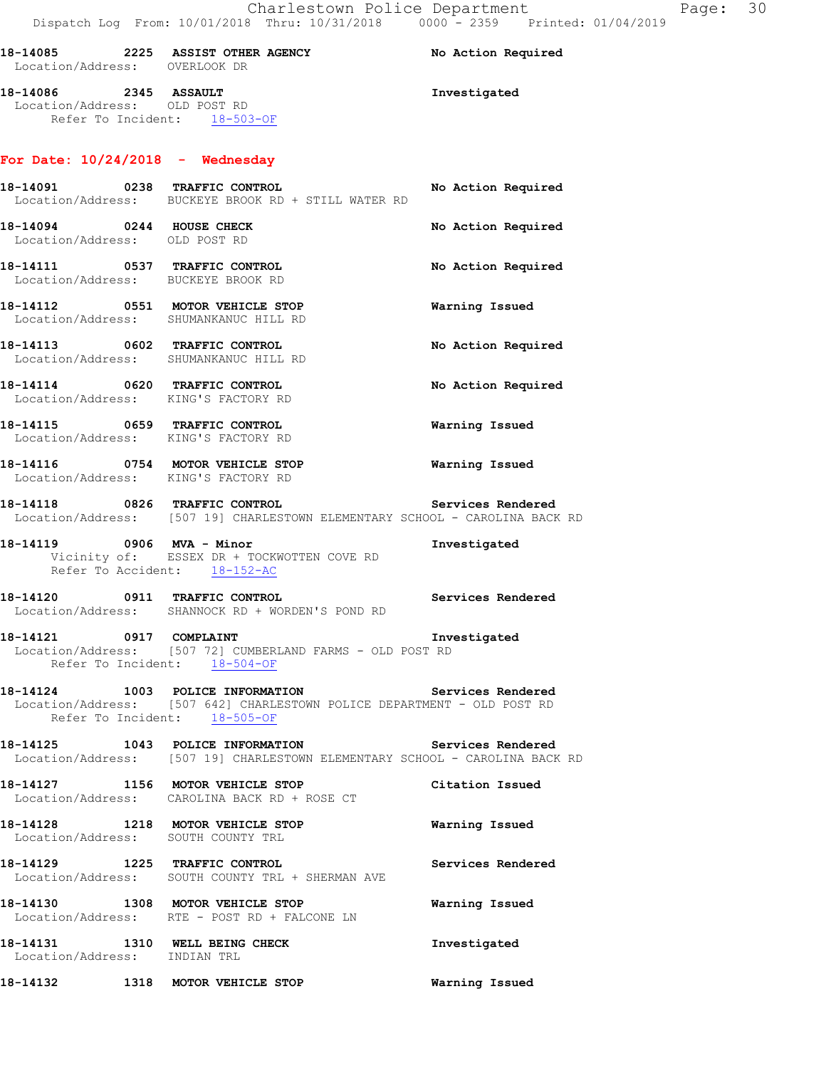| 18-14085<br>Location/Address:             | 2225 | <b>ASSIST OTHER AGENCY</b><br>OVERLOOK DR | No Action Required |
|-------------------------------------------|------|-------------------------------------------|--------------------|
| 18-14086<br>Location/Address: OLD POST RD | 2345 | <b>ASSAULT</b>                            | Investigated       |

## **For Date: 10/24/2018 - Wednesday**

Refer To Incident: 18-503-OF

|                           | 18-14091 0238 TRAFFIC CONTROL No Action Required<br>Location/Address: BUCKEYE BROOK RD + STILL WATER RD                                                       |                       |
|---------------------------|---------------------------------------------------------------------------------------------------------------------------------------------------------------|-----------------------|
| 18-14094 0244 HOUSE CHECK | Location/Address: OLD POST RD                                                                                                                                 | No Action Required    |
|                           | 18-14111 0537 TRAFFIC CONTROL<br>Location/Address: BUCKEYE BROOK RD                                                                                           | No Action Required    |
|                           | 18-14112 0551 MOTOR VEHICLE STOP<br>Location/Address: SHUMANKANUC HILL RD                                                                                     | <b>Warning Issued</b> |
|                           | 18-14113 0602 TRAFFIC CONTROL<br>Location/Address: SHUMANKANUC HILL RD                                                                                        | No Action Required    |
|                           | 18-14114 0620 TRAFFIC CONTROL<br>Location/Address: KING'S FACTORY RD                                                                                          | No Action Required    |
|                           | 18-14115 0659 TRAFFIC CONTROL<br>Location/Address: KING'S FACTORY RD                                                                                          | Warning Issued        |
|                           | 18-14116 0754 MOTOR VEHICLE STOP <b>WATER WATER</b><br>Location/Address: KING'S FACTORY RD                                                                    |                       |
|                           | 18-14118 		 0826 TRAFFIC CONTROL 			 Services Rendered<br>Location/Address: [507 19] CHARLESTOWN ELEMENTARY SCHOOL - CAROLINA BACK RD                         |                       |
|                           | 18-14119 0906 MVA - Minor<br>Vicinity of: ESSEX DR + TOCKWOTTEN COVE RD<br>Refer To Accident: 18-152-AC                                                       | Investigated          |
|                           | Services Rendered<br>18-14120 0911 TRAFFIC CONTROL<br>Location/Address: SHANNOCK RD + WORDEN'S POND RD                                                        |                       |
|                           | 18-14121 0917 COMPLAINT 18-14121 Investigated<br>Location/Address: [507 72] CUMBERLAND FARMS - OLD POST RD<br>Refer To Incident: 18-504-OF                    |                       |
|                           | 18-14124 1003 POLICE INFORMATION Services Rendered<br>Location/Address: [507 642] CHARLESTOWN POLICE DEPARTMENT - OLD POST RD<br>Refer To Incident: 18-505-OF |                       |
|                           | 18-14125 1043 POLICE INFORMATION Services Rendered<br>Location/Address: [507 19] CHARLESTOWN ELEMENTARY SCHOOL - CAROLINA BACK RD                             |                       |
|                           | 18-14127 1156 MOTOR VEHICLE STOP<br>Location/Address: CAROLINA BACK RD + ROSE CT                                                                              | Citation Issued       |
|                           | 18-14128 1218 MOTOR VEHICLE STOP<br>Location/Address: SOUTH COUNTY TRL                                                                                        | Warning Issued        |
|                           | 18-14129 1225 TRAFFIC CONTROL<br>Location/Address: SOUTH COUNTY TRL + SHERMAN AVE                                                                             | Services Rendered     |
|                           | 18-14130 1308 MOTOR VEHICLE STOP<br>Location/Address: RTE - POST RD + FALCONE LN                                                                              | Warning Issued        |
|                           |                                                                                                                                                               |                       |

**18-14131 1310 WELL BEING CHECK Investigated**  Location/Address: INDIAN TRL **18-14132 1318 MOTOR VEHICLE STOP Warning Issued**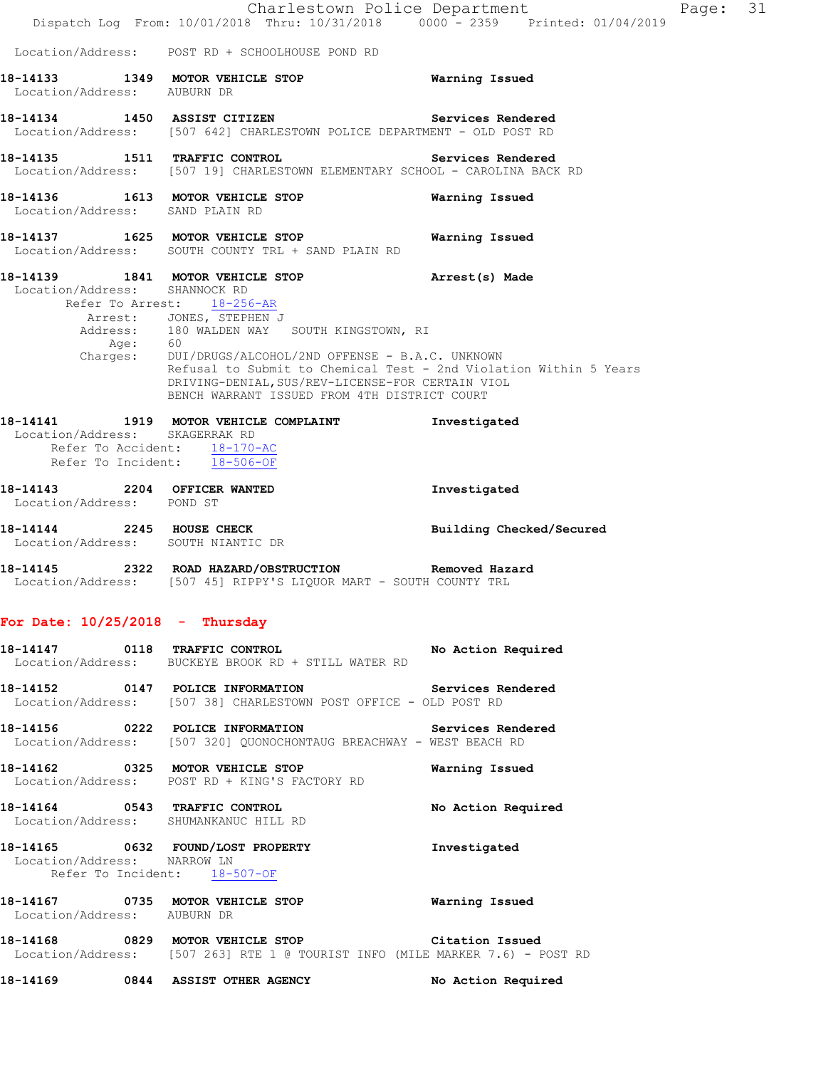|                                                                        | Dispatch Log From: 10/01/2018 Thru: 10/31/2018 0000 - 2359 Printed: 01/04/2019                                                                                                                                                                                                                                                                                                                   | Charlestown Police Department | Page: | 31 |
|------------------------------------------------------------------------|--------------------------------------------------------------------------------------------------------------------------------------------------------------------------------------------------------------------------------------------------------------------------------------------------------------------------------------------------------------------------------------------------|-------------------------------|-------|----|
|                                                                        | Location/Address: POST RD + SCHOOLHOUSE POND RD                                                                                                                                                                                                                                                                                                                                                  |                               |       |    |
| Location/Address: AUBURN DR                                            | 18-14133 1349 MOTOR VEHICLE STOP 6 Warning Issued                                                                                                                                                                                                                                                                                                                                                |                               |       |    |
|                                                                        | 18-14134 1450 ASSIST CITIZEN Services Rendered<br>Location/Address: [507 642] CHARLESTOWN POLICE DEPARTMENT - OLD POST RD                                                                                                                                                                                                                                                                        |                               |       |    |
| 18-14135 1511 TRAFFIC CONTROL                                          | Location/Address: [507 19] CHARLESTOWN ELEMENTARY SCHOOL - CAROLINA BACK RD                                                                                                                                                                                                                                                                                                                      | Services Rendered             |       |    |
| Location/Address: SAND PLAIN RD                                        | 18-14136 1613 MOTOR VEHICLE STOP                                                                                                                                                                                                                                                                                                                                                                 | Warning Issued                |       |    |
|                                                                        | 18-14137 1625 MOTOR VEHICLE STOP<br>Location/Address: SOUTH COUNTY TRL + SAND PLAIN RD                                                                                                                                                                                                                                                                                                           | Warning Issued                |       |    |
| Location/Address: SHANNOCK RD<br>Age: 60                               | 18-14139 1841 MOTOR VEHICLE STOP 18 Arrest (s) Made<br>Refer To Arrest: 18-256-AR<br>Arrest: JONES, STEPHEN J<br>Address: 180 WALDEN WAY SOUTH KINGSTOWN, RI<br>Charges: DUI/DRUGS/ALCOHOL/2ND OFFENSE - B.A.C. UNKNOWN<br>Refusal to Submit to Chemical Test - 2nd Violation Within 5 Years<br>DRIVING-DENIAL, SUS/REV-LICENSE-FOR CERTAIN VIOL<br>BENCH WARRANT ISSUED FROM 4TH DISTRICT COURT |                               |       |    |
| Location/Address: SKAGERRAK RD<br>Refer To Incident: 18-506-OF         | 18-14141 1919 MOTOR VEHICLE COMPLAINT<br>Refer To Accident: 18-170-AC                                                                                                                                                                                                                                                                                                                            | Investigated                  |       |    |
| 18-14143 2204 OFFICER WANTED<br>Location/Address: POND ST              |                                                                                                                                                                                                                                                                                                                                                                                                  | Investigated                  |       |    |
| Location/Address: SOUTH NIANTIC DR                                     | 18-14144 2245 HOUSE CHECK                                                                                                                                                                                                                                                                                                                                                                        | Building Checked/Secured      |       |    |
|                                                                        | 18-14145 2322 ROAD HAZARD/OBSTRUCTION Removed Hazard<br>Location/Address: [507 45] RIPPY'S LIQUOR MART - SOUTH COUNTY TRL                                                                                                                                                                                                                                                                        |                               |       |    |
| For Date: $10/25/2018$ - Thursday                                      |                                                                                                                                                                                                                                                                                                                                                                                                  |                               |       |    |
|                                                                        | 18-14147 0118 TRAFFIC CONTROL No Action Required<br>Location/Address: BUCKEYE BROOK RD + STILL WATER RD                                                                                                                                                                                                                                                                                          |                               |       |    |
|                                                                        | 18-14152   0147   POLICE INFORMATION   Services Rendered Location/Address: [507 38] CHARLESTOWN POST OFFICE - OLD POST RD                                                                                                                                                                                                                                                                        |                               |       |    |
|                                                                        | 18-14156  0222  POLICE INFORMATION  Services Rendered<br>Location/Address: [507 320] QUONOCHONTAUG BREACHWAY - WEST BEACH RD                                                                                                                                                                                                                                                                     |                               |       |    |
|                                                                        | 18-14162 0325 MOTOR VEHICLE STOP<br>Location/Address: POST RD + KING'S FACTORY RD                                                                                                                                                                                                                                                                                                                | Warning Issued                |       |    |
| 18-14164 0543 TRAFFIC CONTROL<br>Location/Address: SHUMANKANUC HILL RD |                                                                                                                                                                                                                                                                                                                                                                                                  | No Action Required            |       |    |
| Location/Address: NARROW LN                                            | 18-14165 0632 FOUND/LOST PROPERTY<br>Refer To Incident: 18-507-OF                                                                                                                                                                                                                                                                                                                                | Investigated                  |       |    |
| Location/Address: AUBURN DR                                            | 18-14167   0735 MOTOR VEHICLE STOP   Warning Issued                                                                                                                                                                                                                                                                                                                                              |                               |       |    |
|                                                                        | 18-14168 0829 MOTOR VEHICLE STOP Citation Issued<br>Location/Address: [507 263] RTE 1 @ TOURIST INFO (MILE MARKER 7.6) - POST RD                                                                                                                                                                                                                                                                 |                               |       |    |
|                                                                        | 18-14169 0844 ASSIST OTHER AGENCY                                                                                                                                                                                                                                                                                                                                                                | No Action Required            |       |    |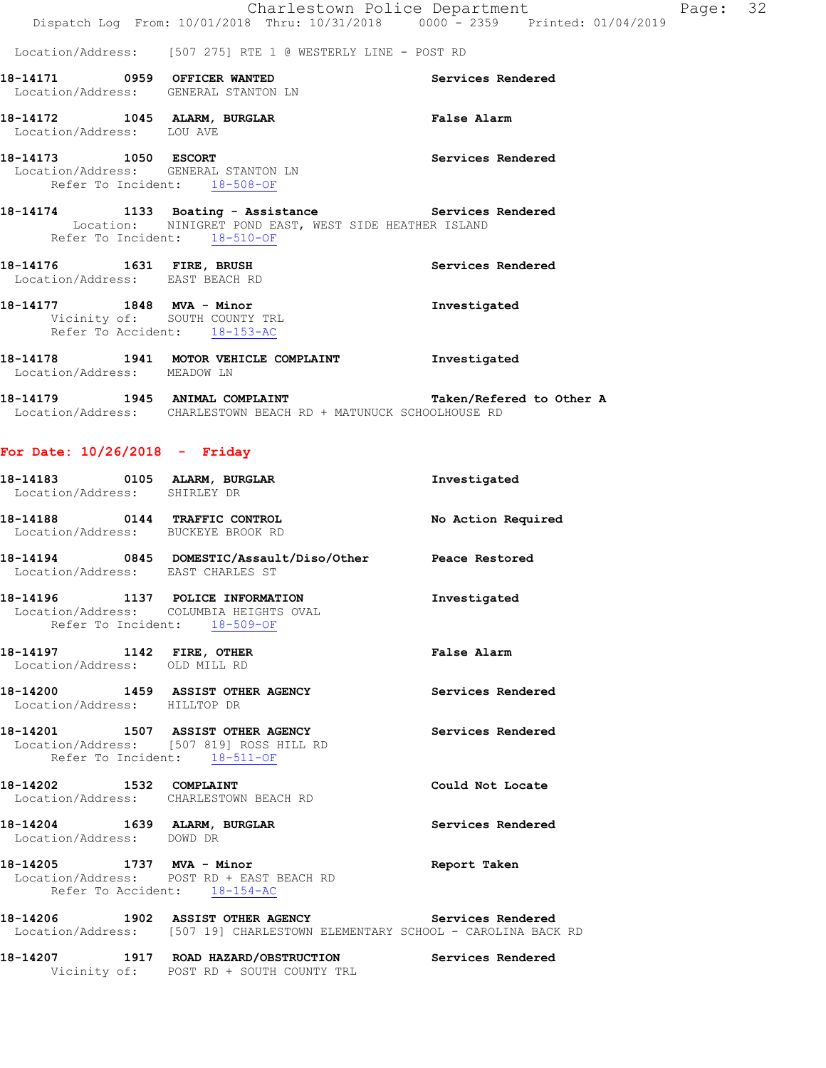Location/Address: [507 275] RTE 1 @ WESTERLY LINE - POST RD

- **18-14171 0959 OFFICER WANTED Services Rendered**  Location/Address: GENERAL STANTON LN
- **18-14172 1045 ALARM, BURGLAR False Alarm**  Location/Address: LOU AVE
- **18-14173 1050 ESCORT Services Rendered**  Location/Address: GENERAL STANTON LN Refer To Incident: 18-508-OF
- **18-14174 1133 Boating Assistance Services Rendered**  Location: NINIGRET POND EAST, WEST SIDE HEATHER ISLAND Refer To Incident: 18-510-OF
- **18-14176 1631 FIRE, BRUSH Services Rendered**  Location/Address: EAST BEACH RD
- **18-14177 1848 MVA Minor Investigated**  Vicinity of: SOUTH COUNTY TRL Refer To Accident: 18-153-AC
- **18-14178 1941 MOTOR VEHICLE COMPLAINT Investigated**  Location/Address: MEADOW LN
- **18-14179 1945 ANIMAL COMPLAINT Taken/Refered to Other A**  Location/Address: CHARLESTOWN BEACH RD + MATUNUCK SCHOOLHOUSE RD

#### **For Date: 10/26/2018 - Friday**

| Location/Address: SHIRLEY DR      | 18-14183 0105 ALARM, BURGLAR                                                                                                       | Investigated       |
|-----------------------------------|------------------------------------------------------------------------------------------------------------------------------------|--------------------|
|                                   | 18-14188 0144 TRAFFIC CONTROL<br>Location/Address: BUCKEYE BROOK RD                                                                | No Action Required |
| Location/Address: EAST CHARLES ST | 18-14194 0845 DOMESTIC/Assault/Diso/Other Peace Restored                                                                           |                    |
| Refer To Incident: 18-509-OF      | 18-14196 1137 POLICE INFORMATION<br>Location/Address: COLUMBIA HEIGHTS OVAL                                                        | Investigated       |
| Location/Address: OLD MILL RD     | 18-14197    1142    FIRE, OTHER                                                                                                    | <b>False Alarm</b> |
| Location/Address: HILLTOP DR      | 18-14200 1459 ASSIST OTHER AGENCY                                                                                                  | Services Rendered  |
| Refer To Incident: 18-511-OF      | 18-14201 1507 ASSIST OTHER AGENCY<br>Location/Address: [507 819] ROSS HILL RD                                                      | Services Rendered  |
|                                   | 18-14202 1532 COMPLAINT<br>Location/Address: CHARLESTOWN BEACH RD                                                                  | Could Not Locate   |
| Location/Address: DOWD DR         | 18-14204 1639 ALARM, BURGLAR                                                                                                       | Services Rendered  |
|                                   | 18-14205 1737 MVA - Minor<br>Location/Address: POST RD + EAST BEACH RD<br>Refer To Accident: 18-154-AC                             | Report Taken       |
|                                   | 18-14206 1902 ASSIST OTHER AGENCY Services Rendered<br>Location/Address: [507 19] CHARLESTOWN ELEMENTARY SCHOOL - CAROLINA BACK RD |                    |

**18-14207 1917 ROAD HAZARD/OBSTRUCTION Services Rendered**  Vicinity of: POST RD + SOUTH COUNTY TRL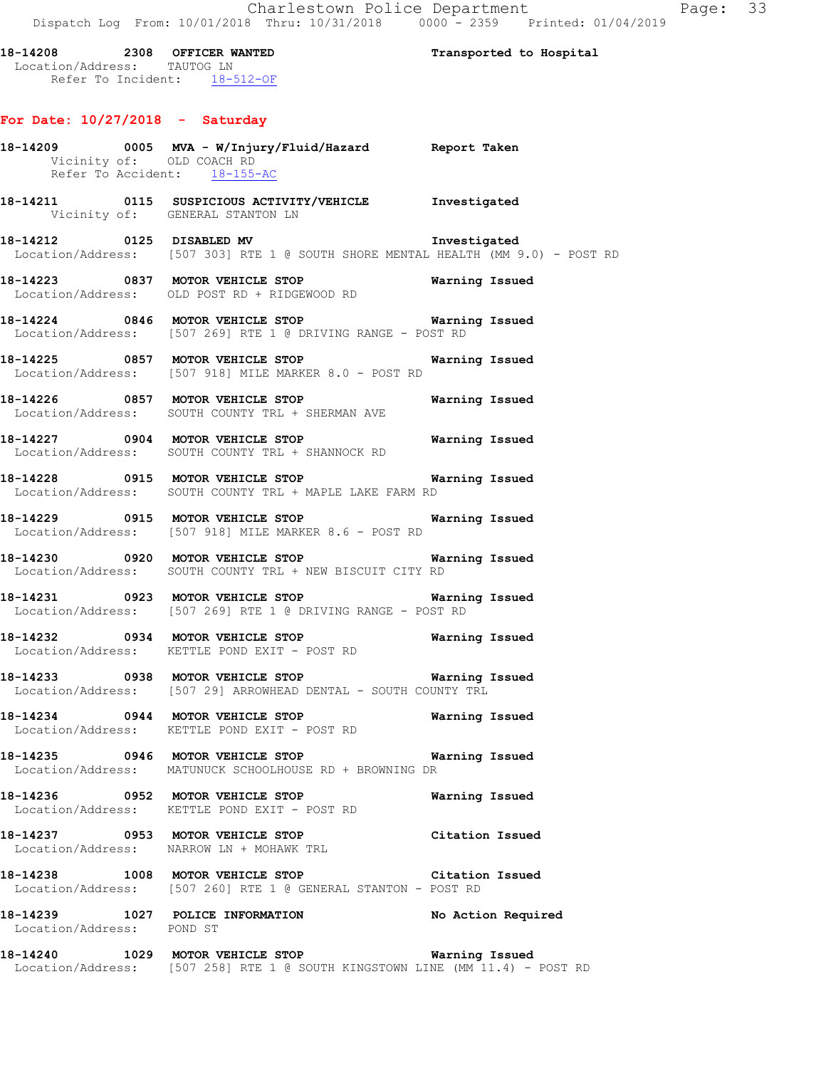**18-14208 2308 OFFICER WANTED Transported to Hospital**  Location/Address: TAUTOG LN Refer To Incident: 18-512-OF

#### **For Date: 10/27/2018 - Saturday**

# **18-14209 0005 MVA - W/Injury/Fluid/Hazard Report Taken**  Vicinity of: OLD COACH RD Refer To Accident: 18-155-AC **18-14211 0115 SUSPICIOUS ACTIVITY/VEHICLE Investigated**  Vicinity of: GENERAL STANTON LN **18-14212 0125 DISABLED MV Investigated**  Location/Address: [507 303] RTE 1 @ SOUTH SHORE MENTAL HEALTH (MM 9.0) - POST RD **18-14223 0837 MOTOR VEHICLE STOP Warning Issued**  Location/Address: OLD POST RD + RIDGEWOOD RD **18-14224 0846 MOTOR VEHICLE STOP Warning Issued**  Location/Address: [507 269] RTE 1 @ DRIVING RANGE - POST RD **18-14225 0857 MOTOR VEHICLE STOP Warning Issued**  Location/Address: [507 918] MILE MARKER 8.0 - POST RD **18-14226 0857 MOTOR VEHICLE STOP Warning Issued**  Location/Address: SOUTH COUNTY TRL + SHERMAN AVE **18-14227 0904 MOTOR VEHICLE STOP Warning Issued**  Location/Address: SOUTH COUNTY TRL + SHANNOCK RD **18-14228 0915 MOTOR VEHICLE STOP Warning Issued**  Location/Address: SOUTH COUNTY TRL + MAPLE LAKE FARM RD **18-14229 0915 MOTOR VEHICLE STOP Warning Issued**  Location/Address: [507 918] MILE MARKER 8.6 - POST RD **18-14230 0920 MOTOR VEHICLE STOP Warning Issued**  Location/Address: SOUTH COUNTY TRL + NEW BISCUIT CITY RD **18-14231 0923 MOTOR VEHICLE STOP Warning Issued**  Location/Address: [507 269] RTE 1 @ DRIVING RANGE - POST RD **18-14232 0934 MOTOR VEHICLE STOP Warning Issued**  Location/Address: KETTLE POND EXIT - POST RD **18-14233 0938 MOTOR VEHICLE STOP Warning Issued**  Location/Address: [507 29] ARROWHEAD DENTAL - SOUTH COUNTY TRL **18-14234 0944 MOTOR VEHICLE STOP Warning Issued**  Location/Address: KETTLE POND EXIT - POST RD **18-14235 0946 MOTOR VEHICLE STOP Warning Issued**  Location/Address: MATUNUCK SCHOOLHOUSE RD + BROWNING DR **18-14236 0952 MOTOR VEHICLE STOP Warning Issued**  Location/Address: KETTLE POND EXIT - POST RD **18-14237 0953 MOTOR VEHICLE STOP Citation Issued**  Location/Address: NARROW LN + MOHAWK TRL **18-14238 1008 MOTOR VEHICLE STOP Citation Issued**  Location/Address: [507 260] RTE 1 @ GENERAL STANTON - POST RD **18-14239 1027 POLICE INFORMATION No Action Required**  Location/Address: POND ST **18-14240 1029 MOTOR VEHICLE STOP Warning Issued**  Location/Address: [507 258] RTE 1 @ SOUTH KINGSTOWN LINE (MM 11.4) - POST RD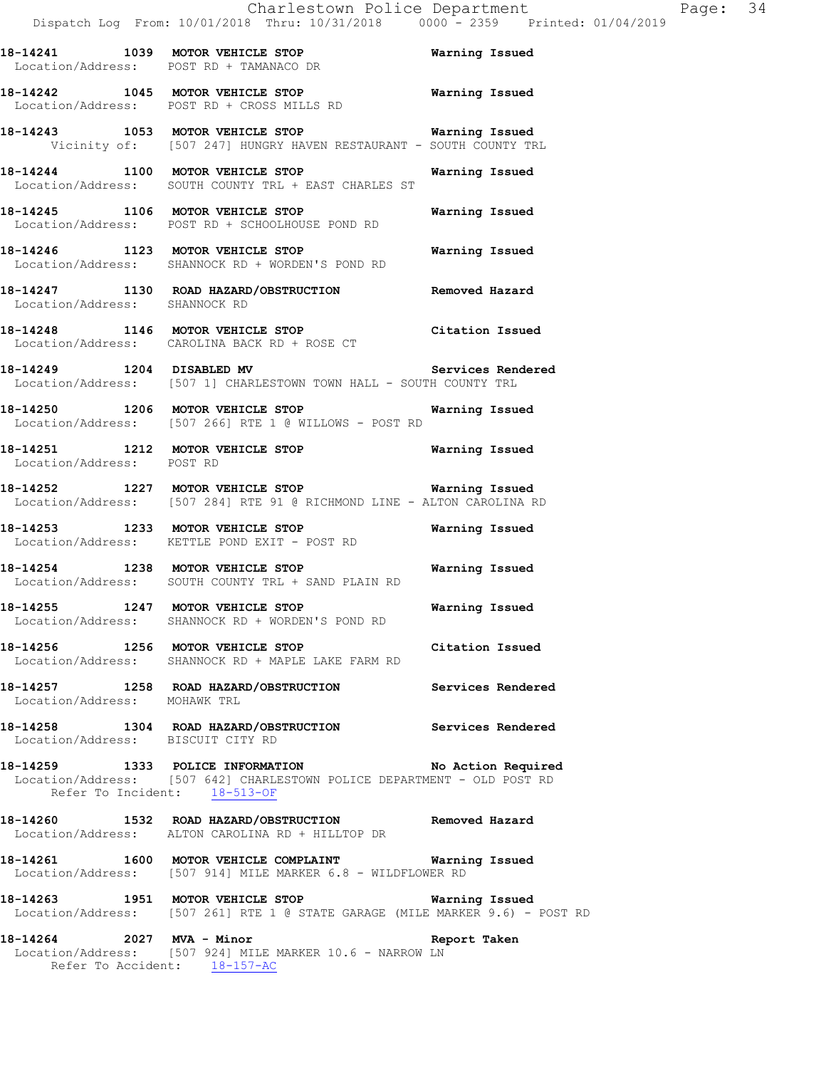|                                   | CHALLESCOWN POITCE DEPALLMENT<br>Dispatch Log From: 10/01/2018 Thru: 10/31/2018 0000 - 2359 Printed:                             |                       |
|-----------------------------------|----------------------------------------------------------------------------------------------------------------------------------|-----------------------|
|                                   | 18-14241 1039 MOTOR VEHICLE STOP<br>Location/Address: POST RD + TAMANACO DR                                                      | <b>Warning Issued</b> |
|                                   | 18-14242 1045 MOTOR VEHICLE STOP <b>Warning Issued</b><br>Location/Address: POST RD + CROSS MILLS RD                             |                       |
|                                   | 18-14243 1053 MOTOR VEHICLE STOP <b>Warning Issued</b><br>Vicinity of: [507 247] HUNGRY HAVEN RESTAURANT - SOUTH COUNTY TRL      |                       |
|                                   | 18-14244 1100 MOTOR VEHICLE STOP<br>Location/Address: SOUTH COUNTY TRL + EAST CHARLES ST                                         | Warning Issued        |
|                                   | 18-14245 1106 MOTOR VEHICLE STOP <b>Warning Issued</b><br>Location/Address: POST RD + SCHOOLHOUSE POND RD                        |                       |
|                                   | 18-14246 1123 MOTOR VEHICLE STOP<br>Location/Address: SHANNOCK RD + WORDEN'S POND RD                                             | Warning Issued        |
| Location/Address: SHANNOCK RD     | 18-14247 1130 ROAD HAZARD/OBSTRUCTION Removed Hazard                                                                             |                       |
|                                   | 18-14248 1146 MOTOR VEHICLE STOP<br>Location/Address: CAROLINA BACK RD + ROSE CT                                                 | Citation Issued       |
|                                   | 18-14249 1204 DISABLED MV Services Rendered<br>Location/Address: [507 1] CHARLESTOWN TOWN HALL - SOUTH COUNTY TRL                |                       |
|                                   | 18-14250 1206 MOTOR VEHICLE STOP 6 Warning Issued<br>Location/Address: [507 266] RTE 1 @ WILLOWS - POST RD                       |                       |
| Location/Address: POST RD         | 18-14251 1212 MOTOR VEHICLE STOP 6 Warning Issued                                                                                |                       |
|                                   | 18-14252 1227 MOTOR VEHICLE STOP <b>Warning Issued</b><br>Location/Address: [507 284] RTE 91 @ RICHMOND LINE - ALTON CAROLINA RD |                       |
|                                   | 18-14253 1233 MOTOR VEHICLE STOP 18 Warning Issued<br>Location/Address: KETTLE POND EXIT - POST RD                               |                       |
|                                   | 18-14254 1238 MOTOR VEHICLE STOP<br>Location/Address: SOUTH COUNTY TRL + SAND PLAIN RD                                           | <b>Warning Issued</b> |
|                                   | 18-14255 1247 MOTOR VEHICLE STOP<br>Location/Address: SHANNOCK RD + WORDEN'S POND RD                                             | Warning Issued        |
|                                   | 18-14256 1256 MOTOR VEHICLE STOP Citation Issued<br>Location/Address: SHANNOCK RD + MAPLE LAKE FARM RD                           |                       |
| Location/Address: MOHAWK TRL      | 18-14257 1258 ROAD HAZARD/OBSTRUCTION Services Rendered                                                                          |                       |
| Location/Address: BISCUIT CITY RD | 18-14258 1304 ROAD HAZARD/OBSTRUCTION Services Rendered                                                                          |                       |
| Refer To Incident: 18-513-OF      | 18-14259 1333 POLICE INFORMATION No Action Required<br>Location/Address: [507 642] CHARLESTOWN POLICE DEPARTMENT - OLD POST RD   |                       |
|                                   | 18-14260 1532 ROAD HAZARD/OBSTRUCTION Removed Hazard<br>Location/Address: ALTON CAROLINA RD + HILLTOP DR                         |                       |
|                                   | 18-14261 1600 MOTOR VEHICLE COMPLAINT Warning Issued<br>Location/Address: [507 914] MILE MARKER 6.8 - WILDFLOWER RD              |                       |
|                                   | 18-14263 1951 MOTOR VEHICLE STOP Warning Issued<br>Location/Address: [507 261] RTE 1 @ STATE GARAGE (MILE MARKER 9.6) - POST RD  |                       |
|                                   | 18-14264 2027 MVA - Minor<br>Location/Address: [507 924] MILE MARKER 10.6 - NARROW LN<br>Refer To Accident: $18-157-AC$          | Report Taken          |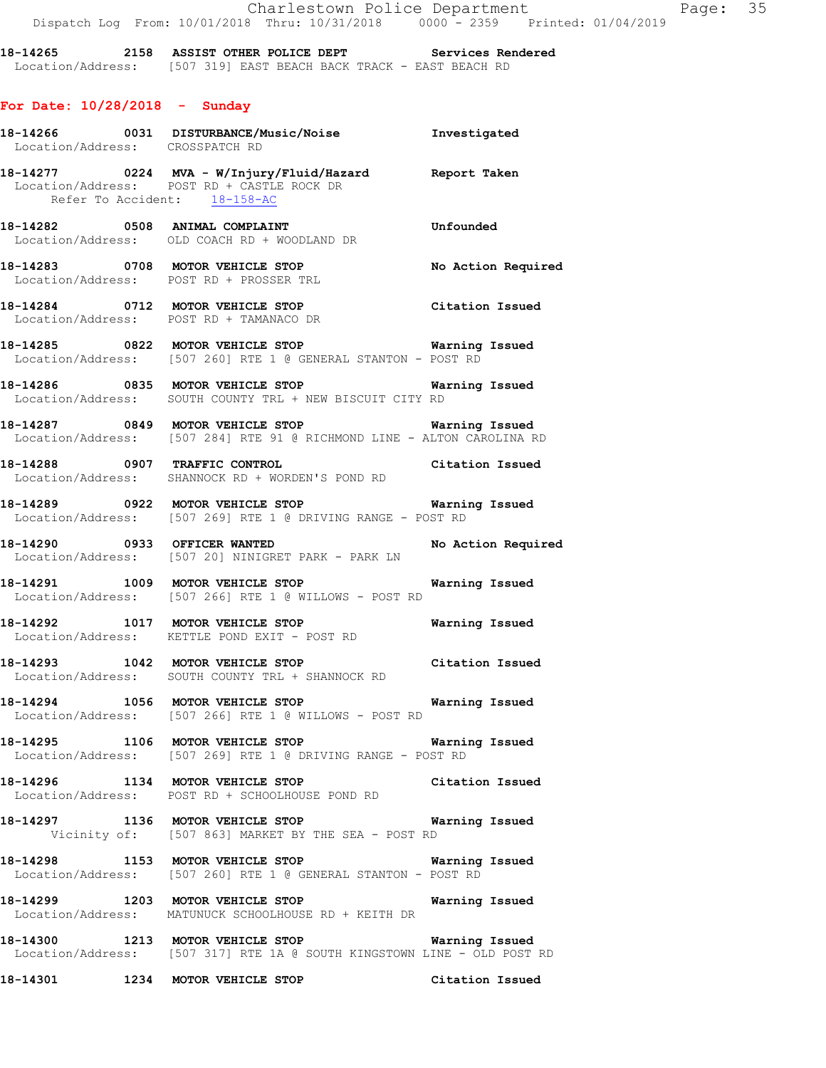**18-14265 2158 ASSIST OTHER POLICE DEPT Services Rendered**  Location/Address: [507 319] EAST BEACH BACK TRACK - EAST BEACH RD

## **For Date: 10/28/2018 - Sunday**

|  | 18-14266 0031 DISTURBANCE/Music/Noise 1nvestigated<br>Location/Address: CROSSPATCH RD                                                |                       |
|--|--------------------------------------------------------------------------------------------------------------------------------------|-----------------------|
|  | 18-14277 0224 MVA - W/Injury/Fluid/Hazard Report Taken<br>Location/Address: POST RD + CASTLE ROCK DR<br>Refer To Accident: 18-158-AC |                       |
|  | 18-14282 0508 ANIMAL COMPLAINT COMERCITY Unfounded<br>Location/Address: OLD COACH RD + WOODLAND DR                                   |                       |
|  | 18-14283 0708 MOTOR VEHICLE STOP<br>Location/Address: POST RD + PROSSER TRL                                                          | No Action Required    |
|  | 18-14284 0712 MOTOR VEHICLE STOP Citation Issued<br>Location/Address: POST RD + TAMANACO DR                                          |                       |
|  | 18-14285 0822 MOTOR VEHICLE STOP 6 Warning Issued<br>Location/Address: [507 260] RTE 1 @ GENERAL STANTON - POST RD                   |                       |
|  | 18-14286 0835 MOTOR VEHICLE STOP 6 Warning Issued<br>Location/Address: SOUTH COUNTY TRL + NEW BISCUIT CITY RD                        |                       |
|  | 18-14287 0849 MOTOR VEHICLE STOP Warning Issued<br>Location/Address: [507 284] RTE 91 @ RICHMOND LINE - ALTON CAROLINA RD            |                       |
|  | 18-14288 0907 TRAFFIC CONTROL CONTROL Citation Issued<br>Location/Address: SHANNOCK RD + WORDEN'S POND RD                            |                       |
|  | Location/Address: [507 269] RTE 1 @ DRIVING RANGE - POST RD                                                                          |                       |
|  | 18-14290 0933 OFFICER WANTED No Action Required<br>Location/Address: [507 20] NINIGRET PARK - PARK LN                                |                       |
|  | 18-14291 1009 MOTOR VEHICLE STOP<br>Location/Address: [507 266] RTE 1 @ WILLOWS - POST RD                                            | Warning Issued        |
|  | 18-14292 1017 MOTOR VEHICLE STOP Warning Issued<br>Location/Address: KETTLE POND EXIT - POST RD                                      |                       |
|  | Location/Address: SOUTH COUNTY TRL + SHANNOCK RD                                                                                     |                       |
|  | 18-14294 1056 MOTOR VEHICLE STOP Warning Issued<br>Location/Address: [507 266] RTE 1 @ WILLOWS - POST RD                             |                       |
|  | 18-14295 1106 MOTOR VEHICLE STOP 6 Warning Issued<br>Location/Address: [507 269] RTE 1 @ DRIVING RANGE - POST RD                     |                       |
|  | 18-14296 1134 MOTOR VEHICLE STOP Citation Issued<br>Location/Address: POST RD + SCHOOLHOUSE POND RD                                  |                       |
|  | 18-14297 1136 MOTOR VEHICLE STOP<br>Vicinity of: [507 863] MARKET BY THE SEA - POST RD                                               | Warning Issued        |
|  | 18-14298 1153 MOTOR VEHICLE STOP Warning Issued<br>Location/Address: [507 260] RTE 1 @ GENERAL STANTON - POST RD                     |                       |
|  | 18-14299 1203 MOTOR VEHICLE STOP<br>Location/Address: MATUNUCK SCHOOLHOUSE RD + KEITH DR                                             | <b>Warning Issued</b> |
|  | 18-14300 1213 MOTOR VEHICLE STOP Warning Issued<br>Location/Address: [507 317] RTE 1A @ SOUTH KINGSTOWN LINE - OLD POST RD           |                       |
|  | 18-14301 1234 MOTOR VEHICLE STOP                                                                                                     | Citation Issued       |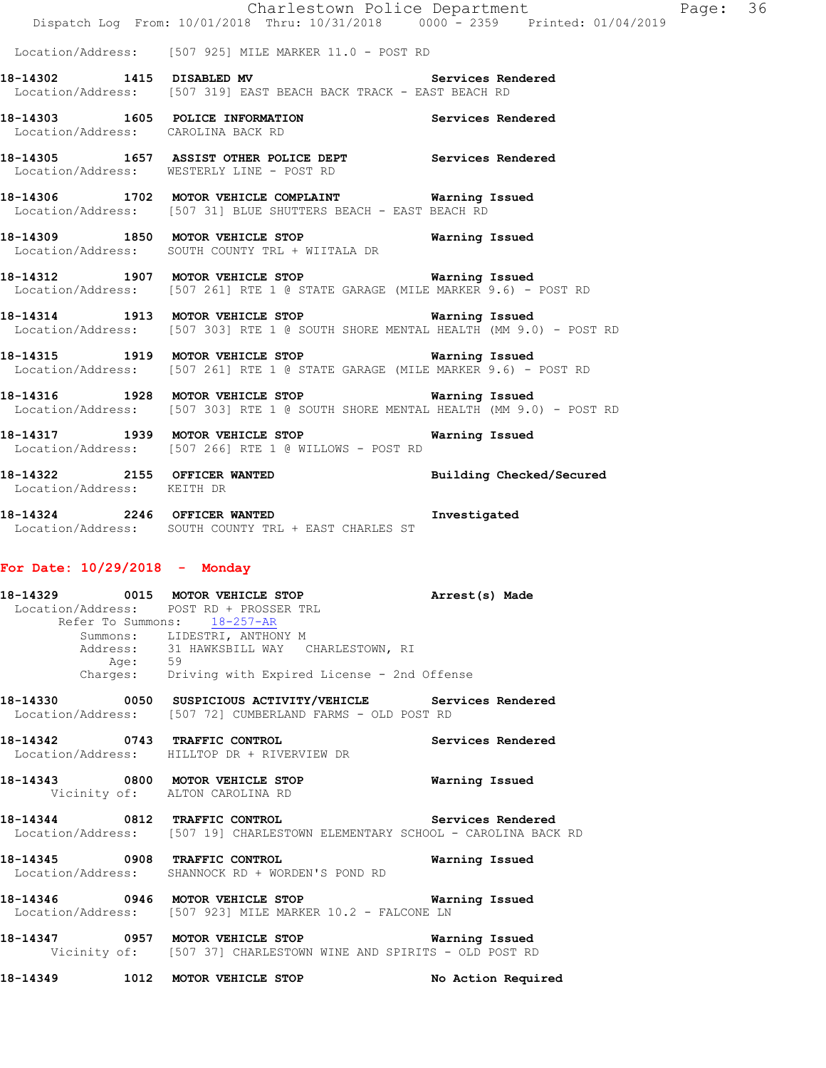|                                    | Charlestown Police Department<br>Dispatch Log From: 10/01/2018 Thru: 10/31/2018 0000 - 2359 Printed: 01/04/2019                       |                |
|------------------------------------|---------------------------------------------------------------------------------------------------------------------------------------|----------------|
|                                    | Location/Address: [507 925] MILE MARKER 11.0 - POST RD                                                                                |                |
|                                    | 18-14302 1415 DISABLED MV Services Rendered<br>Location/Address: [507 319] EAST BEACH BACK TRACK - EAST BEACH RD                      |                |
| Location/Address: CAROLINA BACK RD | 18-14303 1605 POLICE INFORMATION Services Rendered                                                                                    |                |
|                                    | 18-14305 1657 ASSIST OTHER POLICE DEPT Services Rendered<br>Location/Address: WESTERLY LINE - POST RD                                 |                |
|                                    | 18-14306 1702 MOTOR VEHICLE COMPLAINT Warning Issued<br>Location/Address: [507 31] BLUE SHUTTERS BEACH - EAST BEACH RD                |                |
|                                    | 18-14309 1850 MOTOR VEHICLE STOP 6 Warning Issued<br>Location/Address: SOUTH COUNTY TRL + WIITALA DR                                  |                |
|                                    | 18-14312 1907 MOTOR VEHICLE STOP 6 Warning Issued<br>Location/Address: [507 261] RTE 1 @ STATE GARAGE (MILE MARKER 9.6) - POST RD     |                |
|                                    | 18-14314 1913 MOTOR VEHICLE STOP Warning Issued<br>Location/Address: [507 303] RTE 1 @ SOUTH SHORE MENTAL HEALTH (MM 9.0) - POST RD   |                |
|                                    | 18-14315 1919 MOTOR VEHICLE STOP Warning Issued<br>Location/Address: [507 261] RTE 1 @ STATE GARAGE (MILE MARKER 9.6) - POST RD       |                |
|                                    | 18-14316 1928 MOTOR VEHICLE STOP 6 Warning Issued<br>Location/Address: [507 303] RTE 1 @ SOUTH SHORE MENTAL HEALTH (MM 9.0) - POST RD |                |
|                                    | 18-14317 1939 MOTOR VEHICLE STOP<br>Location/Address: [507 266] RTE 1 @ WILLOWS - POST RD                                             | Warning Issued |
| Location/Address: KEITH DR         | 18-14322 2155 OFFICER WANTED Building Checked/Secured                                                                                 |                |
|                                    | 18-14324 2246 OFFICER WANTED<br>Location/Address: SOUTH COUNTY TRL + EAST CHARLES ST                                                  | Investigated   |

#### **For Date: 10/29/2018 - Monday**

**18-14329 0015 MOTOR VEHICLE STOP Arrest(s) Made**  Location/Address: POST RD + PROSSER TRL Refer To Summons: 18-257-AR Summons: LIDESTRI, ANTHONY M Address: 31 HAWKSBILL WAY CHARLESTOWN, RI<br>Age: 59 Age: 59 Charges: Driving with Expired License - 2nd Offense

**18-14330 0050 SUSPICIOUS ACTIVITY/VEHICLE Services Rendered**  Location/Address: [507 72] CUMBERLAND FARMS - OLD POST RD

**18-14342 0743 TRAFFIC CONTROL Services Rendered**  Location/Address: HILLTOP DR + RIVERVIEW DR

**18-14343 0800 MOTOR VEHICLE STOP Warning Issued**  Vicinity of: ALTON CAROLINA RD

**18-14344 0812 TRAFFIC CONTROL Services Rendered**  Location/Address: [507 19] CHARLESTOWN ELEMENTARY SCHOOL - CAROLINA BACK RD

**18-14345 0908 TRAFFIC CONTROL Warning Issued**  Location/Address: SHANNOCK RD + WORDEN'S POND RD

**18-14346 0946 MOTOR VEHICLE STOP Warning Issued**  Location/Address: [507 923] MILE MARKER 10.2 - FALCONE LN

**18-14347 0957 MOTOR VEHICLE STOP Warning Issued**  Vicinity of: [507 37] CHARLESTOWN WINE AND SPIRITS - OLD POST RD

**18-14349 1012 MOTOR VEHICLE STOP No Action Required**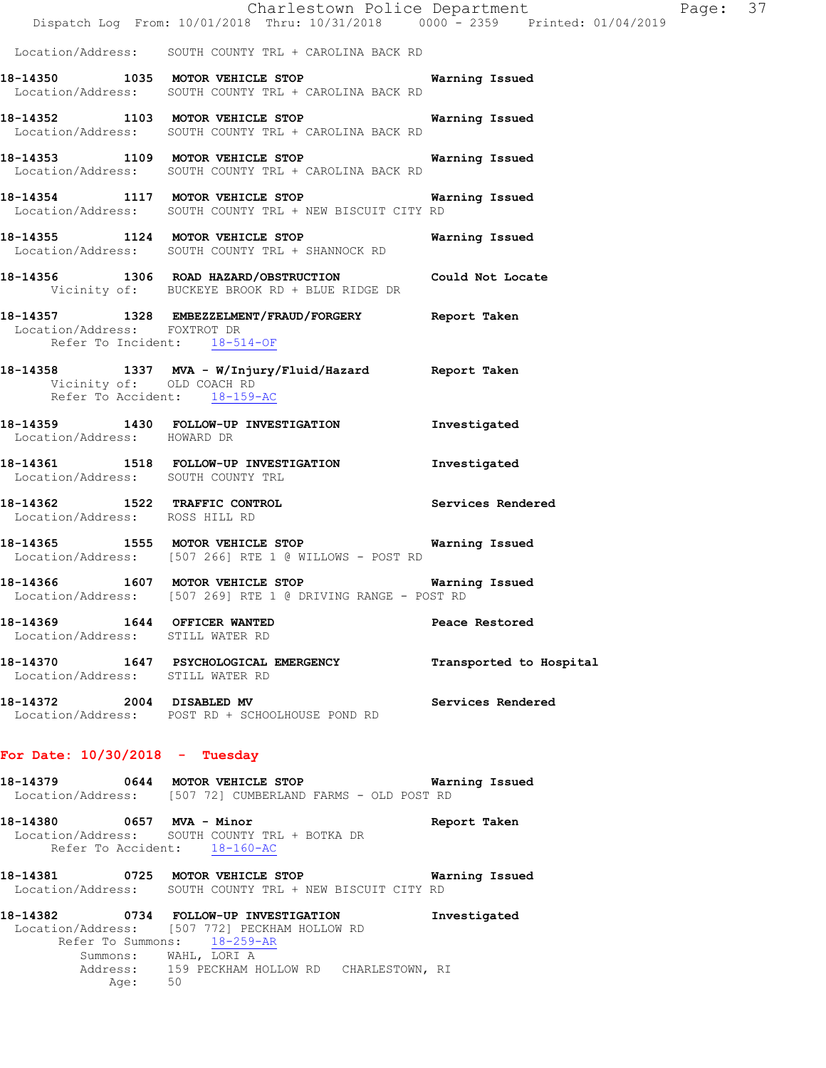|                                                                  | Charlestown Police Department<br>Dispatch Log From: 10/01/2018 Thru: 10/31/2018 0000 - 2359 Printed: 01/04/2019       |                         |
|------------------------------------------------------------------|-----------------------------------------------------------------------------------------------------------------------|-------------------------|
|                                                                  | Location/Address: SOUTH COUNTY TRL + CAROLINA BACK RD                                                                 |                         |
|                                                                  | 18-14350 1035 MOTOR VEHICLE STOP 6 Warning Issued<br>Location/Address: SOUTH COUNTY TRL + CAROLINA BACK RD            |                         |
|                                                                  | 18-14352 1103 MOTOR VEHICLE STOP <b>Warning Issued</b><br>Location/Address: SOUTH COUNTY TRL + CAROLINA BACK RD       |                         |
|                                                                  | 18-14353 1109 MOTOR VEHICLE STOP 6 Warning Issued<br>Location/Address: SOUTH COUNTY TRL + CAROLINA BACK RD            |                         |
|                                                                  | 18-14354 1117 MOTOR VEHICLE STOP <b>Warning Issued</b><br>Location/Address: SOUTH COUNTY TRL + NEW BISCUIT CITY RD    |                         |
|                                                                  | 18-14355 1124 MOTOR VEHICLE STOP Warning Issued<br>Location/Address: SOUTH COUNTY TRL + SHANNOCK RD                   |                         |
|                                                                  | 18-14356 1306 ROAD HAZARD/OBSTRUCTION Could Not Locate<br>Vicinity of: BUCKEYE BROOK RD + BLUE RIDGE DR               |                         |
| Refer To Incident: 18-514-OF                                     | 18-14357 1328 EMBEZZELMENT/FRAUD/FORGERY Report Taken<br>Location/Address: FOXTROT DR                                 |                         |
| Vicinity of: OLD COACH RD<br>Refer To Accident: 18-159-AC        | 18-14358 1337 MVA - W/Injury/Fluid/Hazard Report Taken                                                                |                         |
| Location/Address: HOWARD DR                                      | 18-14359 1430 FOLLOW-UP INVESTIGATION 1nvestigated                                                                    |                         |
|                                                                  | 18-14361 1518 FOLLOW-UP INVESTIGATION Investigated<br>Location/Address: SOUTH COUNTY TRL                              |                         |
| Location/Address: ROSS HILL RD                                   | 18-14362 1522 TRAFFIC CONTROL 18-14362 Services Rendered                                                              |                         |
|                                                                  | 18-14365 1555 MOTOR VEHICLE STOP Warning Issued<br>Location/Address: [507 266] RTE 1 @ WILLOWS - POST RD              |                         |
|                                                                  | 18-14366 1607 MOTOR VEHICLE STOP 6 Warning Issued<br>Location/Address: [507 269] RTE 1 @ DRIVING RANGE - POST RD      |                         |
| 18-14369 1644 OFFICER WANTED<br>Location/Address: STILL WATER RD |                                                                                                                       | Peace Restored          |
| Location/Address: STILL WATER RD                                 | 18-14370 1647 PSYCHOLOGICAL EMERGENCY                                                                                 | Transported to Hospital |
|                                                                  | 18-14372 2004 DISABLED MV<br>Location/Address: POST RD + SCHOOLHOUSE POND RD                                          | Services Rendered       |
| For Date: $10/30/2018$ - Tuesday                                 |                                                                                                                       |                         |
|                                                                  | 18-14379 0644 MOTOR VEHICLE STOP Warning Issued<br>Location/Address: [507 72] CUMBERLAND FARMS - OLD POST RD          |                         |
| 18-14380 0657 MVA - Minor                                        | Location/Address: SOUTH COUNTY TRL + BOTKA DR<br>Refer To Accident: 18-160-AC                                         | Report Taken            |
|                                                                  | Location/Address: SOUTH COUNTY TRL + NEW BISCUIT CITY RD                                                              |                         |
|                                                                  | 18-14382 0734 FOLLOW-UP INVESTIGATION<br>Location/Address: [507 772] PECKHAM HOLLOW RD<br>Refer To Summons: 18-259-AR | Investigated            |
|                                                                  | Summons: WAHL, LORI A<br>Address: 159 PECKHAM HOLLOW RD CHARLESTOWN, RI                                               |                         |

Address: 159<br>Age: 50

Page: 37<br>
019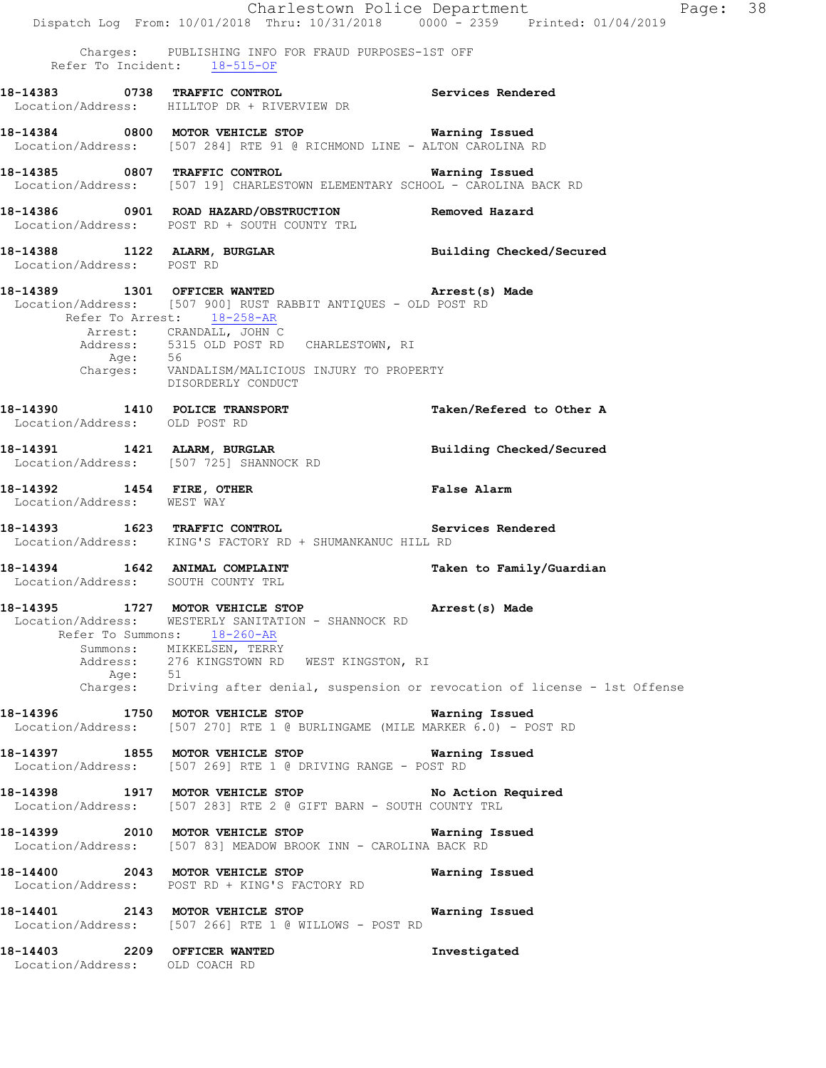Charlestown Police Department Page: 38 Dispatch Log From: 10/01/2018 Thru: 10/31/2018 0000 - 2359 Printed: 01/04/2019 Charges: PUBLISHING INFO FOR FRAUD PURPOSES-1ST OFF Refer To Incident: 18-515-OF **18-14383 0738 TRAFFIC CONTROL Services Rendered**  Location/Address: HILLTOP DR + RIVERVIEW DR **18-14384 0800 MOTOR VEHICLE STOP Warning Issued**  Location/Address: [507 284] RTE 91 @ RICHMOND LINE - ALTON CAROLINA RD **18-14385 0807 TRAFFIC CONTROL Warning Issued**  Location/Address: [507 19] CHARLESTOWN ELEMENTARY SCHOOL - CAROLINA BACK RD **18-14386 0901 ROAD HAZARD/OBSTRUCTION Removed Hazard**  Location/Address: POST RD + SOUTH COUNTY TRL **18-14388 1122 ALARM, BURGLAR Building Checked/Secured**  Location/Address: POST RD **18-14389 1301 OFFICER WANTED Arrest(s) Made**  Location/Address: [507 900] RUST RABBIT ANTIQUES - OLD POST RD Refer To Arrest: 18-258-AR Arrest: CRANDALL, JOHN C Address: 5315 OLD POST RD CHARLESTOWN, RI Age: 56<br>Charges: VAN VANDALISM/MALICIOUS INJURY TO PROPERTY DISORDERLY CONDUCT **18-14390 1410 POLICE TRANSPORT 18-14390 Taken/Refered to Other A** Location/Address: OLD POST RD Location/Address: **18-14391 1421 ALARM, BURGLAR Building Checked/Secured**  Location/Address: [507 725] SHANNOCK RD **18-14392 1454 FIRE, OTHER 18-14392 1454 FIRE, OTHER FALSE RISP RAISE RIGHT**<br>
Location/Address: WEST WAY Location/Address: **18-14393 1623 TRAFFIC CONTROL Services Rendered**  Location/Address: KING'S FACTORY RD + SHUMANKANUC HILL RD **18-14394 1642 ANIMAL COMPLAINT Taken to Family/Guardian**  Location/Address: SOUTH COUNTY TRL **18-14395 1727 MOTOR VEHICLE STOP Arrest(s) Made**  Location/Address: WESTERLY SANITATION - SHANNOCK RD Refer To Summons: 18-260-AR Summons: MIKKELSEN, TERRY 276 KINGSTOWN RD WEST KINGSTON, RI Age: 51 Charges: Driving after denial, suspension or revocation of license - 1st Offense **18-14396 1750 MOTOR VEHICLE STOP Warning Issued**  Location/Address: [507 270] RTE 1 @ BURLINGAME (MILE MARKER 6.0) - POST RD **18-14397 1855 MOTOR VEHICLE STOP Warning Issued**  Location/Address: [507 269] RTE 1 @ DRIVING RANGE - POST RD **18-14398 1917 MOTOR VEHICLE STOP No Action Required**  Location/Address: [507 283] RTE 2 @ GIFT BARN - SOUTH COUNTY TRL **18-14399 2010 MOTOR VEHICLE STOP Warning Issued**  Location/Address: [507 83] MEADOW BROOK INN - CAROLINA BACK RD **18-14400 2043 MOTOR VEHICLE STOP Warning Issued**  Location/Address: POST RD + KING'S FACTORY RD **18-14401 2143 MOTOR VEHICLE STOP Warning Issued**  Location/Address: [507 266] RTE 1 @ WILLOWS - POST RD **18-14403 2209 OFFICER WANTED Investigated**  Location/Address: OLD COACH RD